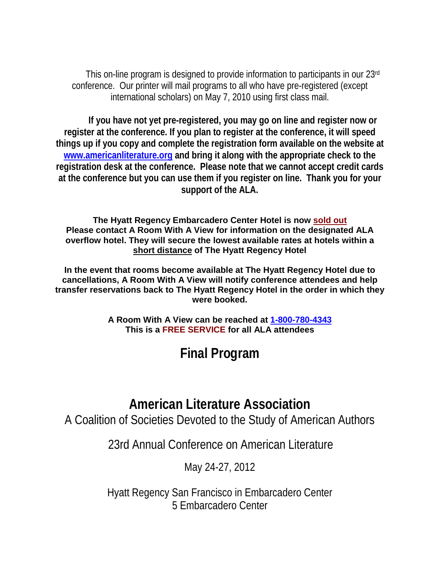This on-line program is designed to provide information to participants in our 23rd conference. Our printer will mail programs to all who have pre-registered (except international scholars) on May 7, 2010 using first class mail.

**If you have not yet pre-registered, you may go on line and register now or register at the conference. If you plan to register at the conference, it will speed things up if you copy and complete the registration form available on the website at [www.americanliterature.org](http://www.americanliterature.org/) and bring it along with the appropriate check to the registration desk at the conference. Please note that we cannot accept credit cards at the conference but you can use them if you register on line. Thank you for your support of the ALA.**

**The Hyatt Regency Embarcadero Center Hotel is now sold out Please contact A Room With A View for information on the designated ALA overflow hotel. They will secure the lowest available rates at hotels within a short distance of The Hyatt Regency Hotel**

**In the event that rooms become available at The Hyatt Regency Hotel due to cancellations, A Room With A View will notify conference attendees and help transfer reservations back to The Hyatt Regency Hotel in the order in which they were booked.**

> **A Room With A View can be reached at [1-800-780-4343](callto:1-800-780-4343) This is a FREE SERVICE for all ALA attendees**

> > **Final Program**

# **American Literature Association**

A Coalition of Societies Devoted to the Study of American Authors

23rd Annual Conference on American Literature

May 24-27, 2012

Hyatt Regency San Francisco in Embarcadero Center 5 Embarcadero Center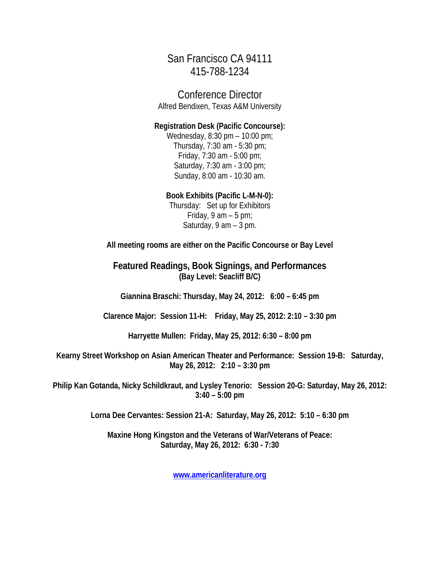San Francisco CA 94111 415-788-1234

Conference Director Alfred Bendixen, Texas A&M University

**Registration Desk (Pacific Concourse):**

Wednesday, 8:30 pm – 10:00 pm; Thursday, 7:30 am - 5:30 pm; Friday, 7:30 am - 5:00 pm; Saturday, 7:30 am - 3:00 pm; Sunday, 8:00 am - 10:30 am.

#### **Book Exhibits (Pacific L-M-N-0):**

Thursday: Set up for Exhibitors Friday,  $9$  am  $-5$  pm; Saturday, 9 am – 3 pm.

**All meeting rooms are either on the Pacific Concourse or Bay Level**

**Featured Readings, Book Signings, and Performances (Bay Level: Seacliff B/C)** 

**Giannina Braschi: Thursday, May 24, 2012: 6:00 – 6:45 pm**

**Clarence Major: Session 11-H: Friday, May 25, 2012: 2:10 – 3:30 pm**

**Harryette Mullen: Friday, May 25, 2012: 6:30 – 8:00 pm**

**Kearny Street Workshop on Asian American Theater and Performance: Session 19-B: Saturday, May 26, 2012: 2:10 – 3:30 pm**

**Philip Kan Gotanda, Nicky Schildkraut, and Lysley Tenorio: Session 20-G: Saturday, May 26, 2012: 3:40 – 5:00 pm**

**Lorna Dee Cervantes: Session 21-A: Saturday, May 26, 2012: 5:10 – 6:30 pm**

**Maxine Hong Kingston and the Veterans of War/Veterans of Peace: Saturday, May 26, 2012: 6:30 - 7:30**

**[www.americanliterature.org](http://www.americanliterature.org/)**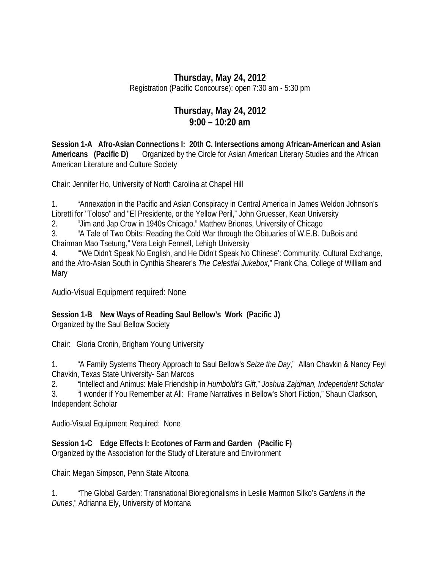## **Thursday, May 24, 2012**

Registration (Pacific Concourse): open 7:30 am - 5:30 pm

## **Thursday, May 24, 2012 9:00 – 10:20 am**

**Session 1-A Afro-Asian Connections I: 20th C. Intersections among African-American and Asian Americans (Pacific D)** Organized by the Circle for Asian American Literary Studies and the African American Literature and Culture Society

Chair: Jennifer Ho, University of North Carolina at Chapel Hill

1. "Annexation in the Pacific and Asian Conspiracy in Central America in James Weldon Johnson's Libretti for "Toloso" and "El Presidente, or the Yellow Peril," John Gruesser, Kean University

2. "Jim and Jap Crow in 1940s Chicago," Matthew Briones, University of Chicago

3. "A Tale of Two Obits: Reading the Cold War through the Obituaries of W.E.B. DuBois and Chairman Mao Tsetung," Vera Leigh Fennell, Lehigh University

4. "'We Didn't Speak No English, and He Didn't Speak No Chinese': Community, Cultural Exchange, and the Afro-Asian South in Cynthia Shearer's *The Celestial Jukebox,*" Frank Cha, College of William and Mary

Audio-Visual Equipment required: None

## **Session 1-B New Ways of Reading Saul Bellow's Work (Pacific J)**

Organized by the Saul Bellow Society

Chair: Gloria Cronin, Brigham Young University

1. "A Family Systems Theory Approach to Saul Bellow's *Seize the Day*," Allan Chavkin & Nancy Feyl Chavkin, Texas State University- San Marcos

2. *"*Intellect and Animus: Male Friendship in *Humboldt's Gift,*" *Joshua Zajdman, Independent Scholar*

3. "I wonder if You Remember at All: Frame Narratives in Bellow's Short Fiction," Shaun Clarkson*,* Independent Scholar

Audio-Visual Equipment Required: None

**Session 1-C Edge Effects I: Ecotones of Farm and Garden (Pacific F)** 

Organized by the Association for the Study of Literature and Environment

Chair: Megan Simpson, Penn State Altoona

1. "The Global Garden: Transnational Bioregionalisms in Leslie Marmon Silko's *Gardens in the Dunes*," Adrianna Ely, University of Montana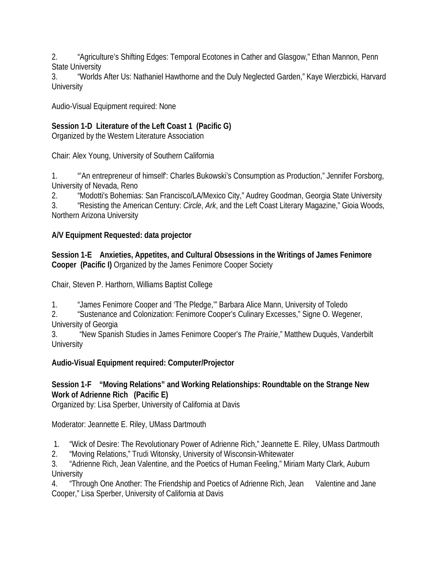2. "Agriculture's Shifting Edges: Temporal Ecotones in Cather and Glasgow," Ethan Mannon, Penn State University

3. "Worlds After Us: Nathaniel Hawthorne and the Duly Neglected Garden," Kaye Wierzbicki, Harvard **University** 

Audio-Visual Equipment required: None

## **Session 1-D Literature of the Left Coast 1 (Pacific G)**

Organized by the Western Literature Association

Chair: Alex Young, University of Southern California

1. "'An entrepreneur of himself': Charles Bukowski's Consumption as Production," Jennifer Forsborg, University of Nevada, Reno

2. "Modotti's Bohemias: San Francisco/LA/Mexico City," Audrey Goodman, Georgia State University

3. "Resisting the American Century: *Circle*, *Ark*, and the Left Coast Literary Magazine," Gioia Woods, Northern Arizona University

## **A/V Equipment Requested: data projector**

**Session 1-E Anxieties, Appetites, and Cultural Obsessions in the Writings of James Fenimore Cooper (Pacific I)** Organized by the James Fenimore Cooper Society

Chair, Steven P. Harthorn, Williams Baptist College

1. "James Fenimore Cooper and 'The Pledge,'" Barbara Alice Mann, University of Toledo

2. "Sustenance and Colonization: Fenimore Cooper's Culinary Excesses," Signe O. Wegener, University of Georgia

3. "New Spanish Studies in James Fenimore Cooper's *The Prairie*," Matthew Duquès, Vanderbilt **University** 

## **Audio-Visual Equipment required: Computer/Projector**

## **Session 1-F "Moving Relations" and Working Relationships: Roundtable on the Strange New Work of Adrienne Rich (Pacific E)**

Organized by: Lisa Sperber, University of California at Davis

Moderator: Jeannette E. Riley, UMass Dartmouth

- 1. "Wick of Desire: The Revolutionary Power of Adrienne Rich," Jeannette E. Riley, UMass Dartmouth
- 2. "Moving Relations," Trudi Witonsky, University of Wisconsin-Whitewater

3. "Adrienne Rich, Jean Valentine, and the Poetics of Human Feeling," Miriam Marty Clark, Auburn **University** 

4. Through One Another: The Friendship and Poetics of Adrienne Rich, Jean Valentine and Jane Cooper," Lisa Sperber, University of California at Davis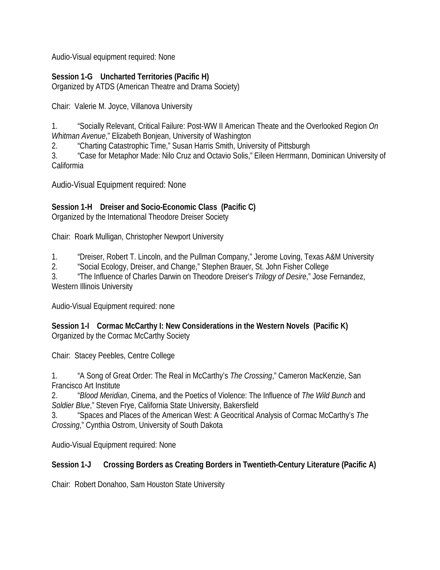Audio-Visual equipment required: None

## **Session 1-G Uncharted Territories (Pacific H)**

Organized by ATDS (American Theatre and Drama Society)

Chair: Valerie M. Joyce, Villanova University

1. "Socially Relevant, Critical Failure: Post-WW II American Theate and the Overlooked Region *On Whitman Avenue*," Elizabeth Bonjean, University of Washington

2. "Charting Catastrophic Time," Susan Harris Smith, University of Pittsburgh

3. "Case for Metaphor Made: Nilo Cruz and Octavio Solis," Eileen Herrmann, Dominican University of Califormia

Audio-Visual Equipment required: None

## **Session 1-H Dreiser and Socio-Economic Class (Pacific C)**

Organized by the International Theodore Dreiser Society

Chair: Roark Mulligan, Christopher Newport University

1. "Dreiser, Robert T. Lincoln, and the Pullman Company," Jerome Loving, Texas A&M University

2. "Social Ecology, Dreiser, and Change," Stephen Brauer, St. John Fisher College

3. "The Influence of Charles Darwin on Theodore Dreiser's *Trilogy of Desire*," Jose Fernandez, Western Illinois University

Audio-Visual Equipment required: none

**Session 1-I Cormac McCarthy I: New Considerations in the Western Novels (Pacific K)** Organized by the Cormac McCarthy Society

Chair: Stacey Peebles, Centre College

1. "A Song of Great Order: The Real in McCarthy's *The Crossing*," Cameron MacKenzie, San Francisco Art Institute

2. "*Blood Meridian*, Cinema, and the Poetics of Violence: The Influence of *The Wild Bunch* and *Soldier Blue*," Steven Frye, California State University, Bakersfield

3. "Spaces and Places of the American West: A Geocritical Analysis of Cormac McCarthy's *The Crossing*," Cynthia Ostrom, University of South Dakota

Audio-Visual Equipment required: None

## **Session 1-J Crossing Borders as Creating Borders in Twentieth-Century Literature (Pacific A)**

Chair: Robert Donahoo, Sam Houston State University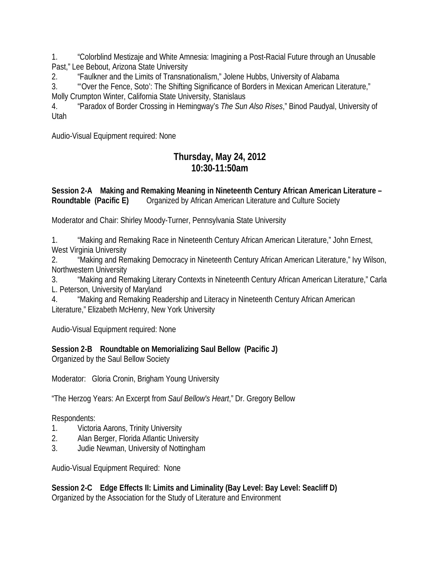1. "Colorblind Mestizaje and White Amnesia: Imagining a Post-Racial Future through an Unusable Past," Lee Bebout, Arizona State University

2. "Faulkner and the Limits of Transnationalism," Jolene Hubbs, University of Alabama

3. "'Over the Fence, Soto': The Shifting Significance of Borders in Mexican American Literature," Molly Crumpton Winter, California State University, Stanislaus

4. "Paradox of Border Crossing in Hemingway's *The Sun Also Rises*," Binod Paudyal, University of Utah

Audio-Visual Equipment required: None

## **Thursday, May 24, 2012 10:30-11:50am**

#### **Session 2-A Making and Remaking Meaning in Nineteenth Century African American Literature – Roundtable (Pacific E)** Organized by African American Literature and Culture Society

Moderator and Chair: Shirley Moody-Turner, Pennsylvania State University

1. "Making and Remaking Race in Nineteenth Century African American Literature," John Ernest, West Virginia University

2. "Making and Remaking Democracy in Nineteenth Century African American Literature," Ivy Wilson, Northwestern University

3. "Making and Remaking Literary Contexts in Nineteenth Century African American Literature," Carla L. Peterson, University of Maryland

4. "Making and Remaking Readership and Literacy in Nineteenth Century African American Literature," Elizabeth McHenry, New York University

Audio-Visual Equipment required: None

## **Session 2-B Roundtable on Memorializing Saul Bellow (Pacific J)**

Organized by the Saul Bellow Society

Moderator: Gloria Cronin, Brigham Young University

"The Herzog Years: An Excerpt from *Saul Bellow's Heart*," Dr. Gregory Bellow

Respondents:

- 1. Victoria Aarons, Trinity University
- 2. Alan Berger, Florida Atlantic University
- 3. Judie Newman, University of Nottingham

Audio-Visual Equipment Required: None

**Session 2-C Edge Effects II: Limits and Liminality (Bay Level: Bay Level: Seacliff D)**  Organized by the Association for the Study of Literature and Environment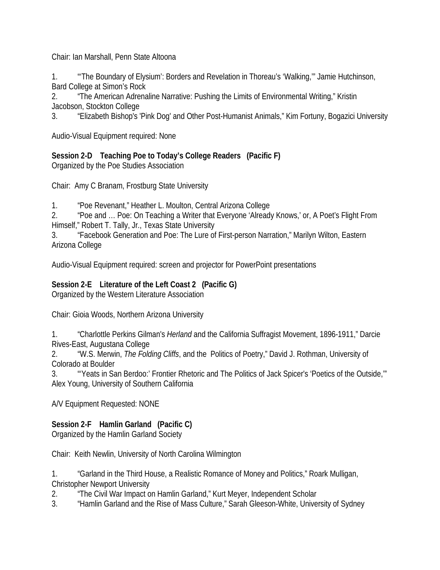Chair: Ian Marshall, Penn State Altoona

1. "'The Boundary of Elysium': Borders and Revelation in Thoreau's 'Walking,'" Jamie Hutchinson, Bard College at Simon's Rock

2. "The American Adrenaline Narrative: Pushing the Limits of Environmental Writing," Kristin Jacobson, Stockton College

3. "Elizabeth Bishop's 'Pink Dog' and Other Post-Humanist Animals," Kim Fortuny, Bogazici University

Audio-Visual Equipment required: None

**Session 2-D Teaching Poe to Today's College Readers (Pacific F)**  Organized by the Poe Studies Association

Chair: Amy C Branam, Frostburg State University

1. "Poe Revenant," Heather L. Moulton, Central Arizona College

2. "Poe and … Poe: On Teaching a Writer that Everyone 'Already Knows,' or, A Poet's Flight From Himself," Robert T. Tally, Jr., Texas State University

3. "Facebook Generation and Poe: The Lure of First-person Narration," Marilyn Wilton, Eastern Arizona College

Audio-Visual Equipment required: screen and projector for PowerPoint presentations

#### **Session 2-E Literature of the Left Coast 2 (Pacific G)**

Organized by the Western Literature Association

Chair: Gioia Woods, Northern Arizona University

1. "Charlottle Perkins Gilman's *Herland* and the California Suffragist Movement, 1896-1911," Darcie Rives-East, Augustana College

2. "W.S. Merwin, *The Folding Cliffs*, and the Politics of Poetry," David J. Rothman, University of Colorado at Boulder

3. "'Yeats in San Berdoo:' Frontier Rhetoric and The Politics of Jack Spicer's 'Poetics of the Outside,'" Alex Young, University of Southern California

A/V Equipment Requested: NONE

#### **Session 2-F Hamlin Garland (Pacific C)**

Organized by the Hamlin Garland Society

Chair: Keith Newlin, University of North Carolina Wilmington

1. "Garland in the Third House, a Realistic Romance of Money and Politics," Roark Mulligan, Christopher Newport University

2. "The Civil War Impact on Hamlin Garland," Kurt Meyer, Independent Scholar

3. "Hamlin Garland and the Rise of Mass Culture," Sarah Gleeson-White, University of Sydney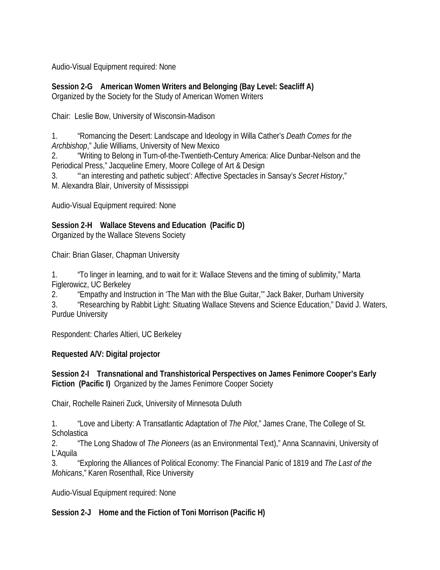Audio-Visual Equipment required: None

**Session 2-G American Women Writers and Belonging (Bay Level: Seacliff A)** Organized by the Society for the Study of American Women Writers

Chair: Leslie Bow, University of Wisconsin-Madison

1. "Romancing the Desert: Landscape and Ideology in Willa Cather's *Death Comes for the Archbishop*," Julie Williams, University of New Mexico

2. "Writing to Belong in Turn-of-the-Twentieth-Century America: Alice Dunbar-Nelson and the Periodical Press," Jacqueline Emery, Moore College of Art & Design

3. "'an interesting and pathetic subject': Affective Spectacles in Sansay's *Secret History*," M. Alexandra Blair, University of Mississippi

Audio-Visual Equipment required: None

**Session 2-H Wallace Stevens and Education (Pacific D)**

Organized by the Wallace Stevens Society

Chair: Brian Glaser, Chapman University

1. "To linger in learning, and to wait for it: Wallace Stevens and the timing of sublimity," Marta Figlerowicz, UC Berkeley

2. "Empathy and Instruction in 'The Man with the Blue Guitar,'" Jack Baker, Durham University

3. "Researching by Rabbit Light: Situating Wallace Stevens and Science Education," David J. Waters, Purdue University

Respondent: Charles Altieri, UC Berkeley

## **Requested A/V: Digital projector**

**Session 2-I Transnational and Transhistorical Perspectives on James Fenimore Cooper's Early Fiction (Pacific I)** Organized by the James Fenimore Cooper Society

Chair, Rochelle Raineri Zuck, University of Minnesota Duluth

1. "Love and Liberty: A Transatlantic Adaptation of *The Pilot*," James Crane, The College of St. **Scholastica** 

2. "The Long Shadow of *The Pioneers* (as an Environmental Text)," Anna Scannavini, University of L'Aquila

3. "Exploring the Alliances of Political Economy: The Financial Panic of 1819 and *The Last of the Mohicans*," Karen Rosenthall, Rice University

Audio-Visual Equipment required: None

## **Session 2-J Home and the Fiction of Toni Morrison (Pacific H)**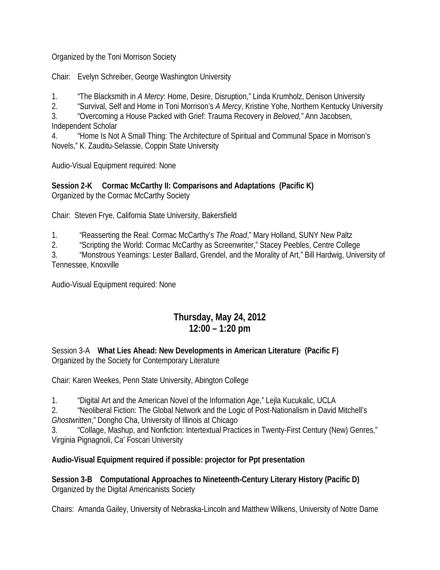Organized by the Toni Morrison Society

Chair: Evelyn Schreiber, George Washington University

1. "The Blacksmith in *A Mercy*: Home, Desire, Disruption," Linda Krumholz, Denison University

2. "Survival, Self and Home in Toni Morrison's *A Mercy*, Kristine Yohe, Northern Kentucky University

3. "Overcoming a House Packed with Grief: Trauma Recovery in *Beloved,"* Ann Jacobsen, Independent Scholar

4. "Home Is Not A Small Thing: The Architecture of Spiritual and Communal Space in Morrison's Novels," K. Zauditu-Selassie, Coppin State University

Audio-Visual Equipment required: None

**Session 2-K Cormac McCarthy II: Comparisons and Adaptations (Pacific K)** Organized by the Cormac McCarthy Society

Chair: Steven Frye, California State University, Bakersfield

1. "Reasserting the Real: Cormac McCarthy's *The Road*," Mary Holland, SUNY New Paltz

2. "Scripting the World: Cormac McCarthy as Screenwriter," Stacey Peebles, Centre College

3. "Monstrous Yearnings: Lester Ballard, Grendel, and the Morality of Art," Bill Hardwig, University of Tennessee, Knoxville

Audio-Visual Equipment required: None

## **Thursday, May 24, 2012 12:00 – 1:20 pm**

Session 3-A **What Lies Ahead: New Developments in American Literature (Pacific F)** Organized by the Society for Contemporary Literature

Chair: Karen Weekes, Penn State University, Abington College

1. "Digital Art and the American Novel of the Information Age," Lejla Kucukalic, UCLA

2. "Neoliberal Fiction: The Global Network and the Logic of Post-Nationalism in David Mitchell's *Ghostwritten*," Dongho Cha, University of Illinois at Chicago

3. "Collage, Mashup, and Nonfiction: Intertextual Practices in Twenty-First Century (New) Genres," Virginia Pignagnoli, Ca' Foscari University

## **Audio-Visual Equipment required if possible: projector for Ppt presentation**

**Session 3-B Computational Approaches to Nineteenth-Century Literary History (Pacific D)** Organized by the Digital Americanists Society

Chairs: Amanda Gailey, University of Nebraska-Lincoln and Matthew Wilkens, University of Notre Dame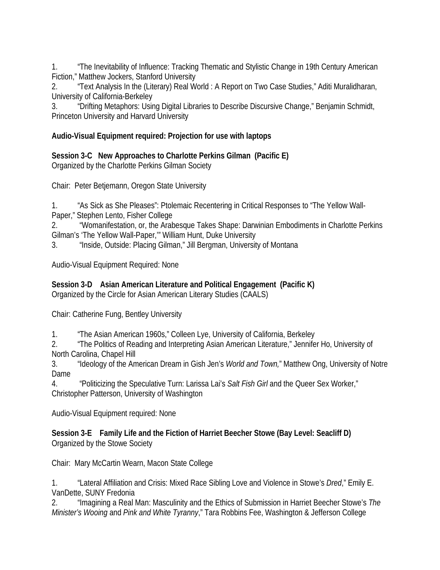1. "The Inevitability of Influence: Tracking Thematic and Stylistic Change in 19th Century American Fiction," Matthew Jockers, Stanford University

2. "Text Analysis In the (Literary) Real World : A Report on Two Case Studies," Aditi Muralidharan, University of California-Berkeley

3. "Drifting Metaphors: Using Digital Libraries to Describe Discursive Change," Benjamin Schmidt, Princeton University and Harvard University

#### **Audio-Visual Equipment required: Projection for use with laptops**

**Session 3-C New Approaches to Charlotte Perkins Gilman (Pacific E)** Organized by the Charlotte Perkins Gilman Society

Chair: Peter Betjemann, Oregon State University

1. "As Sick as She Pleases": Ptolemaic Recentering in Critical Responses to "The Yellow Wall-

Paper," Stephen Lento, Fisher College

2. "Womanifestation, or, the Arabesque Takes Shape: Darwinian Embodiments in Charlotte Perkins Gilman's 'The Yellow Wall-Paper,'" William Hunt, Duke University

3. "Inside, Outside: Placing Gilman," Jill Bergman, University of Montana

Audio-Visual Equipment Required: None

**Session 3-D Asian American Literature and Political Engagement (Pacific K)** Organized by the Circle for Asian American Literary Studies (CAALS)

Chair: Catherine Fung, Bentley University

1. "The Asian American 1960s," Colleen Lye, University of California, Berkeley

2. "The Politics of Reading and Interpreting Asian American Literature," Jennifer Ho, University of North Carolina, Chapel Hill

3. "Ideology of the American Dream in Gish Jen's *World and Town,*" Matthew Ong, University of Notre Dame

4. "Politicizing the Speculative Turn: Larissa Lai's *Salt Fish Girl* and the Queer Sex Worker," Christopher Patterson, University of Washington

Audio-Visual Equipment required: None

**Session 3-E Family Life and the Fiction of Harriet Beecher Stowe (Bay Level: Seacliff D)**  Organized by the Stowe Society

Chair: Mary McCartin Wearn, Macon State College

1. "Lateral Affiliation and Crisis: Mixed Race Sibling Love and Violence in Stowe's *Dred*," Emily E. VanDette, SUNY Fredonia

2. "Imagining a Real Man: Masculinity and the Ethics of Submission in Harriet Beecher Stowe's *The Minister's Wooing* and *Pink and White Tyranny*," Tara Robbins Fee, Washington & Jefferson College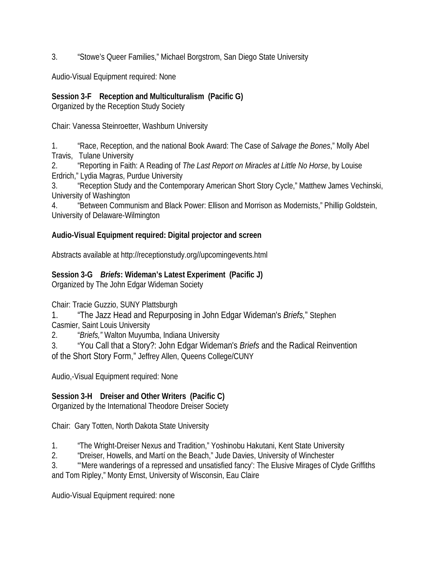3. "Stowe's Queer Families," Michael Borgstrom, San Diego State University

Audio-Visual Equipment required: None

#### **Session 3-F Reception and Multiculturalism (Pacific G)**

Organized by the Reception Study Society

Chair: Vanessa Steinroetter, Washburn University

1. "Race, Reception, and the national Book Award: The Case of *Salvage the Bones*," Molly Abel Travis, Tulane University

2. "Reporting in Faith: A Reading of *The Last Report on Miracles at Little No Horse*, by Louise Erdrich," Lydia Magras, Purdue University

3. "Reception Study and the Contemporary American Short Story Cycle," Matthew James Vechinski, University of Washington

4. "Between Communism and Black Power: Ellison and Morrison as Modernists," Phillip Goldstein, University of Delaware-Wilmington

## **Audio-Visual Equipment required: Digital projector and screen**

Abstracts available at http://receptionstudy.org//upcomingevents.html

## **Session 3-G** *Briefs***: Wideman's Latest Experiment (Pacific J)**

Organized by The John Edgar Wideman Society

Chair: Tracie Guzzio, SUNY Plattsburgh

1. "The Jazz Head and Repurposing in John Edgar Wideman's *Briefs,*" Stephen Casmier, Saint Louis University

2. "*Briefs,"* Walton Muyumba, Indiana University

3. "You Call that a Story?: John Edgar Wideman's *Briefs* and the Radical Reinvention of the Short Story Form," Jeffrey Allen, Queens College/CUNY

Audio,-Visual Equipment required: None

## **Session 3-H Dreiser and Other Writers (Pacific C)**

Organized by the International Theodore Dreiser Society

Chair: Gary Totten, North Dakota State University

1. "The Wright-Dreiser Nexus and Tradition," Yoshinobu Hakutani, Kent State University

2. "Dreiser, Howells, and Martí on the Beach," Jude Davies, University of Winchester

3. "'Mere wanderings of a repressed and unsatisfied fancy': The Elusive Mirages of Clyde Griffiths and Tom Ripley," Monty Ernst, University of Wisconsin, Eau Claire

Audio-Visual Equipment required: none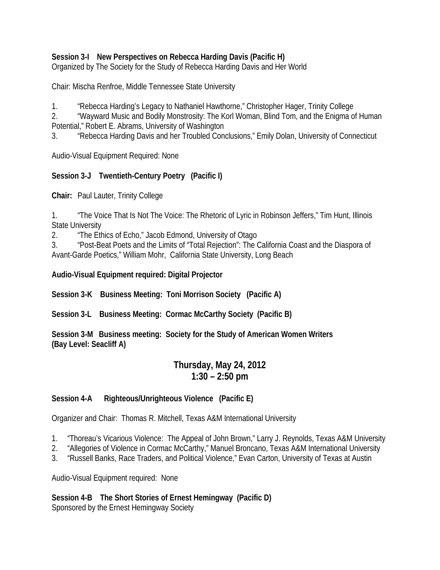#### **Session 3-I New Perspectives on Rebecca Harding Davis (Pacific H)**

Organized by The Society for the Study of Rebecca Harding Davis and Her World

Chair: Mischa Renfroe, Middle Tennessee State University

1. "Rebecca Harding's Legacy to Nathaniel Hawthorne," Christopher Hager, Trinity College

2. "Wayward Music and Bodily Monstrosity: The Korl Woman, Blind Tom, and the Enigma of Human Potential," Robert E. Abrams, University of Washington

3. "Rebecca Harding Davis and her Troubled Conclusions," Emily Dolan, University of Connecticut

Audio-Visual Equipment Required: None

#### **Session 3-J Twentieth-Century Poetry (Pacific I)**

**Chair:** Paul Lauter, Trinity College

1. "The Voice That Is Not The Voice: The Rhetoric of Lyric in Robinson Jeffers," Tim Hunt, Illinois State University

2. "The Ethics of Echo," Jacob Edmond, University of Otago

3. "Post-Beat Poets and the Limits of "Total Rejection": The California Coast and the Diaspora of Avant-Garde Poetics," William Mohr, California State University, Long Beach

**Audio-Visual Equipment required: Digital Projector** 

**Session 3-K Business Meeting: Toni Morrison Society (Pacific A)**

**Session 3-L Business Meeting: Cormac McCarthy Society (Pacific B)**

**Session 3-M Business meeting: Society for the Study of American Women Writers (Bay Level: Seacliff A)**

## **Thursday, May 24, 2012 1:30 – 2:50 pm**

#### **Session 4-A Righteous/Unrighteous Violence (Pacific E)**

Organizer and Chair: Thomas R. Mitchell, Texas A&M International University

- 1. "Thoreau's Vicarious Violence: The Appeal of John Brown," Larry J. Reynolds, Texas A&M University
- 2. "Allegories of Violence in Cormac McCarthy," Manuel Broncano, Texas A&M International University
- 3. "Russell Banks, Race Traders, and Political Violence," Evan Carton, University of Texas at Austin

Audio-Visual Equipment required: None

## **Session 4-B The Short Stories of Ernest Hemingway (Pacific D)**

Sponsored by the Ernest Hemingway Society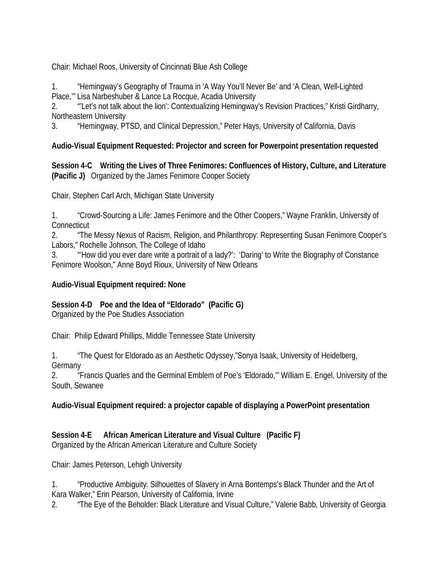Chair: Michael Roos, University of Cincinnati Blue Ash College

1. "Hemingway's Geography of Trauma in 'A Way You'll Never Be' and 'A Clean, Well-Lighted Place,'" Lisa Narbeshuber & Lance La Rocque, Acadia University

2. "'Let's not talk about the lion': Contextualizing Hemingway's Revision Practices," Kristi Girdharry, Northeastern University

3. "Hemingway, PTSD, and Clinical Depression," Peter Hays, University of California, Davis

#### **Audio-Visual Equipment Requested: Projector and screen for Powerpoint presentation requested**

**Session 4-C Writing the Lives of Three Fenimores: Confluences of History, Culture, and Literature (Pacific J)** Organized by the James Fenimore Cooper Society

Chair, Stephen Carl Arch, Michigan State University

1. "Crowd-Sourcing a Life: James Fenimore and the Other Coopers," Wayne Franklin, University of **Connecticut** 

2. "The Messy Nexus of Racism, Religion, and Philanthropy: Representing Susan Fenimore Cooper's Labors," Rochelle Johnson, The College of Idaho

3. "'How did you ever dare write a portrait of a lady?': 'Daring' to Write the Biography of Constance Fenimore Woolson," Anne Boyd Rioux, University of New Orleans

#### **Audio-Visual Equipment required: None**

#### **Session 4-D Poe and the Idea of "Eldorado" (Pacific G)**

Organized by the Poe Studies Association

Chair: Philip Edward Phillips, Middle Tennessee State University

1. "The Quest for Eldorado as an Aesthetic Odyssey,"Sonya Isaak, University of Heidelberg, Germany

2. "Francis Quarles and the Germinal Emblem of Poe's 'Eldorado,'" William E. Engel, University of the South, Sewanee

#### **Audio-Visual Equipment required: a projector capable of displaying a PowerPoint presentation**

# **Session 4-E African American Literature and Visual Culture (Pacific F)**

Organized by the African American Literature and Culture Society

Chair: James Peterson, Lehigh University

1. "Productive Ambiguity: Silhouettes of Slavery in Arna Bontemps's Black Thunder and the Art of Kara Walker," Erin Pearson, University of California, Irvine

2. "The Eye of the Beholder: Black Literature and Visual Culture," Valerie Babb, University of Georgia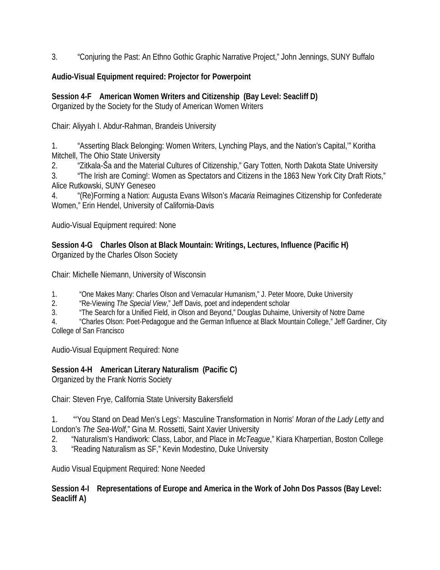3. "Conjuring the Past: An Ethno Gothic Graphic Narrative Project," John Jennings, SUNY Buffalo

#### **Audio-Visual Equipment required: Projector for Powerpoint**

**Session 4-F American Women Writers and Citizenship (Bay Level: Seacliff D)**  Organized by the Society for the Study of American Women Writers

Chair: Aliyyah I. Abdur-Rahman, Brandeis University

1. "Asserting Black Belonging: Women Writers, Lynching Plays, and the Nation's Capital,'" Koritha Mitchell, The Ohio State University

2. "Zitkala-Ša and the Material Cultures of Citizenship," Gary Totten, North Dakota State University

3. "The Irish are Coming!: Women as Spectators and Citizens in the 1863 New York City Draft Riots," Alice Rutkowski, SUNY Geneseo

4. "(Re)Forming a Nation: Augusta Evans Wilson's *Macaria* Reimagines Citizenship for Confederate Women," Erin Hendel, University of California-Davis

Audio-Visual Equipment required: None

**Session 4-G Charles Olson at Black Mountain: Writings, Lectures, Influence (Pacific H)** Organized by the Charles Olson Society

Chair: Michelle Niemann, University of Wisconsin

1. "One Makes Many: Charles Olson and Vernacular Humanism," J. Peter Moore, Duke University

2. "Re-Viewing *The Special View*," Jeff Davis, poet and independent scholar

3. "The Search for a Unified Field, in Olson and Beyond," Douglas Duhaime, University of Notre Dame

4. "Charles Olson: Poet-Pedagogue and the German Influence at Black Mountain College," Jeff Gardiner, City College of San Francisco

Audio-Visual Equipment Required: None

## **Session 4-H American Literary Naturalism (Pacific C)**

Organized by the Frank Norris Society

Chair: Steven Frye, California State University Bakersfield

1. "'You Stand on Dead Men's Legs': Masculine Transformation in Norris' *Moran of the Lady Letty* and London's *The Sea-Wolf*," Gina M. Rossetti, Saint Xavier University

2. "Naturalism's Handiwork: Class, Labor, and Place in *McTeague*," Kiara Kharpertian, Boston College

3. "Reading Naturalism as SF," Kevin Modestino, Duke University

Audio Visual Equipment Required: None Needed

**Session 4-I Representations of Europe and America in the Work of John Dos Passos (Bay Level: Seacliff A)**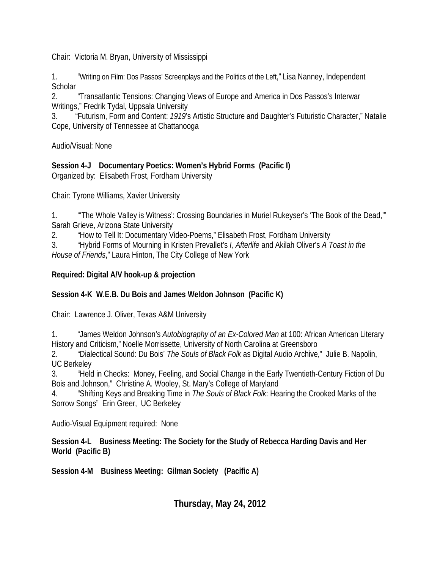Chair: Victoria M. Bryan, University of Mississippi

1. "Writing on Film: Dos Passos' Screenplays and the Politics of the Left," Lisa Nanney, Independent **Scholar** 

2. "Transatlantic Tensions: Changing Views of Europe and America in Dos Passos's Interwar Writings," Fredrik Tydal, Uppsala University

3. "Futurism, Form and Content: *1919*'s Artistic Structure and Daughter's Futuristic Character," Natalie Cope, University of Tennessee at Chattanooga

Audio/Visual: None

**Session 4-J Documentary Poetics: Women's Hybrid Forms (Pacific I)** Organized by: Elisabeth Frost, Fordham University

Chair: Tyrone Williams, Xavier University

1. "'The Whole Valley is Witness': Crossing Boundaries in Muriel Rukeyser's 'The Book of the Dead,'" Sarah Grieve, Arizona State University

2. "How to Tell It: Documentary Video-Poems," Elisabeth Frost, Fordham University

3. "Hybrid Forms of Mourning in Kristen Prevallet's *I, Afterlife* and Akilah Oliver's *A Toast in the House of Friends*," Laura Hinton, The City College of New York

#### **Required: Digital A/V hook-up & projection**

## **Session 4-K W.E.B. Du Bois and James Weldon Johnson (Pacific K)**

Chair: Lawrence J. Oliver, Texas A&M University

1. "James Weldon Johnson's *Autobiography of an Ex-Colored Man* at 100: African American Literary History and Criticism," Noelle Morrissette, University of North Carolina at Greensboro

2. "Dialectical Sound: Du Bois' *The Souls of Black Folk* as Digital Audio Archive," Julie B. Napolin, UC Berkeley

3. "Held in Checks: Money, Feeling, and Social Change in the Early Twentieth-Century Fiction of Du Bois and Johnson," Christine A. Wooley, St. Mary's College of Maryland

4. "Shifting Keys and Breaking Time in *The Souls of Black Folk*: Hearing the Crooked Marks of the Sorrow Songs" Erin Greer, UC Berkeley

Audio-Visual Equipment required: None

**Session 4-L Business Meeting: The Society for the Study of Rebecca Harding Davis and Her World (Pacific B)**

**Session 4-M Business Meeting: Gilman Society (Pacific A)**

**Thursday, May 24, 2012**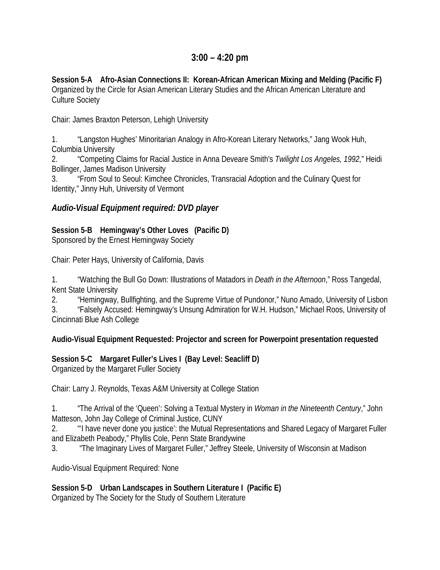## **3:00 – 4:20 pm**

**Session 5-A Afro-Asian Connections II: Korean-African American Mixing and Melding (Pacific F)**  Organized by the Circle for Asian American Literary Studies and the African American Literature and Culture Society

Chair: James Braxton Peterson, Lehigh University

1. "Langston Hughes' Minoritarian Analogy in Afro-Korean Literary Networks," Jang Wook Huh, Columbia University

2. "Competing Claims for Racial Justice in Anna Deveare Smith's *Twilight Los Angeles, 1992,*" Heidi Bollinger, James Madison University

3. "From Soul to Seoul: Kimchee Chronicles, Transracial Adoption and the Culinary Quest for Identity," Jinny Huh, University of Vermont

#### *Audio-Visual Equipment required: DVD player*

## **Session 5-B Hemingway's Other Loves (Pacific D)**

Sponsored by the Ernest Hemingway Society

Chair: Peter Hays, University of California, Davis

1. "Watching the Bull Go Down: Illustrations of Matadors in *Death in the Afternoon*," Ross Tangedal, Kent State University

2. "Hemingway, Bullfighting, and the Supreme Virtue of Pundonor," Nuno Amado, University of Lisbon 3. "Falsely Accused: Hemingway's Unsung Admiration for W.H. Hudson," Michael Roos, University of Cincinnati Blue Ash College

#### **Audio-Visual Equipment Requested: Projector and screen for Powerpoint presentation requested**

## **Session 5-C Margaret Fuller's Lives I (Bay Level: Seacliff D)**

Organized by the Margaret Fuller Society

Chair: Larry J. Reynolds, Texas A&M University at College Station

1. "The Arrival of the 'Queen': Solving a Textual Mystery in *Woman in the Nineteenth Century*," John Matteson, John Jay College of Criminal Justice, CUNY

2. "'I have never done you justice': the Mutual Representations and Shared Legacy of Margaret Fuller and Elizabeth Peabody," Phyllis Cole, Penn State Brandywine

3. "The Imaginary Lives of Margaret Fuller," Jeffrey Steele, University of Wisconsin at Madison

Audio-Visual Equipment Required: None

**Session 5-D Urban Landscapes in Southern Literature I (Pacific E)** Organized by The Society for the Study of Southern Literature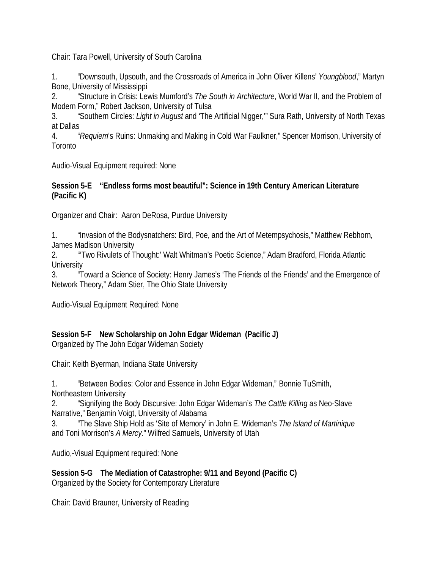Chair: Tara Powell, University of South Carolina

1. "Downsouth, Upsouth, and the Crossroads of America in John Oliver Killens' *Youngblood*," Martyn Bone, University of Mississippi

2. "Structure in Crisis: Lewis Mumford's *The South in Architecture*, World War II, and the Problem of Modern Form," Robert Jackson, University of Tulsa

3. "Southern Circles: *Light in August* and 'The Artificial Nigger,'" Sura Rath, University of North Texas at Dallas

4. "*Requiem*'s Ruins: Unmaking and Making in Cold War Faulkner," Spencer Morrison, University of **Toronto** 

Audio-Visual Equipment required: None

#### **Session 5-E "Endless forms most beautiful": Science in 19th Century American Literature (Pacific K)**

Organizer and Chair: Aaron DeRosa, Purdue University

1. "Invasion of the Bodysnatchers: Bird, Poe, and the Art of Metempsychosis," Matthew Rebhorn, James Madison University

2. "'Two Rivulets of Thought:' Walt Whitman's Poetic Science," Adam Bradford, Florida Atlantic **University** 

3. "Toward a Science of Society: Henry James's 'The Friends of the Friends' and the Emergence of Network Theory," Adam Stier, The Ohio State University

Audio-Visual Equipment Required: None

## **Session 5-F New Scholarship on John Edgar Wideman (Pacific J)**

Organized by The John Edgar Wideman Society

Chair: Keith Byerman, Indiana State University

1. "Between Bodies: Color and Essence in John Edgar Wideman," Bonnie TuSmith, Northeastern University

2. "Signifying the Body Discursive: John Edgar Wideman's *The Cattle Killing* as Neo-Slave Narrative," Benjamin Voigt, University of Alabama

3. "The Slave Ship Hold as 'Site of Memory' in John E. Wideman's *The Island of Martinique* and Toni Morrison's *A Mercy*." Wilfred Samuels, University of Utah

Audio,-Visual Equipment required: None

**Session 5-G The Mediation of Catastrophe: 9/11 and Beyond (Pacific C)** Organized by the Society for Contemporary Literature

Chair: David Brauner, University of Reading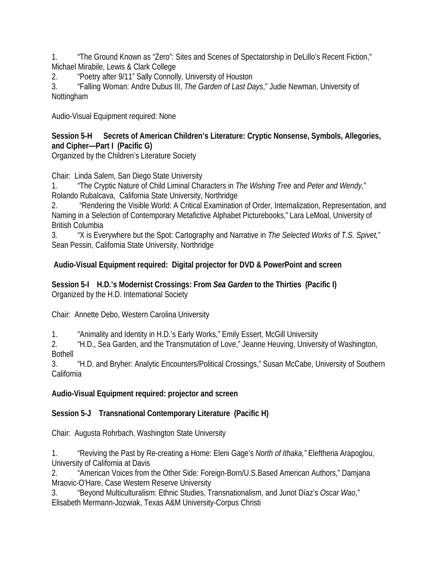1. "The Ground Known as "Zero": Sites and Scenes of Spectatorship in DeLillo's Recent Fiction," Michael Mirabile, Lewis & Clark College

2. "Poetry after 9/11" Sally Connolly, University of Houston

3. "Falling Woman: Andre Dubus III, *The Garden of Last Days*," Judie Newman, University of Nottingham

Audio-Visual Equipment required: None

#### **Session 5-H Secrets of American Children's Literature: Cryptic Nonsense, Symbols, Allegories, and Cipher—Part I (Pacific G)**

Organized by the Children's Literature Society

Chair: Linda Salem, San Diego State University

1. "The Cryptic Nature of Child Liminal Characters in *The Wishing Tree* and *Peter and Wendy,*" Rolando Rubalcava, California State University, Northridge

2. "Rendering the Visible World: A Critical Examination of Order, Internalization, Representation, and Naming in a Selection of Contemporary Metafictive Alphabet Picturebooks," Lara LeMoal, University of British Columbia

3. "X is Everywhere but the Spot: Cartography and Narrative in *The Selected Works of T.S. Spivet,*" Sean Pessin, California State University, Northridge

## **Audio-Visual Equipment required: Digital projector for DVD & PowerPoint and screen**

#### **Session 5-I H.D.'s Modernist Crossings: From** *Sea Garden* **to the Thirties (Pacific I)** Organized by the H.D. International Society

Chair: Annette Debo, Western Carolina University

1. "Animality and Identity in H.D.'s Early Works," Emily Essert, McGill University

2. "H.D., Sea Garden, and the Transmutation of Love," Jeanne Heuving, University of Washington, Bothell

3. "H.D. and Bryher: Analytic Encounters/Political Crossings," Susan McCabe, University of Southern California

## **Audio-Visual Equipment required: projector and screen**

## **Session 5-J Transnational Contemporary Literature (Pacific H)**

Chair: Augusta Rohrbach, Washington State University

1. "Reviving the Past by Re-creating a Home: Eleni Gage's *North of Ithaka,"* Eleftheria Arapoglou, University of California at Davis

2. "American Voices from the Other Side: Foreign-Born/U.S.Based American Authors," Damjana Mraovic-O'Hare, Case Western Reserve University

3. "Beyond Multiculturalism: Ethnic Studies, Transnationalism, and Junot Díaz's *Oscar Wao*," Elisabeth Mermann-Jozwiak, Texas A&M University-Corpus Christi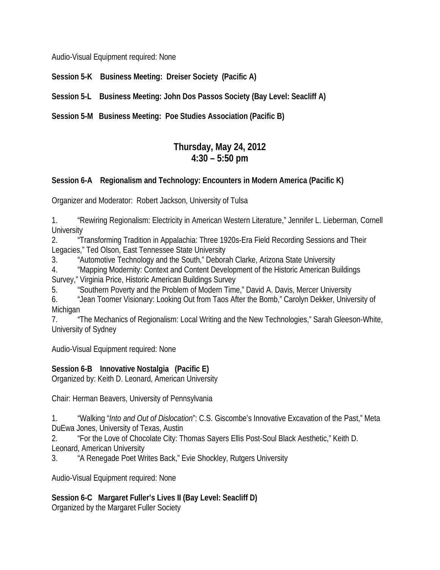Audio-Visual Equipment required: None

**Session 5-K Business Meeting: Dreiser Society (Pacific A)**

**Session 5-L Business Meeting: John Dos Passos Society (Bay Level: Seacliff A)**

**Session 5-M Business Meeting: Poe Studies Association (Pacific B)**

## **Thursday, May 24, 2012 4:30 – 5:50 pm**

## **Session 6-A Regionalism and Technology: Encounters in Modern America (Pacific K)**

Organizer and Moderator: Robert Jackson, University of Tulsa

1. "Rewiring Regionalism: Electricity in American Western Literature," Jennifer L. Lieberman, Cornell **University** 

2. "Transforming Tradition in Appalachia: Three 1920s-Era Field Recording Sessions and Their Legacies," Ted Olson, East Tennessee State University

3. "Automotive Technology and the South," Deborah Clarke, Arizona State University

4. "Mapping Modernity: Context and Content Development of the Historic American Buildings

Survey," Virginia Price, Historic American Buildings Survey

5. "Southern Poverty and the Problem of Modern Time," David A. Davis, Mercer University

6. "Jean Toomer Visionary: Looking Out from Taos After the Bomb," Carolyn Dekker, University of Michigan

7. "The Mechanics of Regionalism: Local Writing and the New Technologies," Sarah Gleeson-White, University of Sydney

Audio-Visual Equipment required: None

**Session 6-B Innovative Nostalgia (Pacific E)**

Organized by: Keith D. Leonard, American University

Chair: Herman Beavers, University of Pennsylvania

1. "Walking "*Into and Out of Dislocation*": C.S. Giscombe's Innovative Excavation of the Past," Meta DuEwa Jones, University of Texas, Austin

2. "For the Love of Chocolate City: Thomas Sayers Ellis Post-Soul Black Aesthetic," Keith D.

Leonard, American University

3. "A Renegade Poet Writes Back," Evie Shockley, Rutgers University

Audio-Visual Equipment required: None

**Session 6-C Margaret Fuller's Lives II (Bay Level: Seacliff D)**  Organized by the Margaret Fuller Society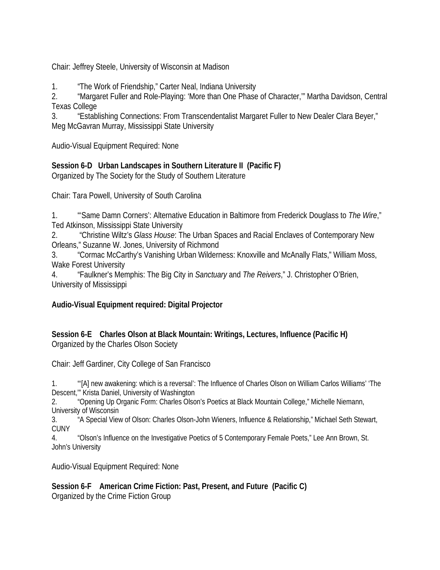Chair: Jeffrey Steele, University of Wisconsin at Madison

1. "The Work of Friendship," Carter Neal, Indiana University

2. "Margaret Fuller and Role-Playing: 'More than One Phase of Character,'" Martha Davidson, Central Texas College

3. "Establishing Connections: From Transcendentalist Margaret Fuller to New Dealer Clara Beyer," Meg McGavran Murray, Mississippi State University

Audio-Visual Equipment Required: None

## **Session 6-D Urban Landscapes in Southern Literature II (Pacific F)**

Organized by The Society for the Study of Southern Literature

Chair: Tara Powell, University of South Carolina

1. "'Same Damn Corners': Alternative Education in Baltimore from Frederick Douglass to *The Wire*," Ted Atkinson, Mississippi State University

2. "Christine Wiltz's *Glass House*: The Urban Spaces and Racial Enclaves of Contemporary New Orleans," Suzanne W. Jones, University of Richmond

3. "Cormac McCarthy's Vanishing Urban Wilderness: Knoxville and McAnally Flats," William Moss, Wake Forest University

4. "Faulkner's Memphis: The Big City in *Sanctuary* and *The Reivers*," J. Christopher O'Brien, University of Mississippi

## **Audio-Visual Equipment required: Digital Projector**

#### **Session 6-E Charles Olson at Black Mountain: Writings, Lectures, Influence (Pacific H)** Organized by the Charles Olson Society

Chair: Jeff Gardiner, City College of San Francisco

1. "'[A] new awakening: which is a reversal': The Influence of Charles Olson on William Carlos Williams' 'The Descent,'" Krista Daniel, University of Washington

2. "Opening Up Organic Form: Charles Olson's Poetics at Black Mountain College," Michelle Niemann, University of Wisconsin

3. "A Special View of Olson: Charles Olson-John Wieners, Influence & Relationship," Michael Seth Stewart, CUNY

4. "Olson's Influence on the Investigative Poetics of 5 Contemporary Female Poets," Lee Ann Brown, St. John's University

Audio-Visual Equipment Required: None

**Session 6-F American Crime Fiction: Past, Present, and Future (Pacific C)** Organized by the Crime Fiction Group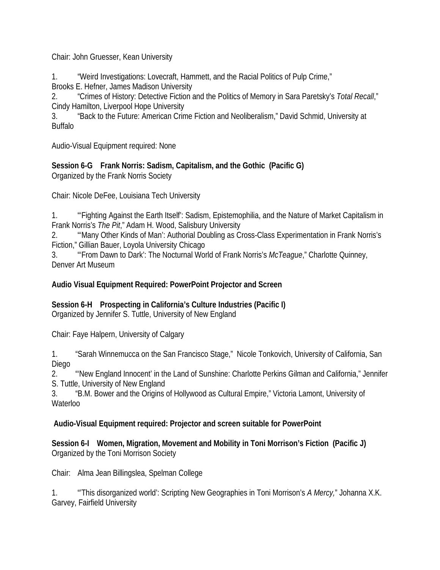Chair: John Gruesser, Kean University

1. "Weird Investigations: Lovecraft, Hammett, and the Racial Politics of Pulp Crime," Brooks E. Hefner, James Madison University

2. "Crimes of History: Detective Fiction and the Politics of Memory in Sara Paretsky's *Total Recall*," Cindy Hamilton, Liverpool Hope University

3. "Back to the Future: American Crime Fiction and Neoliberalism," David Schmid, University at Buffalo

Audio-Visual Equipment required: None

**Session 6-G Frank Norris: Sadism, Capitalism, and the Gothic (Pacific G)** Organized by the Frank Norris Society

Chair: Nicole DeFee, Louisiana Tech University

1. "'Fighting Against the Earth Itself': Sadism, Epistemophilia, and the Nature of Market Capitalism in Frank Norris's *The Pit*," Adam H. Wood, Salisbury University

2. "'Many Other Kinds of Man': Authorial Doubling as Cross-Class Experimentation in Frank Norris's Fiction," Gillian Bauer, Loyola University Chicago

3. "'From Dawn to Dark': The Nocturnal World of Frank Norris's *McTeague*," Charlotte Quinney, Denver Art Museum

#### **Audio Visual Equipment Required: PowerPoint Projector and Screen**

**Session 6-H Prospecting in California's Culture Industries (Pacific I)** Organized by Jennifer S. Tuttle, University of New England

Chair: Faye Halpern, University of Calgary

1. "Sarah Winnemucca on the San Francisco Stage," Nicole Tonkovich, University of California, San Diego

2. "'New England Innocent' in the Land of Sunshine: Charlotte Perkins Gilman and California," Jennifer S. Tuttle, University of New England

3. "B.M. Bower and the Origins of Hollywood as Cultural Empire," Victoria Lamont, University of Waterloo

#### **Audio-Visual Equipment required: Projector and screen suitable for PowerPoint**

**Session 6-I Women, Migration, Movement and Mobility in Toni Morrison's Fiction (Pacific J)**  Organized by the Toni Morrison Society

Chair: Alma Jean Billingslea, Spelman College

1. "'This disorganized world': Scripting New Geographies in Toni Morrison's *A Mercy,*" Johanna X.K. Garvey, Fairfield University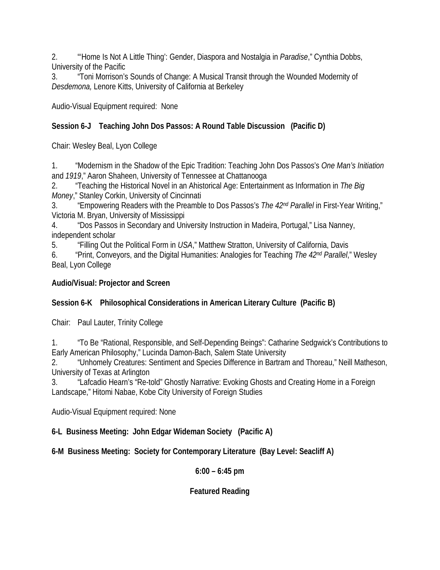2. "'Home Is Not A Little Thing': Gender, Diaspora and Nostalgia in *Paradise*," Cynthia Dobbs, University of the Pacific

3. "Toni Morrison's Sounds of Change: A Musical Transit through the Wounded Modernity of *Desdemona,* Lenore Kitts, University of California at Berkeley

Audio-Visual Equipment required: None

## **Session 6-J Teaching John Dos Passos: A Round Table Discussion (Pacific D)**

Chair: Wesley Beal, Lyon College

1. "Modernism in the Shadow of the Epic Tradition: Teaching John Dos Passos's *One Man's Initiation*  and *1919*," Aaron Shaheen, University of Tennessee at Chattanooga

2. "Teaching the Historical Novel in an Ahistorical Age: Entertainment as Information in *The Big Money*," Stanley Corkin, University of Cincinnati

3. "Empowering Readers with the Preamble to Dos Passos's *The 42nd Parallel* in First-Year Writing," Victoria M. Bryan, University of Mississippi

4. "Dos Passos in Secondary and University Instruction in Madeira, Portugal," Lisa Nanney, independent scholar

5. "Filling Out the Political Form in *USA*," Matthew Stratton, University of California, Davis

6. "Print, Conveyors, and the Digital Humanities: Analogies for Teaching *The 42nd Parallel*," Wesley Beal, Lyon College

## **Audio/Visual: Projector and Screen**

## **Session 6-K Philosophical Considerations in American Literary Culture (Pacific B)**

Chair: Paul Lauter, Trinity College

1. "To Be "Rational, Responsible, and Self-Depending Beings": Catharine Sedgwick's Contributions to Early American Philosophy," Lucinda Damon-Bach, Salem State University

2. "Unhomely Creatures: Sentiment and Species Difference in Bartram and Thoreau," Neill Matheson, University of Texas at Arlington

3. "Lafcadio Hearn's "Re-told" Ghostly Narrative: Evoking Ghosts and Creating Home in a Foreign Landscape," Hitomi Nabae, Kobe City University of Foreign Studies

Audio-Visual Equipment required: None

**6-L Business Meeting: John Edgar Wideman Society (Pacific A)**

**6-M Business Meeting: Society for Contemporary Literature (Bay Level: Seacliff A)**

## **6:00 – 6:45 pm**

## **Featured Reading**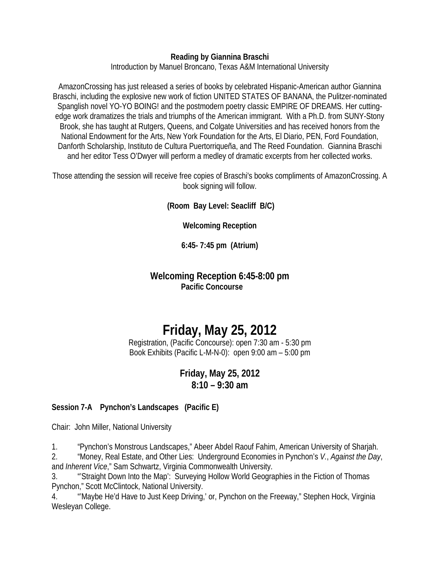#### **Reading by Giannina Braschi**

Introduction by Manuel Broncano, Texas A&M International University

AmazonCrossing has just released a series of books by celebrated Hispanic-American author Giannina Braschi, including the explosive new work of fiction UNITED STATES OF BANANA, the Pulitzer-nominated Spanglish novel YO-YO BOING! and the postmodern poetry classic EMPIRE OF DREAMS. Her cuttingedge work dramatizes the trials and triumphs of the American immigrant. With a Ph.D. from SUNY-Stony Brook, she has taught at Rutgers, Queens, and Colgate Universities and has received honors from the National Endowment for the Arts, New York Foundation for the Arts, El Diario, PEN, Ford Foundation, Danforth Scholarship, Instituto de Cultura Puertorriqueña, and The Reed Foundation. Giannina Braschi and her editor Tess O'Dwyer will perform a medley of dramatic excerpts from her collected works.

Those attending the session will receive free copies of Braschi's books compliments of AmazonCrossing. A book signing will follow.

**(Room Bay Level: Seacliff B/C)** 

**Welcoming Reception**

**6:45- 7:45 pm (Atrium)**

## **Welcoming Reception 6:45-8:00 pm Pacific Concourse**

# **Friday, May 25, 2012**

Registration, (Pacific Concourse): open 7:30 am - 5:30 pm Book Exhibits (Pacific L-M-N-0): open 9:00 am – 5:00 pm

## **Friday, May 25, 2012 8:10 – 9:30 am**

## **Session 7-A Pynchon's Landscapes (Pacific E)**

Chair: John Miller, National University

1. "Pynchon's Monstrous Landscapes," Abeer Abdel Raouf Fahim, American University of Sharjah.

2. "Money, Real Estate, and Other Lies: Underground Economies in Pynchon's *V.*, *Against the Day*, and *Inherent Vice*," Sam Schwartz, Virginia Commonwealth University.

3. "'Straight Down Into the Map': Surveying Hollow World Geographies in the Fiction of Thomas Pynchon," Scott McClintock, National University.

4. "'Maybe He'd Have to Just Keep Driving,' or, Pynchon on the Freeway," Stephen Hock, Virginia Wesleyan College.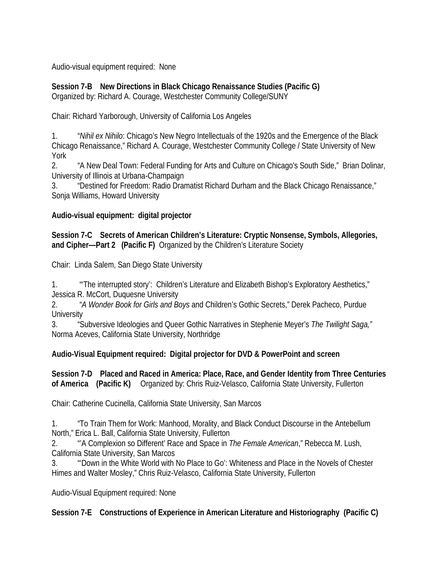Audio-visual equipment required: None

**Session 7-B New Directions in Black Chicago Renaissance Studies (Pacific G)** Organized by: Richard A. Courage, Westchester Community College/SUNY

Chair: Richard Yarborough, University of California Los Angeles

1. "*Nihil ex Nihilo*: Chicago's New Negro Intellectuals of the 1920s and the Emergence of the Black Chicago Renaissance," Richard A. Courage, Westchester Community College / State University of New York

2. "A New Deal Town: Federal Funding for Arts and Culture on Chicago's South Side," Brian Dolinar, University of Illinois at Urbana-Champaign

3. "Destined for Freedom: Radio Dramatist Richard Durham and the Black Chicago Renaissance," Sonja Williams, Howard University

#### **Audio-visual equipment: digital projector**

**Session 7-C Secrets of American Children's Literature: Cryptic Nonsense, Symbols, Allegories, and Cipher—Part 2 (Pacific F)** Organized by the Children's Literature Society

Chair: Linda Salem, San Diego State University

1. "'The interrupted story': Children's Literature and Elizabeth Bishop's Exploratory Aesthetics," Jessica R. McCort, Duquesne University

2. "*A Wonder Book for Girls and Boys* and Children's Gothic Secrets," Derek Pacheco, Purdue **University** 

3. "Subversive Ideologies and Queer Gothic Narratives in Stephenie Meyer's *The Twilight Saga,"*  Norma Aceves, California State University, Northridge

## **Audio-Visual Equipment required: Digital projector for DVD & PowerPoint and screen**

**Session 7-D Placed and Raced in America: Place, Race, and Gender Identity from Three Centuries of America (Pacific K)** Organized by: Chris Ruiz-Velasco, California State University, Fullerton

Chair: Catherine Cucinella, California State University, San Marcos

1. "To Train Them for Work: Manhood, Morality, and Black Conduct Discourse in the Antebellum North," Erica L. Ball, California State University, Fullerton

2. "'A Complexion so Different' Race and Space in *The Female American*," Rebecca M. Lush, California State University, San Marcos

3. "'Down in the White World with No Place to Go': Whiteness and Place in the Novels of Chester Himes and Walter Mosley," Chris Ruiz-Velasco, California State University, Fullerton

Audio-Visual Equipment required: None

## **Session 7-E Constructions of Experience in American Literature and Historiography (Pacific C)**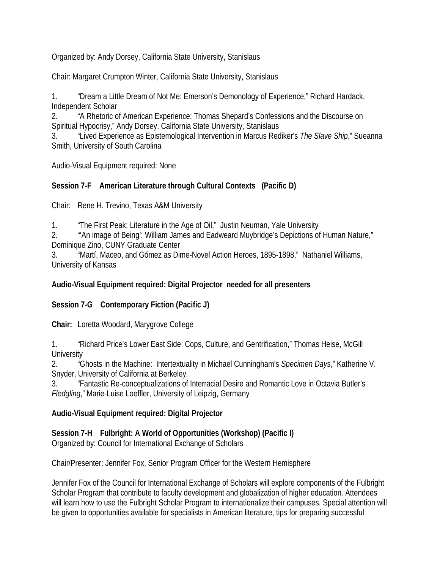Organized by: Andy Dorsey, California State University, Stanislaus

Chair: Margaret Crumpton Winter, California State University, Stanislaus

1. "Dream a Little Dream of Not Me: Emerson's Demonology of Experience," Richard Hardack, Independent Scholar

2. "A Rhetoric of American Experience: Thomas Shepard's Confessions and the Discourse on Spiritual Hypocrisy," Andy Dorsey, California State University, Stanislaus

3. "Lived Experience as Epistemological Intervention in Marcus Rediker's *The Slave Ship*," Sueanna Smith, University of South Carolina

Audio-Visual Equipment required: None

## **Session 7-F American Literature through Cultural Contexts (Pacific D)**

Chair: Rene H. Trevino, Texas A&M University

1. "The First Peak: Literature in the Age of Oil," Justin Neuman, Yale University

2. "'An image of Being': William James and Eadweard Muybridge's Depictions of Human Nature," Dominique Zino, CUNY Graduate Center

3. "Martí, Maceo, and Gómez as Dime-Novel Action Heroes, 1895-1898," Nathaniel Williams, University of Kansas

## **Audio-Visual Equipment required: Digital Projector needed for all presenters**

**Session 7-G Contemporary Fiction (Pacific J)** 

**Chair:** Loretta Woodard, Marygrove College

1. "Richard Price's Lower East Side: Cops, Culture, and Gentrification," Thomas Heise, McGill **University** 

2. "Ghosts in the Machine: Intertextuality in Michael Cunningham's *Specimen Days*," Katherine V. Snyder, University of California at Berkeley.

3. "Fantastic Re-conceptualizations of Interracial Desire and Romantic Love in Octavia Butler's *Fledgling*," Marie-Luise Loeffler, University of Leipzig, Germany

## **Audio-Visual Equipment required: Digital Projector**

## **Session 7-H Fulbright: A World of Opportunities (Workshop) (Pacific I)**

Organized by: Council for International Exchange of Scholars

Chair/Presenter: Jennifer Fox, Senior Program Officer for the Western Hemisphere

Jennifer Fox of the Council for International Exchange of Scholars will explore components of the Fulbright Scholar Program that contribute to faculty development and globalization of higher education. Attendees will learn how to use the Fulbright Scholar Program to internationalize their campuses. Special attention will be given to opportunities available for specialists in American literature, tips for preparing successful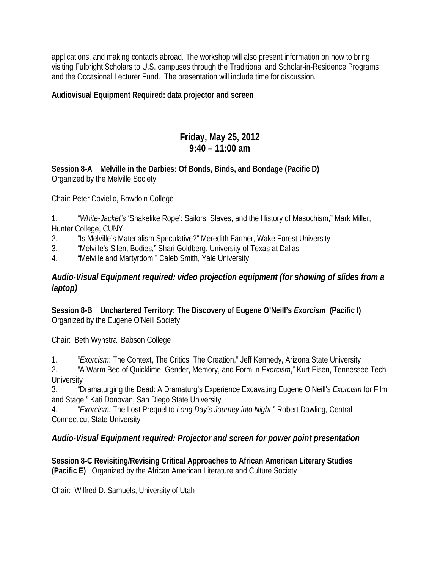applications, and making contacts abroad. The workshop will also present information on how to bring visiting Fulbright Scholars to U.S. campuses through the Traditional and Scholar-in-Residence Programs and the Occasional Lecturer Fund. The presentation will include time for discussion.

**Audiovisual Equipment Required: data projector and screen**

## **Friday, May 25, 2012 9:40 – 11:00 am**

**Session 8-A Melville in the Darbies: Of Bonds, Binds, and Bondage (Pacific D)** Organized by the Melville Society

Chair: Peter Coviello, Bowdoin College

1. "*White-Jacket's* 'Snakelike Rope': Sailors, Slaves, and the History of Masochism," Mark Miller, Hunter College, CUNY

2. "Is Melville's Materialism Speculative?" Meredith Farmer, Wake Forest University

- 3. "Melville's Silent Bodies," Shari Goldberg, University of Texas at Dallas
- 4. "Melville and Martyrdom," Caleb Smith, Yale University

## *Audio-Visual Equipment required: video projection equipment (for showing of slides from a laptop)*

**Session 8-B Unchartered Territory: The Discovery of Eugene O'Neill's** *Exorcism* **(Pacific I)** Organized by the Eugene O'Neill Society

Chair: Beth Wynstra, Babson College

1. "*Exorcism*: The Context, The Critics, The Creation," Jeff Kennedy, Arizona State University

2. "A Warm Bed of Quicklime: Gender, Memory, and Form in *Exorcism*," Kurt Eisen, Tennessee Tech **University** 

3. "Dramaturging the Dead: A Dramaturg's Experience Excavating Eugene O'Neill's *Exorcism* for Film and Stage," Kati Donovan, San Diego State University

4. "*Exorcism:* The Lost Prequel to *Long Day's Journey into Night*," Robert Dowling, Central Connecticut State University

## *Audio-Visual Equipment required: Projector and screen for power point presentation*

**Session 8-C Revisiting/Revising Critical Approaches to African American Literary Studies (Pacific E)** Organized by the African American Literature and Culture Society

Chair: Wilfred D. Samuels, University of Utah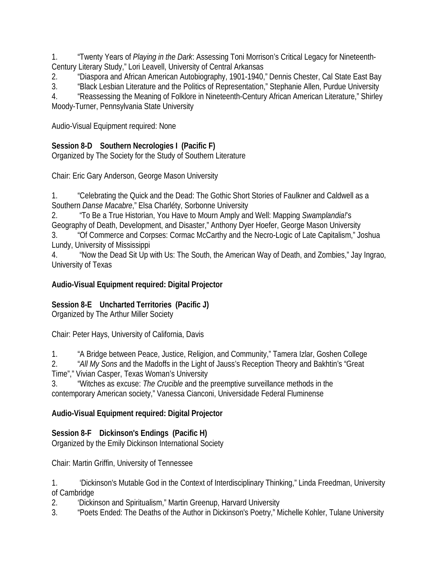1. "Twenty Years of *Playing in the Dark*: Assessing Toni Morrison's Critical Legacy for Nineteenth-Century Literary Study," Lori Leavell, University of Central Arkansas

2. "Diaspora and African American Autobiography, 1901-1940," Dennis Chester, Cal State East Bay

3. "Black Lesbian Literature and the Politics of Representation," Stephanie Allen, Purdue University

4. "Reassessing the Meaning of Folklore in Nineteenth-Century African American Literature," Shirley Moody-Turner, Pennsylvania State University

Audio-Visual Equipment required: None

## **Session 8-D Southern Necrologies I (Pacific F)**

Organized by The Society for the Study of Southern Literature

Chair: Eric Gary Anderson, George Mason University

1. "Celebrating the Quick and the Dead: The Gothic Short Stories of Faulkner and Caldwell as a Southern *Danse Macabre*," Elsa Charléty, Sorbonne University

2. "To Be a True Historian, You Have to Mourn Amply and Well: Mapping *Swamplandia!*'s Geography of Death, Development, and Disaster," Anthony Dyer Hoefer, George Mason University 3. "Of Commerce and Corpses: Cormac McCarthy and the Necro-Logic of Late Capitalism," Joshua

Lundy, University of Mississippi

4. "Now the Dead Sit Up with Us: The South, the American Way of Death, and Zombies," Jay Ingrao, University of Texas

## **Audio-Visual Equipment required: Digital Projector**

## **Session 8-E Uncharted Territories (Pacific J)**

Organized by The Arthur Miller Society

Chair: Peter Hays, University of California, Davis

1. "A Bridge between Peace, Justice, Religion, and Community," Tamera Izlar, Goshen College

2. "*All My Sons* and the Madoffs in the Light of Jauss's Reception Theory and Bakhtin's "Great Time"," Vivian Casper, Texas Woman's University

3. "Witches as excuse: *The Crucible* and the preemptive surveillance methods in the contemporary American society," Vanessa Cianconi, Universidade Federal Fluminense

## **Audio-Visual Equipment required: Digital Projector**

## **Session 8-F Dickinson's Endings (Pacific H)**

Organized by the Emily Dickinson International Society

Chair: Martin Griffin, University of Tennessee

1. 'Dickinson's Mutable God in the Context of Interdisciplinary Thinking," Linda Freedman, University of Cambridge

2. 'Dickinson and Spiritualism," Martin Greenup, Harvard University

3. "Poets Ended: The Deaths of the Author in Dickinson's Poetry," Michelle Kohler, Tulane University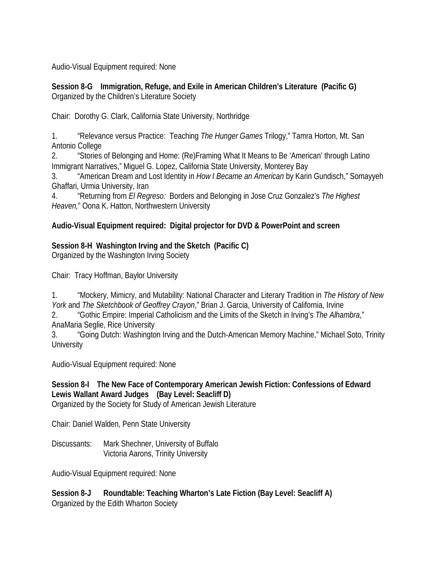Audio-Visual Equipment required: None

**Session 8-G Immigration, Refuge, and Exile in American Children's Literature (Pacific G)** Organized by the Children's Literature Society

Chair: Dorothy G. Clark, California State University, Northridge

1. "Relevance versus Practice: Teaching *The Hunger Games* Trilogy," Tamra Horton, Mt. San Antonio College

2. "Stories of Belonging and Home: (Re)Framing What It Means to Be 'American' through Latino Immigrant Narratives," Miguel G. Lopez, California State University, Monterey Bay

3. "American Dream and Lost Identity in *How I Became an American* by Karin Gundisch," Somayyeh Ghaffari, Urmia University, Iran

4. "Returning from *El Regreso:* Borders and Belonging in Jose Cruz Gonzalez's *The Highest Heaven,*" Oona K. Hatton, Northwestern University

#### **Audio-Visual Equipment required: Digital projector for DVD & PowerPoint and screen**

#### **Session 8-H Washington Irving and the Sketch (Pacific C)**

Organized by the Washington Irving Society

Chair: Tracy Hoffman, Baylor University

1. "Mockery, Mimicry, and Mutability: National Character and Literary Tradition in *The History of New York* and *The Sketchbook of Geoffrey Crayon*," Brian J. Garcia, University of California, Irvine

2. "Gothic Empire: Imperial Catholicism and the Limits of the Sketch in Irving's *The Alhambra*," AnaMaria Seglie, Rice University

3. "Going Dutch: Washington Irving and the Dutch-American Memory Machine," Michael Soto, Trinity **University** 

Audio-Visual Equipment required: None

## **Session 8-I The New Face of Contemporary American Jewish Fiction: Confessions of Edward Lewis Wallant Award Judges (Bay Level: Seacliff D)**

Organized by the Society for Study of American Jewish Literature

Chair: Daniel Walden, Penn State University

Discussants: Mark Shechner, University of Buffalo Victoria Aarons, Trinity University

Audio-Visual Equipment required: None

**Session 8-J Roundtable: Teaching Wharton's Late Fiction (Bay Level: Seacliff A)** Organized by the Edith Wharton Society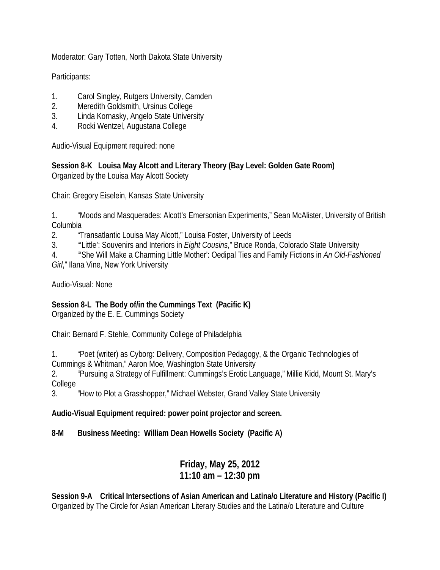Moderator: Gary Totten, North Dakota State University

Participants:

- 1. Carol Singley, Rutgers University, Camden
- 2. Meredith Goldsmith, Ursinus College
- 3. Linda Kornasky, Angelo State University
- 4. Rocki Wentzel, Augustana College

Audio-Visual Equipment required: none

**Session 8-K Louisa May Alcott and Literary Theory (Bay Level: Golden Gate Room)** Organized by the Louisa May Alcott Society

Chair: Gregory Eiselein, Kansas State University

1. "Moods and Masquerades: Alcott's Emersonian Experiments," Sean McAlister, University of British Columbia

2. "Transatlantic Louisa May Alcott," Louisa Foster, University of Leeds

3. "'Little': Souvenirs and Interiors in *Eight Cousins*," Bruce Ronda, Colorado State University

4. "'She Will Make a Charming Little Mother': Oedipal Ties and Family Fictions in *An Old-Fashioned Girl*," Ilana Vine, New York University

Audio-Visual: None

## **Session 8-L The Body of/in the Cummings Text (Pacific K)**

Organized by the E. E. Cummings Society

Chair: Bernard F. Stehle, Community College of Philadelphia

1. "Poet (writer) as Cyborg: Delivery, Composition Pedagogy, & the Organic Technologies of Cummings & Whitman," Aaron Moe, Washington State University

2. "Pursuing a Strategy of Fulfillment: Cummings's Erotic Language," Millie Kidd, Mount St. Mary's College

3. "How to Plot a Grasshopper," Michael Webster, Grand Valley State University

**Audio-Visual Equipment required: power point projector and screen.**

**8-M Business Meeting: William Dean Howells Society (Pacific A)**

## **Friday, May 25, 2012 11:10 am – 12:30 pm**

**Session 9-A Critical Intersections of Asian American and Latina/o Literature and History (Pacific I)** Organized by The Circle for Asian American Literary Studies and the Latina/o Literature and Culture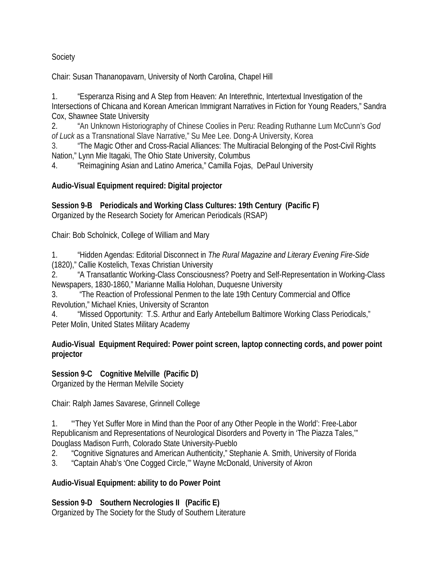#### Society

Chair: Susan Thananopavarn, University of North Carolina, Chapel Hill

1. "Esperanza Rising and A Step from Heaven: An Interethnic, Intertextual Investigation of the Intersections of Chicana and Korean American Immigrant Narratives in Fiction for Young Readers," Sandra Cox, Shawnee State University

2. "An Unknown Historiography of Chinese Coolies in Peru: Reading Ruthanne Lum McCunn's *God of Luck* as a Transnational Slave Narrative," Su Mee Lee. Dong-A University, Korea

3. "The Magic Other and Cross-Racial Alliances: The Multiracial Belonging of the Post-Civil Rights Nation," Lynn Mie Itagaki, The Ohio State University, Columbus

4. "Reimagining Asian and Latino America," Camilla Fojas, DePaul University

## **Audio-Visual Equipment required: Digital projector**

## **Session 9-B Periodicals and Working Class Cultures: 19th Century (Pacific F)**

Organized by the Research Society for American Periodicals (RSAP)

Chair: Bob Scholnick, College of William and Mary

1. "Hidden Agendas: Editorial Disconnect in *The Rural Magazine and Literary Evening Fire-Side* (1820)," Callie Kostelich, Texas Christian University

2. "A Transatlantic Working-Class Consciousness? Poetry and Self-Representation in Working-Class Newspapers, 1830-1860," Marianne Mallia Holohan, Duquesne University

3. "The Reaction of Professional Penmen to the late 19th Century Commercial and Office Revolution," Michael Knies, University of Scranton

4. "Missed Opportunity: T.S. Arthur and Early Antebellum Baltimore Working Class Periodicals," Peter Molin, United States Military Academy

#### **Audio-Visual Equipment Required: Power point screen, laptop connecting cords, and power point projector**

## **Session 9-C Cognitive Melville (Pacific D)**

Organized by the Herman Melville Society

Chair: Ralph James Savarese, Grinnell College

1. "'They Yet Suffer More in Mind than the Poor of any Other People in the World': Free-Labor Republicanism and Representations of Neurological Disorders and Poverty in 'The Piazza Tales,'" Douglass Madison Furrh, Colorado State University-Pueblo

- 2. "Cognitive Signatures and American Authenticity," Stephanie A. Smith, University of Florida
- 3. "Captain Ahab's 'One Cogged Circle,'" Wayne McDonald, University of Akron

## **Audio-Visual Equipment: ability to do Power Point**

**Session 9-D Southern Necrologies II (Pacific E)** Organized by The Society for the Study of Southern Literature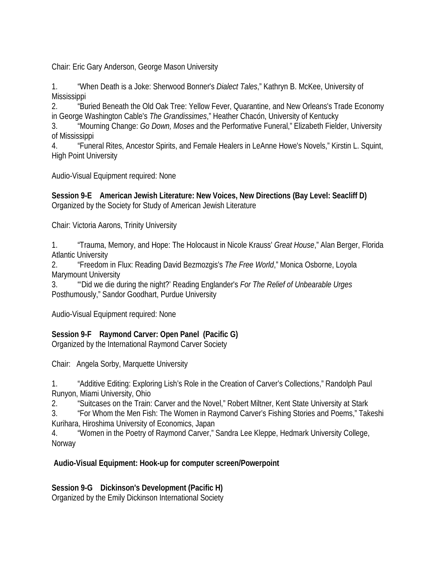Chair: Eric Gary Anderson, George Mason University

1. "When Death is a Joke: Sherwood Bonner's *Dialect Tales*," Kathryn B. McKee, University of **Mississippi** 

2. "Buried Beneath the Old Oak Tree: Yellow Fever, Quarantine, and New Orleans's Trade Economy in George Washington Cable's *The Grandissimes*," Heather Chacón, University of Kentucky

3. "Mourning Change: *Go Down, Moses* and the Performative Funeral," Elizabeth Fielder, University of Mississippi

4. "Funeral Rites, Ancestor Spirits, and Female Healers in LeAnne Howe's Novels," Kirstin L. Squint, High Point University

Audio-Visual Equipment required: None

**Session 9-E American Jewish Literature: New Voices, New Directions (Bay Level: Seacliff D)**  Organized by the Society for Study of American Jewish Literature

Chair: Victoria Aarons, Trinity University

1. "Trauma, Memory, and Hope: The Holocaust in Nicole Krauss' *Great House*," Alan Berger, Florida Atlantic University

2. "Freedom in Flux: Reading David Bezmozgis's *The Free World*," Monica Osborne, Loyola Marymount University

3. "'Did we die during the night?' Reading Englander's *For The Relief of Unbearable Urges*  Posthumously," Sandor Goodhart, Purdue University

Audio-Visual Equipment required: None

## **Session 9-F Raymond Carver: Open Panel (Pacific G)**

Organized by the International Raymond Carver Society

Chair: Angela Sorby, Marquette University

1. "Additive Editing: Exploring Lish's Role in the Creation of Carver's Collections," Randolph Paul Runyon, Miami University, Ohio

2. "Suitcases on the Train: Carver and the Novel," Robert Miltner, Kent State University at Stark

3. "For Whom the Men Fish: The Women in Raymond Carver's Fishing Stories and Poems," Takeshi Kurihara, Hiroshima University of Economics, Japan

4. "Women in the Poetry of Raymond Carver," Sandra Lee Kleppe, Hedmark University College, Norway

## **Audio-Visual Equipment: Hook-up for computer screen/Powerpoint**

**Session 9-G Dickinson's Development (Pacific H)**

Organized by the Emily Dickinson International Society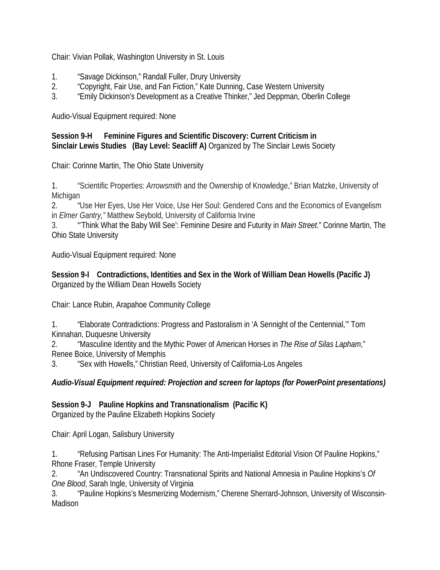Chair: Vivian Pollak, Washington University in St. Louis

- 1. "Savage Dickinson," Randall Fuller, Drury University
- 2. "Copyright, Fair Use, and Fan Fiction," Kate Dunning, Case Western University
- 3. "Emily Dickinson's Development as a Creative Thinker," Jed Deppman, Oberlin College

Audio-Visual Equipment required: None

#### **Session 9-H Feminine Figures and Scientific Discovery: Current Criticism in Sinclair Lewis Studies (Bay Level: Seacliff A)** Organized by The Sinclair Lewis Society

Chair: Corinne Martin, The Ohio State University

1. "Scientific Properties: *Arrowsmith* and the Ownership of Knowledge," Brian Matzke, University of Michigan

2. "Use Her Eyes, Use Her Voice, Use Her Soul: Gendered Cons and the Economics of Evangelism in *Elmer Gantry,"* Matthew Seybold, University of California Irvine

3. "'Think What the Baby Will See': Feminine Desire and Futurity in *Main Street*." Corinne Martin, The Ohio State University

Audio-Visual Equipment required: None

**Session 9-I Contradictions, Identities and Sex in the Work of William Dean Howells (Pacific J)**  Organized by the William Dean Howells Society

Chair: Lance Rubin, Arapahoe Community College

1. "Elaborate Contradictions: Progress and Pastoralism in 'A Sennight of the Centennial,'" Tom Kinnahan, Duquesne University

2. "Masculine Identity and the Mythic Power of American Horses in *The Rise of Silas Lapham*," Renee Boice, University of Memphis

3. "Sex with Howells," Christian Reed, University of California-Los Angeles

*Audio-Visual Equipment required: Projection and screen for laptops (for PowerPoint presentations)*

**Session 9-J Pauline Hopkins and Transnationalism (Pacific K)**

Organized by the Pauline Elizabeth Hopkins Society

Chair: April Logan, Salisbury University

1. "Refusing Partisan Lines For Humanity: The Anti-Imperialist Editorial Vision Of Pauline Hopkins," Rhone Fraser, Temple University

2. "An Undiscovered Country: Transnational Spirits and National Amnesia in Pauline Hopkins's *Of One Blood*, Sarah Ingle, University of Virginia

3. "Pauline Hopkins's Mesmerizing Modernism," Cherene Sherrard-Johnson, University of Wisconsin-Madison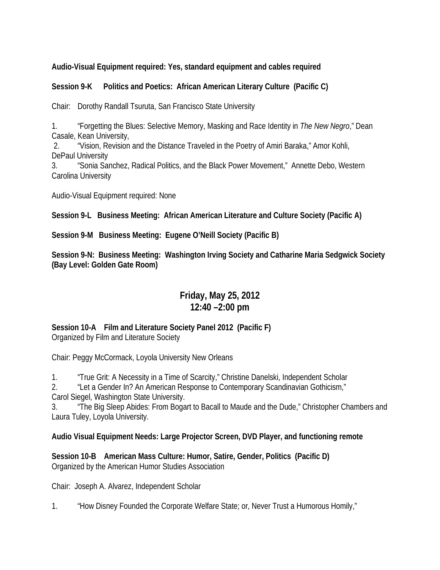#### **Audio-Visual Equipment required: Yes, standard equipment and cables required**

#### **Session 9-K Politics and Poetics: African American Literary Culture (Pacific C)**

Chair: Dorothy Randall Tsuruta, San Francisco State University

1. "Forgetting the Blues: Selective Memory, Masking and Race Identity in *The New Negro*," Dean Casale, Kean University,

2. "Vision, Revision and the Distance Traveled in the Poetry of Amiri Baraka," Amor Kohli, DePaul University

3. "Sonia Sanchez, Radical Politics, and the Black Power Movement," Annette Debo, Western Carolina University

Audio-Visual Equipment required: None

**Session 9-L Business Meeting: African American Literature and Culture Society (Pacific A)**

**Session 9-M Business Meeting: Eugene O'Neill Society (Pacific B)**

**Session 9-N: Business Meeting: Washington Irving Society and Catharine Maria Sedgwick Society (Bay Level: Golden Gate Room)**

## **Friday, May 25, 2012 12:40 –2:00 pm**

**Session 10-A Film and Literature Society Panel 2012 (Pacific F)**  Organized by Film and Literature Society

Chair: Peggy McCormack, Loyola University New Orleans

1. "True Grit: A Necessity in a Time of Scarcity," Christine Danelski, Independent Scholar

2. "Let a Gender In? An American Response to Contemporary Scandinavian Gothicism," Carol Siegel, Washington State University.

3. "The Big Sleep Abides: From Bogart to Bacall to Maude and the Dude," Christopher Chambers and Laura Tuley, Loyola University.

**Audio Visual Equipment Needs: Large Projector Screen, DVD Player, and functioning remote**

**Session 10-B American Mass Culture: Humor, Satire, Gender, Politics (Pacific D)** Organized by the American Humor Studies Association

Chair: Joseph A. Alvarez, Independent Scholar

1. "How Disney Founded the Corporate Welfare State; or, Never Trust a Humorous Homily,"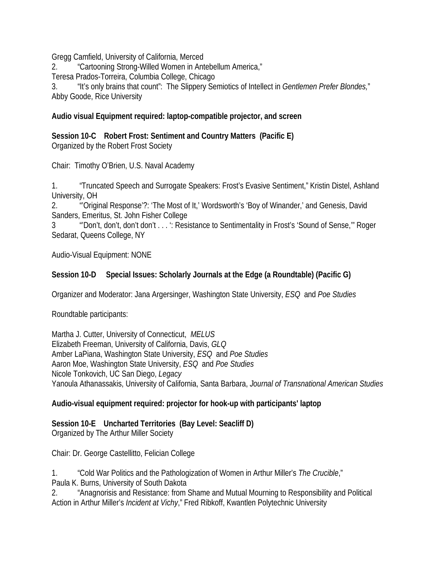Gregg Camfield, University of California, Merced

2. "Cartooning Strong-Willed Women in Antebellum America,"

Teresa Prados-Torreira, Columbia College, Chicago

3. "It's only brains that count": The Slippery Semiotics of Intellect in *Gentlemen Prefer Blondes,*" Abby Goode, Rice University

#### **Audio visual Equipment required: laptop-compatible projector, and screen**

**Session 10-C Robert Frost: Sentiment and Country Matters (Pacific E)** Organized by the Robert Frost Society

Chair: Timothy O'Brien, U.S. Naval Academy

1. "Truncated Speech and Surrogate Speakers: Frost's Evasive Sentiment," Kristin Distel, Ashland University, OH

2. "'Original Response'?: 'The Most of It,' Wordsworth's 'Boy of Winander,' and Genesis, David Sanders, Emeritus, St. John Fisher College

3 "'Don't, don't, don't don't . . . ': Resistance to Sentimentality in Frost's 'Sound of Sense,'" Roger Sedarat, Queens College, NY

Audio-Visual Equipment: NONE

#### **Session 10-D Special Issues: Scholarly Journals at the Edge (a Roundtable) (Pacific G)**

Organizer and Moderator: Jana Argersinger, Washington State University, *ESQ* and *Poe Studies*

Roundtable participants:

Martha J. Cutter, University of Connecticut, *MELUS* Elizabeth Freeman, University of California, Davis, *GLQ* Amber LaPiana, Washington State University, *ESQ* and *Poe Studies* Aaron Moe, Washington State University, *ESQ* and *Poe Studies* Nicole Tonkovich, UC San Diego, *Legacy*  Yanoula Athanassakis, University of California, Santa Barbara, *Journal of Transnational American Studies*

## **Audio-visual equipment required: projector for hook-up with participants' laptop**

**Session 10-E Uncharted Territories (Bay Level: Seacliff D)**  Organized by The Arthur Miller Society

Chair: Dr. George Castellitto, Felician College

1. "Cold War Politics and the Pathologization of Women in Arthur Miller's *The Crucible*," Paula K. Burns, University of South Dakota

2. "Anagnorisis and Resistance: from Shame and Mutual Mourning to Responsibility and Political Action in Arthur Miller's *Incident at Vichy*," Fred Ribkoff, Kwantlen Polytechnic University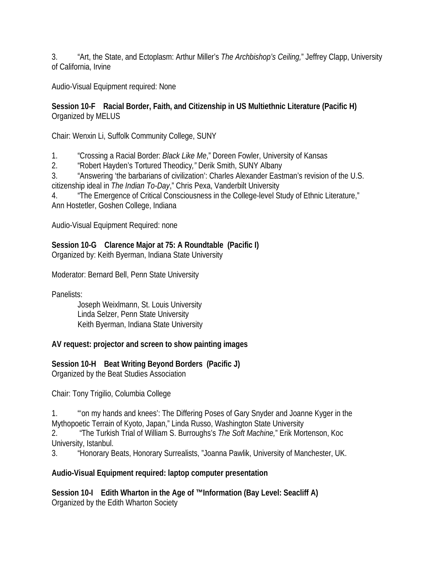3. "Art, the State, and Ectoplasm: Arthur Miller's *The Archbishop's Ceiling,*" Jeffrey Clapp, University of California, Irvine

Audio-Visual Equipment required: None

#### **Session 10-F Racial Border, Faith, and Citizenship in US Multiethnic Literature (Pacific H)** Organized by MELUS

Chair: Wenxin Li, Suffolk Community College, SUNY

1. "Crossing a Racial Border: *Black Like Me*," Doreen Fowler, University of Kansas

2. "Robert Hayden's Tortured Theodicy*,"* Derik Smith, SUNY Albany

3. "Answering 'the barbarians of civilization': Charles Alexander Eastman's revision of the U.S. citizenship ideal in *The Indian To-Day*," Chris Pexa, Vanderbilt University

4. "The Emergence of Critical Consciousness in the College-level Study of Ethnic Literature," Ann Hostetler, Goshen College, Indiana

Audio-Visual Equipment Required: none

## **Session 10-G Clarence Major at 75: A Roundtable (Pacific I)**

Organized by: Keith Byerman, Indiana State University

Moderator: Bernard Bell, Penn State University

Panelists:

Joseph Weixlmann, St. Louis University Linda Selzer, Penn State University Keith Byerman, Indiana State University

**AV request: projector and screen to show painting images**

**Session 10-H Beat Writing Beyond Borders (Pacific J)**  Organized by the Beat Studies Association

Chair: Tony Trigilio, Columbia College

1. "'on my hands and knees': The Differing Poses of Gary Snyder and Joanne Kyger in the Mythopoetic Terrain of Kyoto, Japan," Linda Russo, Washington State University

2. "The Turkish Trial of William S. Burroughs's *The Soft Machine,*" Erik Mortenson, Koc University, Istanbul.

3. "Honorary Beats, Honorary Surrealists, "Joanna Pawlik, University of Manchester, UK.

## **Audio-Visual Equipment required: laptop computer presentation**

**Session 10-I Edith Wharton in the Age of ™Information (Bay Level: Seacliff A)** Organized by the Edith Wharton Society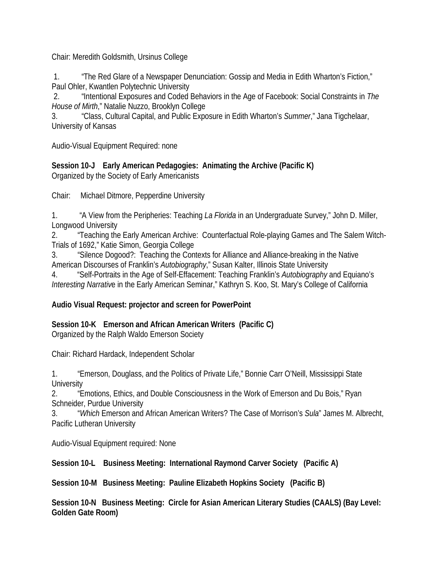Chair: Meredith Goldsmith, Ursinus College

1. "The Red Glare of a Newspaper Denunciation: Gossip and Media in Edith Wharton's Fiction," Paul Ohler, Kwantlen Polytechnic University

2. "Intentional Exposures and Coded Behaviors in the Age of Facebook: Social Constraints in *The House of Mirth*," Natalie Nuzzo, Brooklyn College

3. "Class, Cultural Capital, and Public Exposure in Edith Wharton's *Summer*," Jana Tigchelaar, University of Kansas

Audio-Visual Equipment Required: none

**Session 10-J Early American Pedagogies: Animating the Archive (Pacific K)** Organized by the Society of Early Americanists

Chair: Michael Ditmore, Pepperdine University

1. "A View from the Peripheries: Teaching *La Florida* in an Undergraduate Survey," John D. Miller, Longwood University

2. "Teaching the Early American Archive: Counterfactual Role-playing Games and The Salem Witch-Trials of 1692," Katie Simon, Georgia College

3. "Silence Dogood?: Teaching the Contexts for Alliance and Alliance-breaking in the Native American Discourses of Franklin's *Autobiography*," Susan Kalter, Illinois State University

4. "Self-Portraits in the Age of Self-Effacement: Teaching Franklin's *Autobiography* and Equiano's *Interesting Narrativ*e in the Early American Seminar," Kathryn S. Koo, St. Mary's College of California

## **Audio Visual Request: projector and screen for PowerPoint**

**Session 10-K Emerson and African American Writers (Pacific C)**

Organized by the Ralph Waldo Emerson Society

Chair: Richard Hardack, Independent Scholar

1. "Emerson, Douglass, and the Politics of Private Life," Bonnie Carr O'Neill, Mississippi State **University** 

2. "Emotions, Ethics, and Double Consciousness in the Work of Emerson and Du Bois," Ryan Schneider, Purdue University

3. "*Which* Emerson and African American Writers? The Case of Morrison's *Sula*" James M. Albrecht, Pacific Lutheran University

Audio-Visual Equipment required: None

**Session 10-L Business Meeting: International Raymond Carver Society (Pacific A)**

**Session 10-M Business Meeting: Pauline Elizabeth Hopkins Society (Pacific B)**

**Session 10-N Business Meeting: Circle for Asian American Literary Studies (CAALS) (Bay Level: Golden Gate Room)**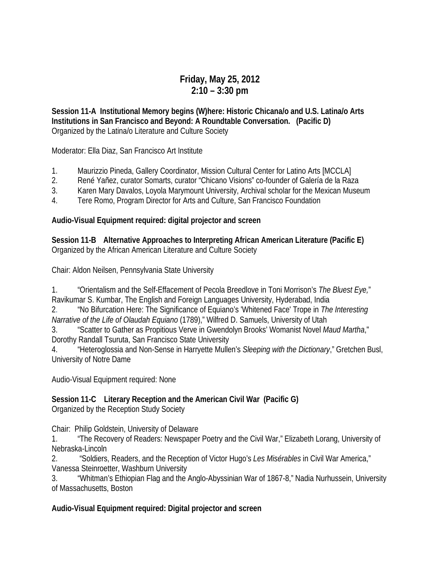# **Friday, May 25, 2012 2:10 – 3:30 pm**

**Session 11-A Institutional Memory begins (W)here: Historic Chicana/o and U.S. Latina/o Arts Institutions in San Francisco and Beyond: A Roundtable Conversation. (Pacific D)** Organized by the Latina/o Literature and Culture Society

Moderator: Ella Diaz, San Francisco Art Institute

- 1. Maurizzio Pineda, Gallery Coordinator, Mission Cultural Center for Latino Arts [MCCLA]
- 2. René Yañez, curator Somarts, curator "Chicano Visions" co-founder of Galería de la Raza
- 3. Karen Mary Davalos, Loyola Marymount University, Archival scholar for the Mexican Museum
- 4. Tere Romo, Program Director for Arts and Culture, San Francisco Foundation

#### **Audio-Visual Equipment required: digital projector and screen**

**Session 11-B Alternative Approaches to Interpreting African American Literature (Pacific E)** Organized by the African American Literature and Culture Society

Chair: Aldon Neilsen, Pennsylvania State University

1. "Orientalism and the Self-Effacement of Pecola Breedlove in Toni Morrison's *The Bluest Eye,*" Ravikumar S. Kumbar, The English and Foreign Languages University, Hyderabad, India

2. "No Bifurcation Here: The Significance of Equiano's 'Whitened Face' Trope in *The Interesting Narrative of the Life of Olaudah Equiano* (1789)," Wilfred D. Samuels, University of Utah

3. "Scatter to Gather as Propitious Verve in Gwendolyn Brooks' Womanist Novel *Maud Martha*," Dorothy Randall Tsuruta, San Francisco State University

4. "Heteroglossia and Non-Sense in Harryette Mullen's *Sleeping with the Dictionary*," Gretchen Busl, University of Notre Dame

Audio-Visual Equipment required: None

**Session 11-C Literary Reception and the American Civil War (Pacific G)** Organized by the Reception Study Society

Chair: Philip Goldstein, University of Delaware

1. "The Recovery of Readers: Newspaper Poetry and the Civil War," Elizabeth Lorang, University of Nebraska-Lincoln

2. "Soldiers, Readers, and the Reception of Victor Hugo's *Les Misérables* in Civil War America," Vanessa Steinroetter, Washburn University

3. "Whitman's Ethiopian Flag and the Anglo-Abyssinian War of 1867-8," Nadia Nurhussein, University of Massachusetts, Boston

#### **Audio-Visual Equipment required: Digital projector and screen**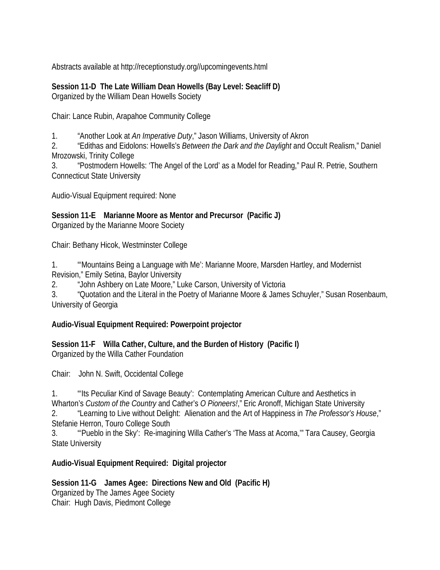Abstracts available at http://receptionstudy.org//upcomingevents.html

**Session 11-D The Late William Dean Howells (Bay Level: Seacliff D)**  Organized by the William Dean Howells Society

Chair: Lance Rubin, Arapahoe Community College

1. "Another Look at *An Imperative Duty*," Jason Williams, University of Akron

2. "Edithas and Eidolons: Howells's *Between the Dark and the Daylight* and Occult Realism," Daniel Mrozowski, Trinity College

3. "Postmodern Howells: 'The Angel of the Lord' as a Model for Reading," Paul R. Petrie, Southern Connecticut State University

Audio-Visual Equipment required: None

**Session 11-E Marianne Moore as Mentor and Precursor (Pacific J)** 

Organized by the Marianne Moore Society

Chair: Bethany Hicok, Westminster College

1. "'Mountains Being a Language with Me': Marianne Moore, Marsden Hartley, and Modernist Revision," Emily Setina, Baylor University

2. "John Ashbery on Late Moore," Luke Carson, University of Victoria

3. "Quotation and the Literal in the Poetry of Marianne Moore & James Schuyler," Susan Rosenbaum, University of Georgia

#### **Audio-Visual Equipment Required: Powerpoint projector**

**Session 11-F Willa Cather, Culture, and the Burden of History (Pacific I)** Organized by the Willa Cather Foundation

Chair: John N. Swift, Occidental College

1. "'Its Peculiar Kind of Savage Beauty': Contemplating American Culture and Aesthetics in Wharton's *Custom of the Country* and Cather's *O Pioneers!*," Eric Aronoff, Michigan State University 2. "Learning to Live without Delight: Alienation and the Art of Happiness in *The Professor's House*,"

Stefanie Herron, Touro College South

3. "'Pueblo in the Sky': Re-imagining Willa Cather's 'The Mass at Acoma,'" Tara Causey, Georgia State University

# **Audio-Visual Equipment Required: Digital projector**

**Session 11-G James Agee: Directions New and Old (Pacific H)** Organized by The James Agee Society Chair: Hugh Davis, Piedmont College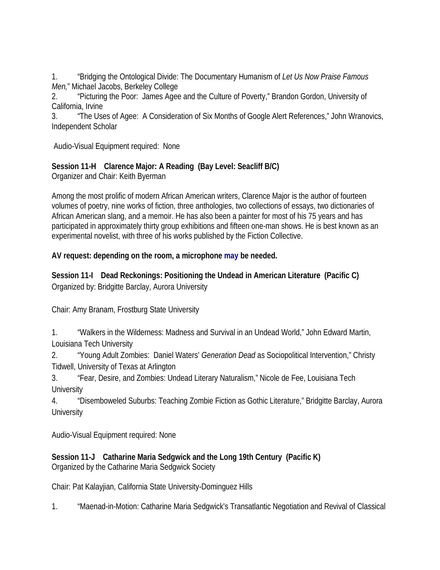1. "Bridging the Ontological Divide: The Documentary Humanism of *Let Us Now Praise Famous Men,*" Michael Jacobs, Berkeley College

2. "Picturing the Poor: James Agee and the Culture of Poverty," Brandon Gordon, University of California, Irvine

3. "The Uses of Agee: A Consideration of Six Months of Google Alert References," John Wranovics, Independent Scholar

Audio-Visual Equipment required: None

# **Session 11-H Clarence Major: A Reading (Bay Level: Seacliff B/C)**

Organizer and Chair: Keith Byerman

Among the most prolific of modern African American writers, Clarence Major is the author of fourteen volumes of poetry, nine works of fiction, three anthologies, two collections of essays, two dictionaries of African American slang, and a memoir. He has also been a painter for most of his 75 years and has participated in approximately thirty group exhibitions and fifteen one-man shows. He is best known as an experimental novelist, with three of his works published by the Fiction Collective.

#### **AV request: depending on the room, a microphone may be needed.**

**Session 11-I Dead Reckonings: Positioning the Undead in American Literature (Pacific C)** Organized by: Bridgitte Barclay, Aurora University

Chair: Amy Branam, Frostburg State University

1. "Walkers in the Wilderness: Madness and Survival in an Undead World," John Edward Martin, Louisiana Tech University

2. "Young Adult Zombies: Daniel Waters' *Generation Dead* as Sociopolitical Intervention," Christy Tidwell, University of Texas at Arlington

3. "Fear, Desire, and Zombies: Undead Literary Naturalism," Nicole de Fee, Louisiana Tech **University** 

4. "Disemboweled Suburbs: Teaching Zombie Fiction as Gothic Literature," Bridgitte Barclay, Aurora **University** 

Audio-Visual Equipment required: None

**Session 11-J Catharine Maria Sedgwick and the Long 19th Century (Pacific K)** Organized by the Catharine Maria Sedgwick Society

Chair: Pat Kalayjian, California State University-Dominguez Hills

1. "Maenad-in-Motion: Catharine Maria Sedgwick's Transatlantic Negotiation and Revival of Classical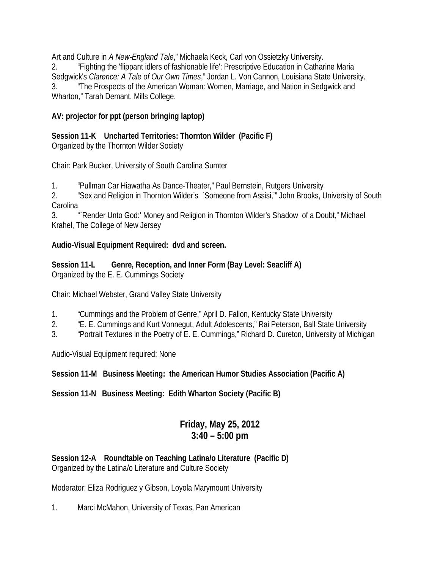Art and Culture in *A New-England Tale*," Michaela Keck, Carl von Ossietzky University. 2. "Fighting the 'flippant idlers of fashionable life': Prescriptive Education in Catharine Maria Sedgwick's *Clarence: A Tale of Our Own Times*," Jordan L. Von Cannon, Louisiana State University. 3. "The Prospects of the American Woman: Women, Marriage, and Nation in Sedgwick and Wharton," Tarah Demant, Mills College.

# **AV: projector for ppt (person bringing laptop)**

**Session 11-K Uncharted Territories: Thornton Wilder (Pacific F)**  Organized by the Thornton Wilder Society

Chair: Park Bucker, University of South Carolina Sumter

1. "Pullman Car Hiawatha As Dance-Theater," Paul Bernstein, Rutgers University

2. "Sex and Religion in Thornton Wilder's `Someone from Assisi,'" John Brooks, University of South **Carolina** 

3. "`Render Unto God:' Money and Religion in Thornton Wilder's Shadow of a Doubt," Michael Krahel, The College of New Jersey

#### **Audio-Visual Equipment Required: dvd and screen.**

#### **Session 11-L Genre, Reception, and Inner Form (Bay Level: Seacliff A)** Organized by the E. E. Cummings Society

Chair: Michael Webster, Grand Valley State University

- 1. "Cummings and the Problem of Genre," April D. Fallon, Kentucky State University
- 2. "E. E. Cummings and Kurt Vonnegut, Adult Adolescents," Rai Peterson, Ball State University
- 3. "Portrait Textures in the Poetry of E. E. Cummings," Richard D. Cureton, University of Michigan

Audio-Visual Equipment required: None

# **Session 11-M Business Meeting: the American Humor Studies Association (Pacific A)**

**Session 11-N Business Meeting: Edith Wharton Society (Pacific B)**

# **Friday, May 25, 2012 3:40 – 5:00 pm**

#### **Session 12-A Roundtable on Teaching Latina/o Literature (Pacific D)** Organized by the Latina/o Literature and Culture Society

Moderator: Eliza Rodriguez y Gibson, Loyola Marymount University

1. Marci McMahon, University of Texas, Pan American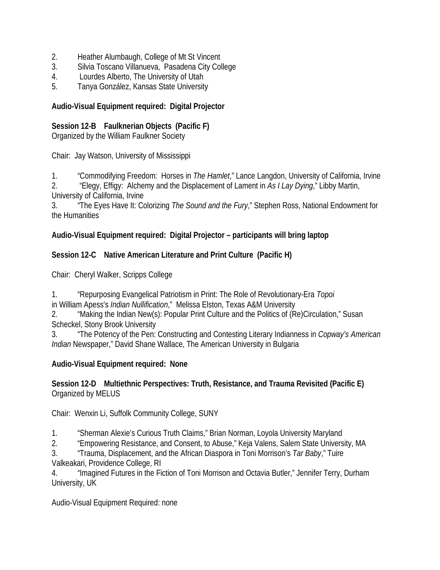- 2. Heather Alumbaugh, College of Mt St Vincent
- 3. Silvia Toscano Villanueva, Pasadena City College
- 4. Lourdes Alberto, The University of Utah
- 5. Tanya González, Kansas State University

#### **Audio-Visual Equipment required: Digital Projector**

#### **Session 12-B Faulknerian Objects (Pacific F)**

Organized by the William Faulkner Society

Chair: Jay Watson, University of Mississippi

1. "Commodifying Freedom: Horses in *The Hamlet*," Lance Langdon, University of California, Irvine

2. "Elegy, Effigy: Alchemy and the Displacement of Lament in *As I Lay Dying*," Libby Martin, University of California, Irvine

3. "The Eyes Have It: Colorizing *The Sound and the Fury*," Stephen Ross, National Endowment for the Humanities

# **Audio-Visual Equipment required: Digital Projector – participants will bring laptop**

#### **Session 12-C Native American Literature and Print Culture (Pacific H)**

Chair: Cheryl Walker, Scripps College

1. "Repurposing Evangelical Patriotism in Print: The Role of Revolutionary-Era *Topoi*

in William Apess's *Indian Nullification*," Melissa Elston, Texas A&M University

2. "Making the Indian New(s): Popular Print Culture and the Politics of (Re)Circulation," Susan Scheckel, Stony Brook University

3. "The Potency of the Pen: Constructing and Contesting Literary Indianness in *Copway's American Indian* Newspaper," David Shane Wallace, The American University in Bulgaria

# **Audio-Visual Equipment required: None**

#### **Session 12-D Multiethnic Perspectives: Truth, Resistance, and Trauma Revisited (Pacific E)** Organized by MELUS

Chair: Wenxin Li, Suffolk Community College, SUNY

1. "Sherman Alexie's Curious Truth Claims," Brian Norman, Loyola University Maryland

2. "Empowering Resistance, and Consent, to Abuse," Keja Valens, Salem State University, MA

3. "Trauma, Displacement, and the African Diaspora in Toni Morrison's *Tar Baby*," Tuire Valkeakari, Providence College, RI

4. "Imagined Futures in the Fiction of Toni Morrison and Octavia Butler," Jennifer Terry, Durham University, UK

Audio-Visual Equipment Required: none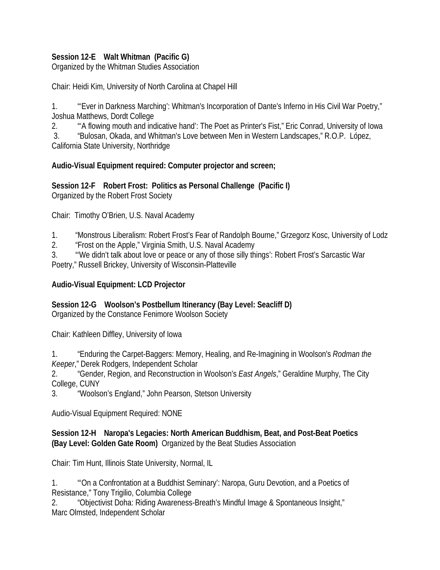#### **Session 12-E Walt Whitman (Pacific G)**

Organized by the Whitman Studies Association

Chair: Heidi Kim, University of North Carolina at Chapel Hill

1. "'Ever in Darkness Marching': Whitman's Incorporation of Dante's Inferno in His Civil War Poetry," Joshua Matthews, Dordt College

2. "'A flowing mouth and indicative hand': The Poet as Printer's Fist," Eric Conrad, University of Iowa

3. "Bulosan, Okada, and Whitman's Love between Men in Western Landscapes," R.O.P. López,

California State University, Northridge

#### **Audio-Visual Equipment required: Computer projector and screen;**

**Session 12-F Robert Frost: Politics as Personal Challenge (Pacific I)** Organized by the Robert Frost Society

Chair: Timothy O'Brien, U.S. Naval Academy

- 1. "Monstrous Liberalism: Robert Frost's Fear of Randolph Bourne," Grzegorz Kosc, University of Lodz
- 2. "Frost on the Apple," Virginia Smith, U.S. Naval Academy

3. "'We didn't talk about love or peace or any of those silly things': Robert Frost's Sarcastic War

Poetry," Russell Brickey, University of Wisconsin-Platteville

#### **Audio-Visual Equipment: LCD Projector**

#### **Session 12-G Woolson's Postbellum Itinerancy (Bay Level: Seacliff D)**

Organized by the Constance Fenimore Woolson Society

Chair: Kathleen Diffley, University of Iowa

1. "Enduring the Carpet-Baggers: Memory, Healing, and Re-Imagining in Woolson's *Rodman the Keeper*," Derek Rodgers, Independent Scholar

2. "Gender, Region, and Reconstruction in Woolson's *East Angels*," Geraldine Murphy, The City College, CUNY

3. "Woolson's England," John Pearson, Stetson University

Audio-Visual Equipment Required: NONE

#### **Session 12-H Naropa's Legacies: North American Buddhism, Beat, and Post-Beat Poetics (Bay Level: Golden Gate Room)** Organized by the Beat Studies Association

Chair: Tim Hunt, Illinois State University, Normal, IL

1. "'On a Confrontation at a Buddhist Seminary': Naropa, Guru Devotion, and a Poetics of Resistance," Tony Trigilio, Columbia College

2. "Objectivist Doha: Riding Awareness-Breath's Mindful Image & Spontaneous Insight," Marc Olmsted, Independent Scholar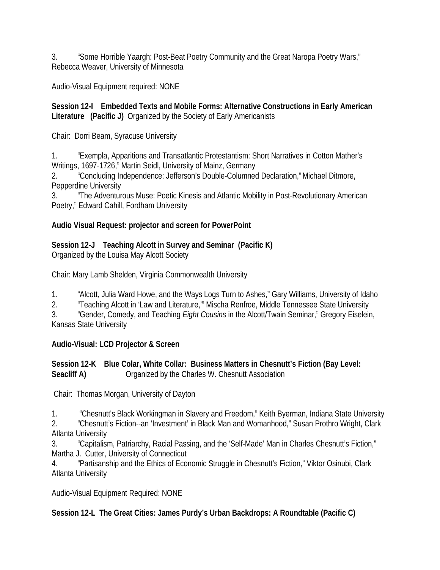3. "Some Horrible Yaargh: Post-Beat Poetry Community and the Great Naropa Poetry Wars," Rebecca Weaver, University of Minnesota

Audio-Visual Equipment required: NONE

#### **Session 12-I Embedded Texts and Mobile Forms: Alternative Constructions in Early American Literature (Pacific J)** Organized by the Society of Early Americanists

Chair: Dorri Beam, Syracuse University

1. "Exempla, Apparitions and Transatlantic Protestantism: Short Narratives in Cotton Mather's Writings, 1697-1726," Martin Seidl, University of Mainz, Germany

2. "Concluding Independence: Jefferson's Double-Columned Declaration,"Michael Ditmore, Pepperdine University

3. "The Adventurous Muse: Poetic Kinesis and Atlantic Mobility in Post-Revolutionary American Poetry," Edward Cahill, Fordham University

#### **Audio Visual Request: projector and screen for PowerPoint**

# **Session 12-J Teaching Alcott in Survey and Seminar (Pacific K)**

Organized by the Louisa May Alcott Society

Chair: Mary Lamb Shelden, Virginia Commonwealth University

1. "Alcott, Julia Ward Howe, and the Ways Logs Turn to Ashes," Gary Williams, University of Idaho

2. "Teaching Alcott in 'Law and Literature,'" Mischa Renfroe, Middle Tennessee State University

3. "Gender, Comedy, and Teaching *Eight Cousins* in the Alcott/Twain Seminar," Gregory Eiselein, Kansas State University

# **Audio-Visual: LCD Projector & Screen**

#### **Session 12-K Blue Colar, White Collar: Business Matters in Chesnutt's Fiction (Bay Level: Seacliff A)** Organized by the Charles W. Chesnutt Association

Chair: Thomas Morgan, University of Dayton

1. "Chesnutt's Black Workingman in Slavery and Freedom," Keith Byerman, Indiana State University

2. "Chesnutt's Fiction--an 'Investment' in Black Man and Womanhood," Susan Prothro Wright, Clark Atlanta University

3. "Capitalism, Patriarchy, Racial Passing, and the 'Self-Made' Man in Charles Chesnutt's Fiction," Martha J. Cutter, University of Connecticut

4. "Partisanship and the Ethics of Economic Struggle in Chesnutt's Fiction," Viktor Osinubi, Clark Atlanta University

Audio-Visual Equipment Required: NONE

**Session 12-L The Great Cities: James Purdy's Urban Backdrops: A Roundtable (Pacific C)**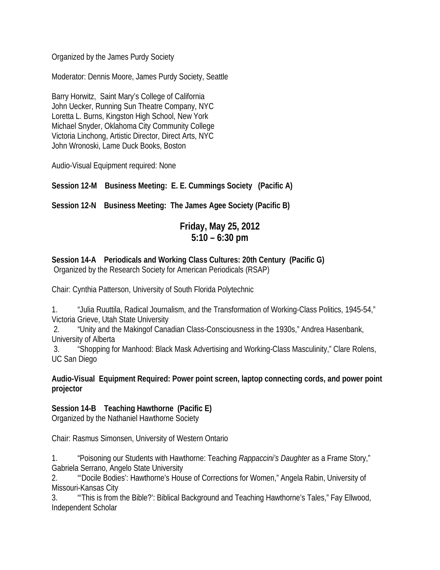Organized by the James Purdy Society

Moderator: Dennis Moore, James Purdy Society, Seattle

Barry Horwitz, Saint Mary's College of California John Uecker, Running Sun Theatre Company, NYC Loretta L. Burns, Kingston High School, New York Michael Snyder, Oklahoma City Community College Victoria Linchong, Artistic Director, Direct Arts, NYC John Wronoski, Lame Duck Books, Boston

Audio-Visual Equipment required: None

**Session 12-M Business Meeting: E. E. Cummings Society (Pacific A)**

**Session 12-N Business Meeting: The James Agee Society (Pacific B)**

# **Friday, May 25, 2012 5:10 – 6:30 pm**

**Session 14-A Periodicals and Working Class Cultures: 20th Century (Pacific G)** Organized by the Research Society for American Periodicals (RSAP)

Chair: Cynthia Patterson, University of South Florida Polytechnic

1. "Julia Ruuttila, Radical Journalism, and the Transformation of Working-Class Politics, 1945-54," Victoria Grieve, Utah State University

2. "Unity and the Makingof Canadian Class-Consciousness in the 1930s," Andrea Hasenbank, University of Alberta

3. "Shopping for Manhood: Black Mask Advertising and Working-Class Masculinity," Clare Rolens, UC San Diego

#### **Audio-Visual Equipment Required: Power point screen, laptop connecting cords, and power point projector**

#### **Session 14-B Teaching Hawthorne (Pacific E)**

Organized by the Nathaniel Hawthorne Society

Chair: Rasmus Simonsen, University of Western Ontario

1. "Poisoning our Students with Hawthorne: Teaching *Rappaccini's Daughter* as a Frame Story," Gabriela Serrano, Angelo State University

2. "'Docile Bodies': Hawthorne's House of Corrections for Women," Angela Rabin, University of Missouri-Kansas City

3. "'This is from the Bible?': Biblical Background and Teaching Hawthorne's Tales," Fay Ellwood, Independent Scholar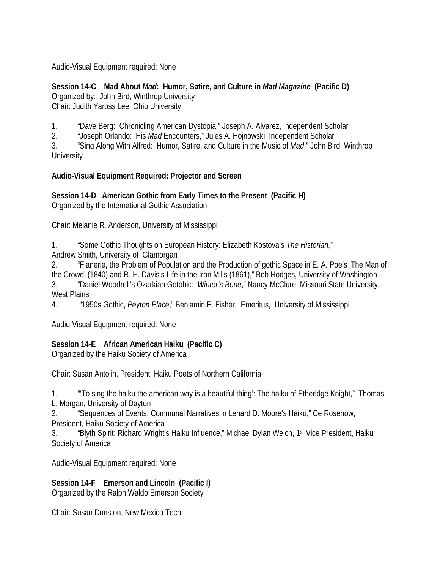Audio-Visual Equipment required: None

**Session 14-C Mad About** *Mad***: Humor, Satire, and Culture in** *Mad Magazine* **(Pacific D)** Organized by: John Bird, Winthrop University Chair: Judith Yaross Lee, Ohio University

1. "Dave Berg: Chronicling American Dystopia," Joseph A. Alvarez, Independent Scholar

2. "Joseph Orlando: His *Mad* Encounters," Jules A. Hojnowski, Independent Scholar

3. "Sing Along With Alfred: Humor, Satire, and Culture in the Music of *Mad*," John Bird, Winthrop **University** 

#### **Audio-Visual Equipment Required: Projector and Screen**

**Session 14-D American Gothic from Early Times to the Present (Pacific H)** Organized by the International Gothic Association

Chair: Melanie R. Anderson, University of Mississippi

1. "Some Gothic Thoughts on European History: Elizabeth Kostova's *The Historian,*" Andrew Smith, University of Glamorgan

2. "Flanerie, the Problem of Population and the Production of gothic Space in E. A. Poe's 'The Man of the Crowd' (1840) and R. H. Davis's Life in the Iron Mills (1861)," Bob Hodges, University of Washington 3. "Daniel Woodrell's Ozarkian Gotohic: *Winter's Bone*," Nancy McClure, Missouri State University, West Plains

4. "1950s Gothic, *Peyton Place*," Benjamin F. Fisher, Emeritus, University of Mississippi

Audio-Visual Equipment required: None

# **Session 14-E African American Haiku (Pacific C)**

Organized by the Haiku Society of America

Chair: Susan Antolin, President, Haiku Poets of Northern California

1. "'To sing the haiku the american way is a beautiful thing': The haiku of Etheridge Knight," Thomas L. Morgan, University of Dayton

2. "Sequences of Events: Communal Narratives in Lenard D. Moore's Haiku," Ce Rosenow,

President, Haiku Society of America

3. "Blyth Spirit: Richard Wright's Haiku Influence," Michael Dylan Welch, 1<sup>st</sup> Vice President, Haiku Society of America

Audio-Visual Equipment required: None

**Session 14-F Emerson and Lincoln (Pacific I)** Organized by the Ralph Waldo Emerson Society

Chair: Susan Dunston, New Mexico Tech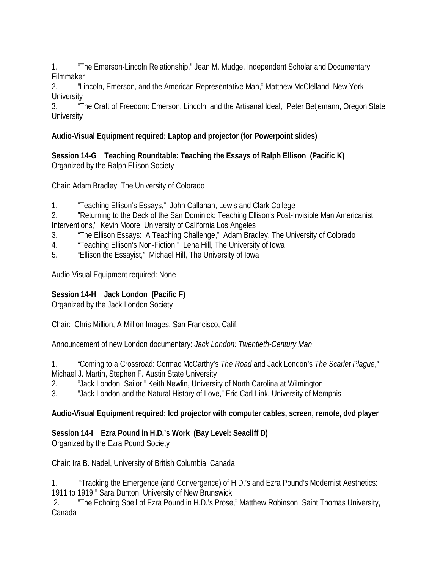1. "The Emerson-Lincoln Relationship," Jean M. Mudge, Independent Scholar and Documentary Filmmaker

2. "Lincoln, Emerson, and the American Representative Man," Matthew McClelland, New York **University** 

3. "The Craft of Freedom: Emerson, Lincoln, and the Artisanal Ideal," Peter Betjemann, Oregon State **University** 

# **Audio-Visual Equipment required: Laptop and projector (for Powerpoint slides)**

**Session 14-G Teaching Roundtable: Teaching the Essays of Ralph Ellison (Pacific K)** Organized by the Ralph Ellison Society

Chair: Adam Bradley, The University of Colorado

1. "Teaching Ellison's Essays," John Callahan, Lewis and Clark College

2. "Returning to the Deck of the San Dominick: Teaching Ellison's Post-Invisible Man Americanist Interventions," Kevin Moore, University of California Los Angeles

- 3. "The Ellison Essays: A Teaching Challenge," Adam Bradley, The University of Colorado
- 4. "Teaching Ellison's Non-Fiction," Lena Hill, The University of Iowa
- 5. "Ellison the Essayist," Michael Hill, The University of Iowa

Audio-Visual Equipment required: None

# **Session 14-H Jack London (Pacific F)**

Organized by the Jack London Society

Chair: Chris Million, A Million Images, San Francisco, Calif.

Announcement of new London documentary: *Jack London: Twentieth-Century Man*

1. "Coming to a Crossroad: Cormac McCarthy's *The Road* and Jack London's *The Scarlet Plague*," Michael J. Martin, Stephen F. Austin State University

2. "Jack London, Sailor," Keith Newlin, University of North Carolina at Wilmington

3. "Jack London and the Natural History of Love," Eric Carl Link, University of Memphis

# **Audio-Visual Equipment required: lcd projector with computer cables, screen, remote, dvd player**

# **Session 14-I Ezra Pound in H.D.'s Work (Bay Level: Seacliff D)**

Organized by the Ezra Pound Society

Chair: Ira B. Nadel, University of British Columbia, Canada

1. "Tracking the Emergence (and Convergence) of H.D.'s and Ezra Pound's Modernist Aesthetics: 1911 to 1919," Sara Dunton, University of New Brunswick

2. "The Echoing Spell of Ezra Pound in H.D.'s Prose," Matthew Robinson, Saint Thomas University, Canada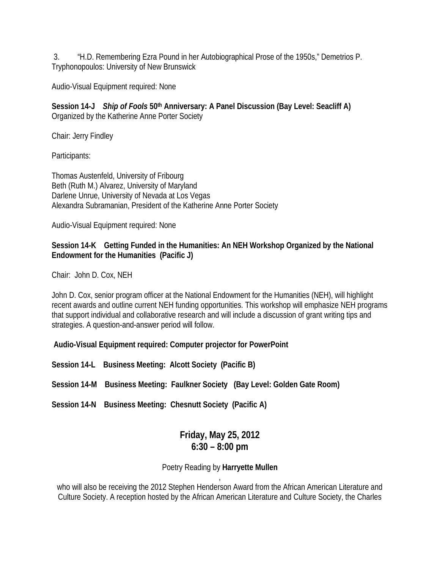3. "H.D. Remembering Ezra Pound in her Autobiographical Prose of the 1950s," Demetrios P. Tryphonopoulos: University of New Brunswick

Audio-Visual Equipment required: None

**Session 14-J** *Ship of Fools* **50th Anniversary: A Panel Discussion (Bay Level: Seacliff A)** Organized by the Katherine Anne Porter Society

Chair: Jerry Findley

Participants:

Thomas Austenfeld, University of Fribourg Beth (Ruth M.) Alvarez, University of Maryland Darlene Unrue, University of Nevada at Los Vegas Alexandra Subramanian, President of the Katherine Anne Porter Society

Audio-Visual Equipment required: None

#### **Session 14-K Getting Funded in the Humanities: An NEH Workshop Organized by the National Endowment for the Humanities (Pacific J)**

Chair: John D. Cox, NEH

John D. Cox, senior program officer at the National Endowment for the Humanities (NEH), will highlight recent awards and outline current NEH funding opportunities. This workshop will emphasize NEH programs that support individual and collaborative research and will include a discussion of grant writing tips and strategies. A question-and-answer period will follow.

**Audio-Visual Equipment required: Computer projector for PowerPoint** 

**Session 14-L Business Meeting: Alcott Society (Pacific B)**

**Session 14-M Business Meeting: Faulkner Society (Bay Level: Golden Gate Room)**

**Session 14-N Business Meeting: Chesnutt Society (Pacific A)**

# **Friday, May 25, 2012 6:30 – 8:00 pm**

#### Poetry Reading by **Harryette Mullen** ,

who will also be receiving the 2012 Stephen Henderson Award from the African American Literature and Culture Society. A reception hosted by the African American Literature and Culture Society, the Charles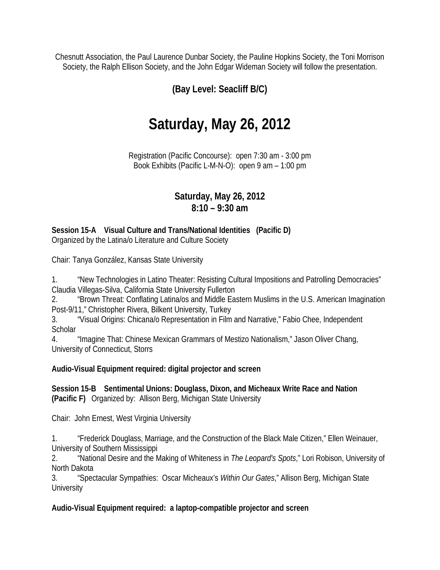Chesnutt Association, the Paul Laurence Dunbar Society, the Pauline Hopkins Society, the Toni Morrison Society, the Ralph Ellison Society, and the John Edgar Wideman Society will follow the presentation.

# **(Bay Level: Seacliff B/C)**

# **Saturday, May 26, 2012**

Registration (Pacific Concourse): open 7:30 am - 3:00 pm Book Exhibits (Pacific L-M-N-O): open 9 am – 1:00 pm

# **Saturday, May 26, 2012 8:10 – 9:30 am**

#### **Session 15-A Visual Culture and Trans/National Identities (Pacific D)** Organized by the Latina/o Literature and Culture Society

Chair: Tanya González, Kansas State University

1. "New Technologies in Latino Theater: Resisting Cultural Impositions and Patrolling Democracies" Claudia Villegas-Silva, California State University Fullerton

2. "Brown Threat: Conflating Latina/os and Middle Eastern Muslims in the U.S. American Imagination Post-9/11," Christopher Rivera, Bilkent University, Turkey

3. "Visual Origins: Chicana/o Representation in Film and Narrative," Fabio Chee, Independent **Scholar** 

4. "Imagine That: Chinese Mexican Grammars of Mestizo Nationalism," Jason Oliver Chang, University of Connecticut, Storrs

#### **Audio-Visual Equipment required: digital projector and screen**

**Session 15-B Sentimental Unions: Douglass, Dixon, and Micheaux Write Race and Nation (Pacific F)** Organized by: Allison Berg, Michigan State University

Chair: John Ernest, West Virginia University

1. "Frederick Douglass, Marriage, and the Construction of the Black Male Citizen," Ellen Weinauer, University of Southern Mississippi

2. "National Desire and the Making of Whiteness in *The Leopard's Spots*," Lori Robison, University of North Dakota

3. "Spectacular Sympathies: Oscar Micheaux's *Within Our Gates*," Allison Berg, Michigan State **University** 

**Audio-Visual Equipment required: a laptop-compatible projector and screen**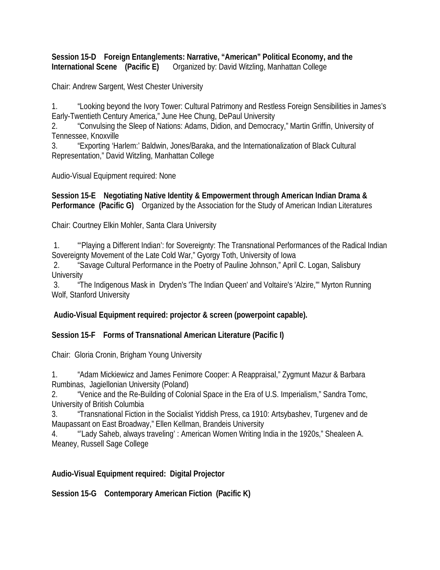**Session 15-D Foreign Entanglements: Narrative, "American" Political Economy, and the International Scene** (Pacific E) Organized by: David Witzling, Manhattan College

Chair: Andrew Sargent, West Chester University

1. "Looking beyond the Ivory Tower: Cultural Patrimony and Restless Foreign Sensibilities in James's Early-Twentieth Century America," June Hee Chung, DePaul University

2. "Convulsing the Sleep of Nations: Adams, Didion, and Democracy," Martin Griffin, University of Tennessee, Knoxville

3. "Exporting 'Harlem:' Baldwin, Jones/Baraka, and the Internationalization of Black Cultural Representation," David Witzling, Manhattan College

Audio-Visual Equipment required: None

**Session 15-E Negotiating Native Identity & Empowerment through American Indian Drama & Performance (Pacific G)** Organized by the Association for the Study of American Indian Literatures

Chair: Courtney Elkin Mohler, Santa Clara University

1. "'Playing a Different Indian': for Sovereignty: The Transnational Performances of the Radical Indian Sovereignty Movement of the Late Cold War," Gyorgy Toth, University of Iowa

2. "Savage Cultural Performance in the Poetry of Pauline Johnson," April C. Logan, Salisbury **University** 

3. "The Indigenous Mask in Dryden's 'The Indian Queen' and Voltaire's 'Alzire,'" Myrton Running Wolf, Stanford University

**Audio-Visual Equipment required: projector & screen (powerpoint capable).**

**Session 15-F Forms of Transnational American Literature (Pacific I)**

Chair: Gloria Cronin, Brigham Young University

1. "Adam Mickiewicz and James Fenimore Cooper: A Reappraisal," Zygmunt Mazur & Barbara Rumbinas, Jagiellonian University (Poland)

2. "Venice and the Re-Building of Colonial Space in the Era of U.S. Imperialism," Sandra Tomc, University of British Columbia

3. "Transnational Fiction in the Socialist Yiddish Press, ca 1910: Artsybashev, Turgenev and de Maupassant on East Broadway," Ellen Kellman, Brandeis University

4. "'Lady Saheb, always traveling' : American Women Writing India in the 1920s," Shealeen A. Meaney, Russell Sage College

# **Audio-Visual Equipment required: Digital Projector**

**Session 15-G Contemporary American Fiction (Pacific K)**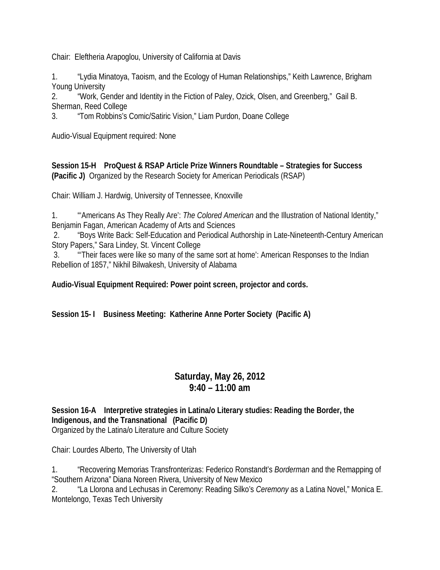Chair: Eleftheria Arapoglou, University of California at Davis

1. "Lydia Minatoya, Taoism, and the Ecology of Human Relationships," Keith Lawrence, Brigham Young University

2. "Work, Gender and Identity in the Fiction of Paley, Ozick, Olsen, and Greenberg," Gail B. Sherman, Reed College

3. "Tom Robbins's Comic/Satiric Vision," Liam Purdon, Doane College

Audio-Visual Equipment required: None

**Session 15-H ProQuest & RSAP Article Prize Winners Roundtable – Strategies for Success (Pacific J)** Organized by the Research Society for American Periodicals (RSAP)

Chair: William J. Hardwig, University of Tennessee, Knoxville

1. "'Americans As They Really Are': *The Colored American* and the Illustration of National Identity," Benjamin Fagan, American Academy of Arts and Sciences

2. "Boys Write Back: Self-Education and Periodical Authorship in Late-Nineteenth-Century American Story Papers," Sara Lindey, St. Vincent College

3. "'Their faces were like so many of the same sort at home': American Responses to the Indian Rebellion of 1857," Nikhil Bilwakesh, University of Alabama

**Audio-Visual Equipment Required: Power point screen, projector and cords.**

**Session 15- I Business Meeting: Katherine Anne Porter Society (Pacific A)**

# **Saturday, May 26, 2012 9:40 – 11:00 am**

**Session 16-A Interpretive strategies in Latina/o Literary studies: Reading the Border, the Indigenous, and the Transnational (Pacific D)** Organized by the Latina/o Literature and Culture Society

Chair: Lourdes Alberto, The University of Utah

1. "Recovering Memorias Transfronterizas: Federico Ronstandt's *Borderman* and the Remapping of "Southern Arizona" Diana Noreen Rivera, University of New Mexico

2. "La Llorona and Lechusas in Ceremony: Reading Silko's *Ceremony* as a Latina Novel," Monica E. Montelongo, Texas Tech University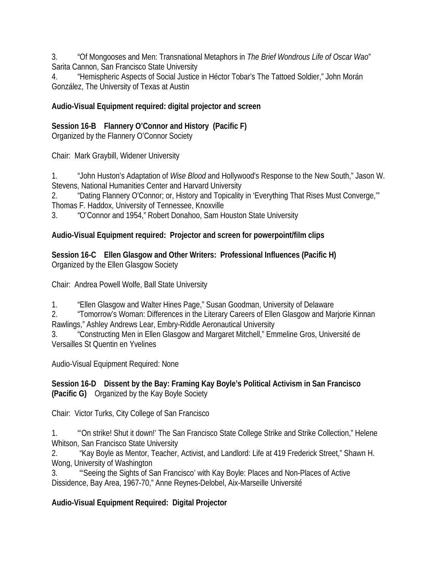3. "Of Mongooses and Men: Transnational Metaphors in *The Brief Wondrous Life of Oscar Wao*" Sarita Cannon, San Francisco State University

4. "Hemispheric Aspects of Social Justice in Héctor Tobar's The Tattoed Soldier," John Morán González, The University of Texas at Austin

#### **Audio-Visual Equipment required: digital projector and screen**

#### **Session 16-B Flannery O'Connor and History (Pacific F)**

Organized by the Flannery O'Connor Society

Chair: Mark Graybill, Widener University

1. "John Huston's Adaptation of *Wise Blood* and Hollywood's Response to the New South," Jason W. Stevens, National Humanities Center and Harvard University

2. "Dating Flannery O'Connor; or, History and Topicality in 'Everything That Rises Must Converge,'" Thomas F. Haddox, University of Tennessee, Knoxville

3. "O'Connor and 1954," Robert Donahoo, Sam Houston State University

#### **Audio-Visual Equipment required: Projector and screen for powerpoint/film clips**

**Session 16-C Ellen Glasgow and Other Writers: Professional Influences (Pacific H)** Organized by the Ellen Glasgow Society

Chair: Andrea Powell Wolfe, Ball State University

1. "Ellen Glasgow and Walter Hines Page," Susan Goodman, University of Delaware

2. "Tomorrow's Woman: Differences in the Literary Careers of Ellen Glasgow and Marjorie Kinnan Rawlings," Ashley Andrews Lear, Embry-Riddle Aeronautical University

3. "Constructing Men in Ellen Glasgow and Margaret Mitchell," Emmeline Gros, Université de Versailles St Quentin en Yvelines

Audio-Visual Equipment Required: None

#### **Session 16-D Dissent by the Bay: Framing Kay Boyle's Political Activism in San Francisco (Pacific G)** Organized by the Kay Boyle Society

Chair: Victor Turks, City College of San Francisco

1. "'On strike! Shut it down!' The San Francisco State College Strike and Strike Collection," Helene Whitson, San Francisco State University

2. "Kay Boyle as Mentor, Teacher, Activist, and Landlord: Life at 419 Frederick Street," Shawn H. Wong, University of Washington

3. "'Seeing the Sights of San Francisco' with Kay Boyle: Places and Non-Places of Active Dissidence, Bay Area, 1967-70," Anne Reynes-Delobel, Aix-Marseille Université

# **Audio-Visual Equipment Required: Digital Projector**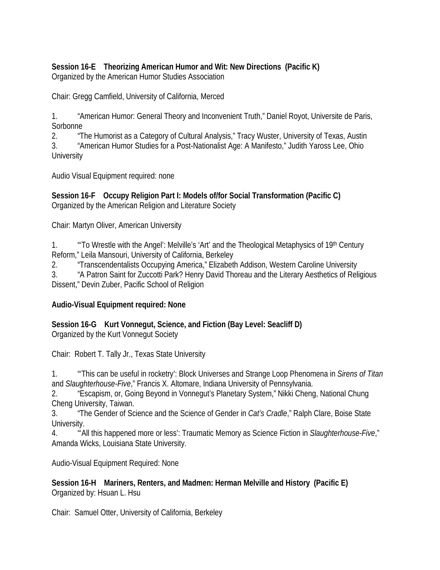#### **Session 16-E Theorizing American Humor and Wit: New Directions (Pacific K)** Organized by the American Humor Studies Association

Chair: Gregg Camfield, University of California, Merced

1. "American Humor: General Theory and Inconvenient Truth," Daniel Royot, Universite de Paris, Sorbonne

2. "The Humorist as a Category of Cultural Analysis," Tracy Wuster, University of Texas, Austin 3. "American Humor Studies for a Post-Nationalist Age: A Manifesto," Judith Yaross Lee, Ohio **University** 

Audio Visual Equipment required: none

**Session 16-F Occupy Religion Part I: Models of/for Social Transformation (Pacific C)** Organized by the American Religion and Literature Society

Chair: Martyn Oliver, American University

1. "To Wrestle with the Angel': Melville's 'Art' and the Theological Metaphysics of 19<sup>th</sup> Century Reform," Leila Mansouri, University of California, Berkeley

2. "Transcendentalists Occupying America," Elizabeth Addison, Western Caroline University

3. "A Patron Saint for Zuccotti Park? Henry David Thoreau and the Literary Aesthetics of Religious Dissent," Devin Zuber, Pacific School of Religion

#### **Audio-Visual Equipment required: None**

**Session 16-G Kurt Vonnegut, Science, and Fiction (Bay Level: Seacliff D)**  Organized by the Kurt Vonnegut Society

Chair: Robert T. Tally Jr., Texas State University

1. "'This can be useful in rocketry': Block Universes and Strange Loop Phenomena in *Sirens of Titan* and *Slaughterhouse-Five*," Francis X. Altomare, Indiana University of Pennsylvania.

2. "Escapism, or, Going Beyond in Vonnegut's Planetary System," Nikki Cheng, National Chung Cheng University, Taiwan.

3. "The Gender of Science and the Science of Gender in *Cat's Cradle*," Ralph Clare, Boise State University.

4. "'All this happened more or less': Traumatic Memory as Science Fiction in *Slaughterhouse-Five*," Amanda Wicks, Louisiana State University.

Audio-Visual Equipment Required: None

**Session 16-H Mariners, Renters, and Madmen: Herman Melville and History (Pacific E)** Organized by: Hsuan L. Hsu

Chair: Samuel Otter, University of California, Berkeley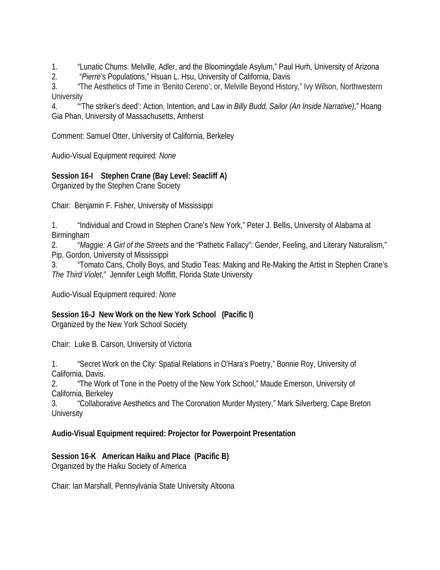1. "Lunatic Chums: Melville, Adler, and the Bloomingdale Asylum," Paul Hurh, University of Arizona

2. "*Pierre*'s Populations," Hsuan L. Hsu, University of California, Davis

3. "The Aesthetics of Time in 'Benito Cereno'; or, Melville Beyond History," Ivy Wilson, Northwestern **University** 

4. "'The striker's deed': Action, Intention, and Law in *Billy Budd, Sailor (An Inside Narrative)*," Hoang Gia Phan, University of Massachusetts, Amherst

Comment: Samuel Otter, University of California, Berkeley

Audio-Visual Equipment required: *None*

# **Session 16-I Stephen Crane (Bay Level: Seacliff A)**

Organized by the Stephen Crane Society

Chair: Benjamin F. Fisher, University of Mississippi

1. "Individual and Crowd in Stephen Crane's New York," Peter J. Bellis, University of Alabama at **Birmingham** 

2. "*Maggie: A Girl of the Streets* and the "Pathetic Fallacy": Gender, Feeling, and Literary Naturalism," Pip. Gordon, University of Mississippi

3. "Tomato Cans, Cholly Boys, and Studio Teas: Making and Re-Making the Artist in Stephen Crane's *The Third Violet*," Jennifer Leigh Moffitt, Florida State University

Audio-Visual Equipment required: *None*

# **Session 16-J New Work on the New York School (Pacific I)**

Organized by the New York School Society

Chair: Luke B. Carson, University of Victoria

1. "Secret Work on the City: Spatial Relations in O'Hara's Poetry," Bonnie Roy, University of California, Davis.

2. "The Work of Tone in the Poetry of the New York School," Maude Emerson, University of California, Berkeley

3. "Collaborative Aesthetics and The Coronation Murder Mystery," Mark Silverberg, Cape Breton **University** 

# **Audio-Visual Equipment required: Projector for Powerpoint Presentation**

# **Session 16-K American Haiku and Place (Pacific B)**

Organized by the Haiku Society of America

Chair: Ian Marshall, Pennsylvania State University Altoona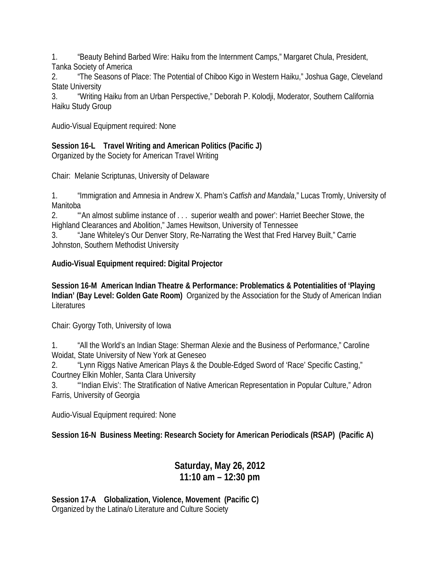1. "Beauty Behind Barbed Wire: Haiku from the Internment Camps," Margaret Chula, President, Tanka Society of America

2. "The Seasons of Place: The Potential of Chiboo Kigo in Western Haiku," Joshua Gage, Cleveland State University

3. "Writing Haiku from an Urban Perspective," Deborah P. Kolodji, Moderator, Southern California Haiku Study Group

Audio-Visual Equipment required: None

# **Session 16-L Travel Writing and American Politics (Pacific J)**

Organized by the Society for American Travel Writing

Chair: Melanie Scriptunas, University of Delaware

1. "Immigration and Amnesia in Andrew X. Pham's *Catfish and Mandala*," Lucas Tromly, University of Manitoba

2. "'An almost sublime instance of . . . superior wealth and power': Harriet Beecher Stowe, the Highland Clearances and Abolition," James Hewitson, University of Tennessee

3. "Jane Whiteley's Our Denver Story, Re-Narrating the West that Fred Harvey Built," Carrie Johnston, Southern Methodist University

**Audio-Visual Equipment required: Digital Projector**

**Session 16-M American Indian Theatre & Performance: Problematics & Potentialities of 'Playing Indian' (Bay Level: Golden Gate Room)** Organized by the Association for the Study of American Indian **Literatures** 

Chair: Gyorgy Toth, University of Iowa

1. "All the World's an Indian Stage: Sherman Alexie and the Business of Performance," Caroline Woidat, State University of New York at Geneseo

2. "Lynn Riggs Native American Plays & the Double-Edged Sword of 'Race' Specific Casting," Courtney Elkin Mohler, Santa Clara University

3. "'Indian Elvis': The Stratification of Native American Representation in Popular Culture," Adron Farris, University of Georgia

Audio-Visual Equipment required: None

**Session 16-N Business Meeting: Research Society for American Periodicals (RSAP) (Pacific A)**

# **Saturday, May 26, 2012 11:10 am – 12:30 pm**

**Session 17-A Globalization, Violence, Movement (Pacific C)** Organized by the Latina/o Literature and Culture Society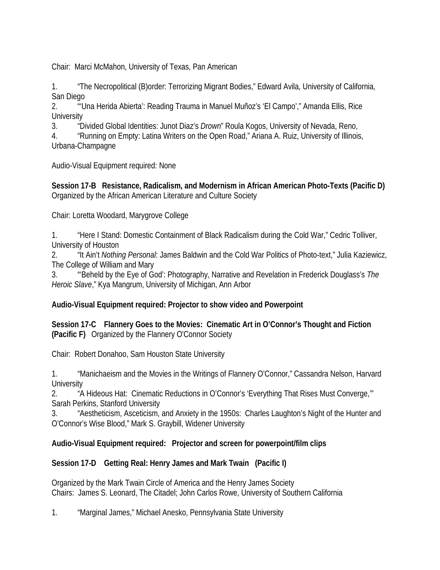Chair: Marci McMahon, University of Texas, Pan American

1. "The Necropolitical (B)order: Terrorizing Migrant Bodies," Edward Avila, University of California, San Diego

2. "'Una Herida Abierta': Reading Trauma in Manuel Muñoz's 'El Campo'," Amanda Ellis, Rice **University** 

3. "Divided Global Identities: Junot Diaz's *Drown*" Roula Kogos, University of Nevada, Reno,

4. "Running on Empty: Latina Writers on the Open Road," Ariana A. Ruiz, University of Illinois, Urbana-Champagne

Audio-Visual Equipment required: None

**Session 17-B Resistance, Radicalism, and Modernism in African American Photo-Texts (Pacific D)**  Organized by the African American Literature and Culture Society

Chair: Loretta Woodard, Marygrove College

1. "Here I Stand: Domestic Containment of Black Radicalism during the Cold War," Cedric Tolliver, University of Houston

2. "It Ain't *Nothing Personal*: James Baldwin and the Cold War Politics of Photo-text," Julia Kaziewicz, The College of William and Mary

3. "'Beheld by the Eye of God': Photography, Narrative and Revelation in Frederick Douglass's *The Heroic Slave*," Kya Mangrum, University of Michigan, Ann Arbor

# **Audio-Visual Equipment required: Projector to show video and Powerpoint**

**Session 17-C Flannery Goes to the Movies: Cinematic Art in O'Connor's Thought and Fiction (Pacific F)** Organized by the Flannery O'Connor Society

Chair: Robert Donahoo, Sam Houston State University

1. "Manichaeism and the Movies in the Writings of Flannery O'Connor," Cassandra Nelson, Harvard **University** 

2. "A Hideous Hat: Cinematic Reductions in O'Connor's 'Everything That Rises Must Converge,'" Sarah Perkins, Stanford University

3. "Aestheticism, Asceticism, and Anxiety in the 1950s: Charles Laughton's Night of the Hunter and O'Connor's Wise Blood," Mark S. Graybill, Widener University

# **Audio-Visual Equipment required: Projector and screen for powerpoint/film clips**

# **Session 17-D Getting Real: Henry James and Mark Twain (Pacific I)**

Organized by the Mark Twain Circle of America and the Henry James Society Chairs: James S. Leonard, The Citadel; John Carlos Rowe, University of Southern California

1. "Marginal James," Michael Anesko, Pennsylvania State University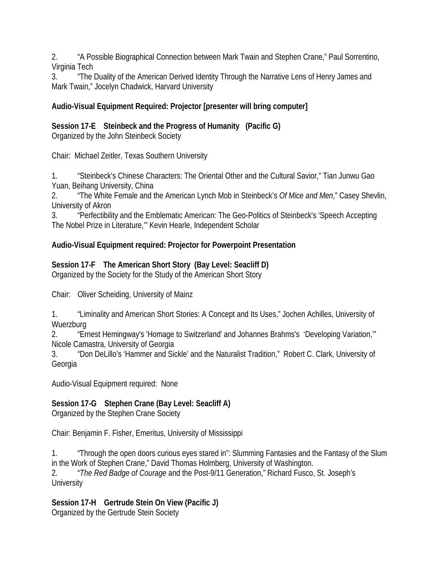2. "A Possible Biographical Connection between Mark Twain and Stephen Crane," Paul Sorrentino, Virginia Tech

3. "The Duality of the American Derived Identity Through the Narrative Lens of Henry James and Mark Twain," Jocelyn Chadwick, Harvard University

# **Audio-Visual Equipment Required: Projector [presenter will bring computer]**

**Session 17-E Steinbeck and the Progress of Humanity (Pacific G)**

Organized by the John Steinbeck Society

Chair: Michael Zeitler, Texas Southern University

1. "Steinbeck's Chinese Characters: The Oriental Other and the Cultural Savior," Tian Junwu Gao Yuan, Beihang University, China

2. "The White Female and the American Lynch Mob in Steinbeck's *Of Mice and Men*," Casey Shevlin, University of Akron

3. "Perfectibility and the Emblematic American: The Geo-Politics of Steinbeck's 'Speech Accepting The Nobel Prize in Literature,'" Kevin Hearle, Independent Scholar

# **Audio-Visual Equipment required: Projector for Powerpoint Presentation**

# **Session 17-F The American Short Story (Bay Level: Seacliff D)**

Organized by the Society for the Study of the American Short Story

Chair: Oliver Scheiding, University of Mainz

1. "Liminality and American Short Stories: A Concept and Its Uses," Jochen Achilles, University of **Wuerzburg** 

2. "Ernest Hemingway's 'Homage to Switzerland' and Johannes Brahms's 'Developing Variation,'" Nicole Camastra, University of Georgia

3. "Don DeLillo's 'Hammer and Sickle' and the Naturalist Tradition," Robert C. Clark, University of Georgia

Audio-Visual Equipment required: None

# **Session 17-G Stephen Crane (Bay Level: Seacliff A)**

Organized by the Stephen Crane Society

Chair: Benjamin F. Fisher, Emeritus, University of Mississippi

1. "Through the open doors curious eyes stared in": Slumming Fantasies and the Fantasy of the Slum in the Work of Stephen Crane," David Thomas Holmberg, University of Washington.

2. "*The Red Badge of Courage* and the Post-9/11 Generation," Richard Fusco, St. Joseph's **University** 

**Session 17-H Gertrude Stein On View (Pacific J)**  Organized by the Gertrude Stein Society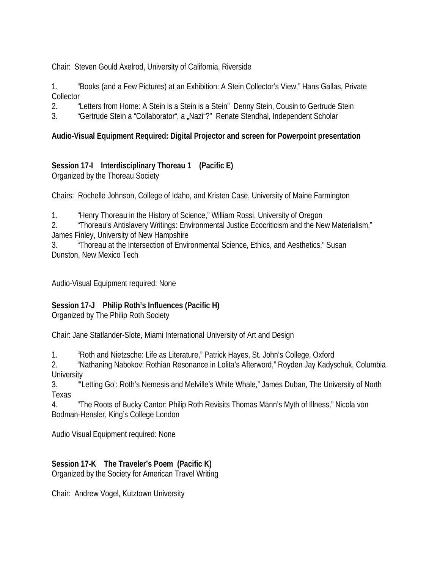Chair: Steven Gould Axelrod, University of California, Riverside

1. "Books (and a Few Pictures) at an Exhibition: A Stein Collector's View," Hans Gallas, Private Collector

- 2. "Letters from Home: A Stein is a Stein is a Stein" Denny Stein, Cousin to Gertrude Stein
- 3. "Gertrude Stein a "Collaborator", a "Nazi"?" Renate Stendhal, Independent Scholar

#### **Audio-Visual Equipment Required: Digital Projector and screen for Powerpoint presentation**

# **Session 17-I Interdisciplinary Thoreau 1 (Pacific E)**

Organized by the Thoreau Society

Chairs: Rochelle Johnson, College of Idaho, and Kristen Case, University of Maine Farmington

1. "Henry Thoreau in the History of Science," William Rossi, University of Oregon

2. "Thoreau's Antislavery Writings: Environmental Justice Ecocriticism and the New Materialism," James Finley, University of New Hampshire

3. "Thoreau at the Intersection of Environmental Science, Ethics, and Aesthetics," Susan Dunston, New Mexico Tech

Audio-Visual Equipment required: None

#### **Session 17-J Philip Roth's Influences (Pacific H)**

Organized by The Philip Roth Society

Chair: Jane Statlander-Slote, Miami International University of Art and Design

1. "Roth and Nietzsche: Life as Literature," Patrick Hayes, St. John's College, Oxford

2. "Nathaning Nabokov: Rothian Resonance in Lolita's Afterword," Royden Jay Kadyschuk, Columbia **University** 

3. "'Letting Go': Roth's Nemesis and Melville's White Whale," James Duban, The University of North Texas

4. "The Roots of Bucky Cantor: Philip Roth Revisits Thomas Mann's Myth of Illness," Nicola von Bodman-Hensler, King's College London

Audio Visual Equipment required: None

# **Session 17-K The Traveler's Poem (Pacific K)**

Organized by the Society for American Travel Writing

Chair: Andrew Vogel, Kutztown University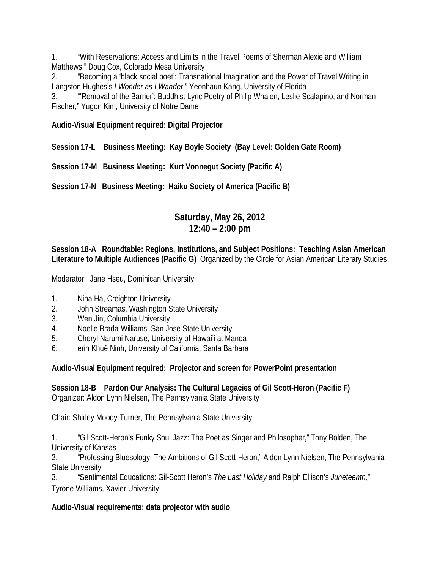1. "With Reservations: Access and Limits in the Travel Poems of Sherman Alexie and William Matthews," Doug Cox, Colorado Mesa University

2. "Becoming a 'black social poet': Transnational Imagination and the Power of Travel Writing in Langston Hughes's *I Wonder as I Wander*," Yeonhaun Kang, University of Florida

3. "'Removal of the Barrier': Buddhist Lyric Poetry of Philip Whalen, Leslie Scalapino, and Norman Fischer," Yugon Kim, University of Notre Dame

**Audio-Visual Equipment required: Digital Projector**

**Session 17-L Business Meeting: Kay Boyle Society (Bay Level: Golden Gate Room)**

**Session 17-M Business Meeting: Kurt Vonnegut Society (Pacific A)**

**Session 17-N Business Meeting: Haiku Society of America (Pacific B)**

# **Saturday, May 26, 2012 12:40 – 2:00 pm**

#### **Session 18-A Roundtable: Regions, Institutions, and Subject Positions: Teaching Asian American Literature to Multiple Audiences (Pacific G)** Organized by the Circle for Asian American Literary Studies

Moderator: Jane Hseu, Dominican University

- 1. Nina Ha, Creighton University
- 2. John Streamas, Washington State University
- 3. Wen Jin, Columbia University
- 4. Noelle Brada-Williams, San Jose State University
- 5. Cheryl Narumi Naruse, University of Hawai'i at Manoa
- 6. erin Khuê Ninh, University of California, Santa Barbara

**Audio-Visual Equipment required: Projector and screen for PowerPoint presentation**

**Session 18-B Pardon Our Analysis: The Cultural Legacies of Gil Scott-Heron (Pacific F)**  Organizer: Aldon Lynn Nielsen, The Pennsylvania State University

Chair: Shirley Moody-Turner, The Pennsylvania State University

1. "Gil Scott-Heron's Funky Soul Jazz: The Poet as Singer and Philosopher," Tony Bolden, The University of Kansas

2. "Professing Bluesology: The Ambitions of Gil Scott-Heron," Aldon Lynn Nielsen, The Pennsylvania State University

3. "Sentimental Educations: Gil-Scott Heron's *The Last Holiday* and Ralph Ellison's *Juneteenth,*" Tyrone Williams, Xavier University

# **Audio-Visual requirements: data projector with audio**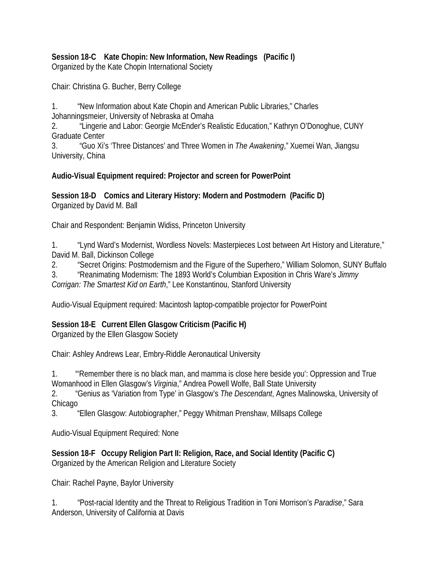#### **Session 18-C Kate Chopin: New Information, New Readings (Pacific I)** Organized by the Kate Chopin International Society

Chair: Christina G. Bucher, Berry College

1. "New Information about Kate Chopin and American Public Libraries," Charles Johanningsmeier, University of Nebraska at Omaha

2. "Lingerie and Labor: Georgie McEnder's Realistic Education," Kathryn O'Donoghue, CUNY Graduate Center

3. "Guo Xi's 'Three Distances' and Three Women in *The Awakening*," Xuemei Wan, Jiangsu University, China

#### **Audio-Visual Equipment required: Projector and screen for PowerPoint**

**Session 18-D Comics and Literary History: Modern and Postmodern (Pacific D)** Organized by David M. Ball

Chair and Respondent: Benjamin Widiss, Princeton University

1. "Lynd Ward's Modernist, Wordless Novels: Masterpieces Lost between Art History and Literature," David M. Ball, Dickinson College

2. "Secret Origins: Postmodernism and the Figure of the Superhero," William Solomon, SUNY Buffalo

3. "Reanimating Modernism: The 1893 World's Columbian Exposition in Chris Ware's *Jimmy Corrigan: The Smartest Kid on Earth*," Lee Konstantinou, Stanford University

Audio-Visual Equipment required: Macintosh laptop-compatible projector for PowerPoint

# **Session 18-E Current Ellen Glasgow Criticism (Pacific H)**

Organized by the Ellen Glasgow Society

Chair: Ashley Andrews Lear, Embry-Riddle Aeronautical University

1. "'Remember there is no black man, and mamma is close here beside you': Oppression and True Womanhood in Ellen Glasgow's *Virginia*," Andrea Powell Wolfe, Ball State University

2. "Genius as 'Variation from Type' in Glasgow's *The Descendant*, Agnes Malinowska, University of Chicago

3. "Ellen Glasgow: Autobiographer," Peggy Whitman Prenshaw, Millsaps College

Audio-Visual Equipment Required: None

**Session 18-F Occupy Religion Part II: Religion, Race, and Social Identity (Pacific C)** Organized by the American Religion and Literature Society

Chair: Rachel Payne, Baylor University

1. "Post-racial Identity and the Threat to Religious Tradition in Toni Morrison's *Paradise*," Sara Anderson, University of California at Davis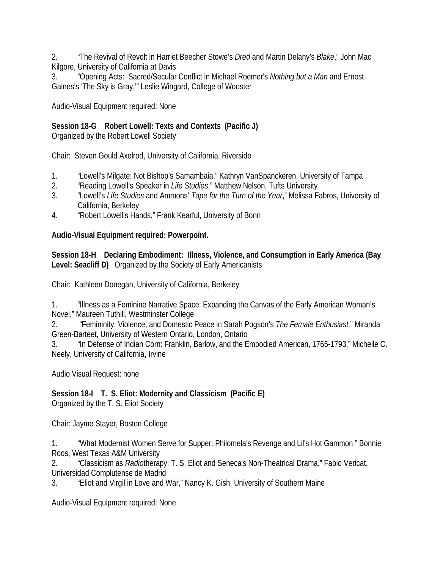2. "The Revival of Revolt in Harriet Beecher Stowe's *Dred* and Martin Delany's *Blake*," John Mac Kilgore, University of California at Davis

3. "Opening Acts: Sacred/Secular Conflict in Michael Roemer's *Nothing but a Man* and Ernest Gaines's 'The Sky is Gray,'" Leslie Wingard, College of Wooster

Audio-Visual Equipment required: None

# **Session 18-G Robert Lowell: Texts and Contexts (Pacific J)**

Organized by the Robert Lowell Society

Chair: Steven Gould Axelrod, University of California, Riverside

- 1. "Lowell's Milgate: Not Bishop's Samambaia," Kathryn VanSpanckeren, University of Tampa
- 2. "Reading Lowell's Speaker in *Life Studies*," Matthew Nelson, Tufts University
- 3. "Lowell's *Life Studies* and Ammons' *Tape for the Turn of the Year*," Melissa Fabros, University of California, Berkeley
- 4. "Robert Lowell's Hands," Frank Kearful, University of Bonn

# **Audio-Visual Equipment required: Powerpoint.**

**Session 18-H Declaring Embodiment: Illness, Violence, and Consumption in Early America (Bay Level: Seacliff D)** Organized by the Society of Early Americanists

Chair: Kathleen Donegan, University of California, Berkeley

1. "Illness as a Feminine Narrative Space: Expanding the Canvas of the Early American Woman's Novel," Maureen Tuthill, Westminster College

2. "Femininity, Violence, and Domestic Peace in Sarah Pogson's *The Female Enthusiast,*" Miranda Green-Barteet, University of Western Ontario, London, Ontario

3. "In Defense of Indian Corn: Franklin, Barlow, and the Embodied American, 1765-1793," Michelle C. Neely, University of California, Irvine

Audio Visual Request: none

# **Session 18-I T. S. Eliot: Modernity and Classicism (Pacific E)**

Organized by the T. S. Eliot Society

Chair: Jayme Stayer, Boston College

1. "What Modernist Women Serve for Supper: Philomela's Revenge and Lil's Hot Gammon," Bonnie Roos, West Texas A&M University

2. "Classicism as *Radio*therapy: T. S. Eliot and Seneca's Non-Theatrical Drama," Fabio Vericat, Universidad Complutense de Madrid

3. "Eliot and Virgil in Love and War," Nancy K. Gish, University of Southern Maine

Audio-Visual Equipment required: None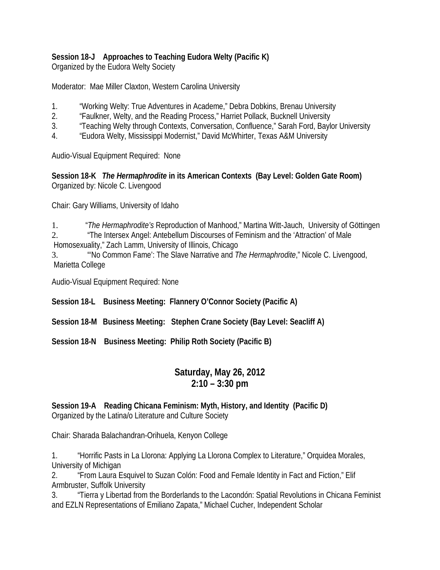#### **Session 18-J Approaches to Teaching Eudora Welty (Pacific K)**

Organized by the Eudora Welty Society

Moderator: Mae Miller Claxton, Western Carolina University

- 1. "Working Welty: True Adventures in Academe," Debra Dobkins, Brenau University
- 2. "Faulkner, Welty, and the Reading Process," Harriet Pollack, Bucknell University
- 3. "Teaching Welty through Contexts, Conversation, Confluence," Sarah Ford, Baylor University
- 4. "Eudora Welty, Mississippi Modernist," David McWhirter, Texas A&M University

Audio-Visual Equipment Required: None

**Session 18-K** *The Hermaphrodite* **in its American Contexts (Bay Level: Golden Gate Room)** Organized by: Nicole C. Livengood

Chair: Gary Williams, University of Idaho

1. "*The Hermaphrodite's* Reproduction of Manhood," Martina Witt-Jauch, University of Göttingen 2. "The Intersex Angel: Antebellum Discourses of Feminism and the 'Attraction' of Male

Homosexuality," Zach Lamm, University of Illinois, Chicago

3. "'No Common Fame': The Slave Narrative and *The Hermaphrodite*," Nicole C. Livengood, Marietta College

Audio-Visual Equipment Required: None

**Session 18-L Business Meeting: Flannery O'Connor Society (Pacific A)**

**Session 18-M Business Meeting: Stephen Crane Society (Bay Level: Seacliff A)**

**Session 18-N Business Meeting: Philip Roth Society (Pacific B)**

# **Saturday, May 26, 2012 2:10 – 3:30 pm**

#### **Session 19-A Reading Chicana Feminism: Myth, History, and Identity (Pacific D)** Organized by the Latina/o Literature and Culture Society

Chair: Sharada Balachandran-Orihuela, Kenyon College

1. "Horrific Pasts in La Llorona: Applying La Llorona Complex to Literature," Orquidea Morales, University of Michigan

2. "From Laura Esquivel to Suzan Colón: Food and Female Identity in Fact and Fiction," Elif Armbruster, Suffolk University

3. "Tierra y Libertad from the Borderlands to the Lacondón: Spatial Revolutions in Chicana Feminist and EZLN Representations of Emiliano Zapata," Michael Cucher, Independent Scholar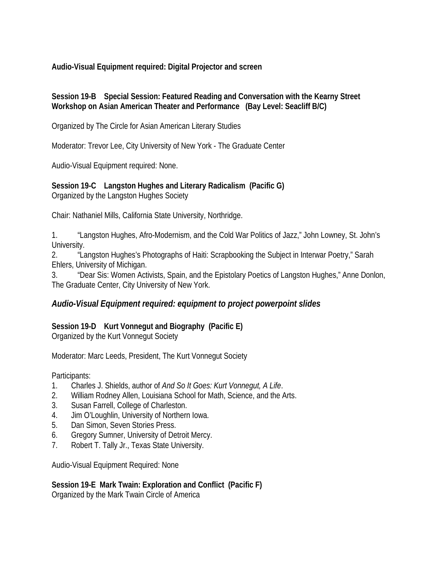**Audio-Visual Equipment required: Digital Projector and screen**

#### **Session 19-B Special Session: Featured Reading and Conversation with the Kearny Street Workshop on Asian American Theater and Performance (Bay Level: Seacliff B/C)**

Organized by The Circle for Asian American Literary Studies

Moderator: Trevor Lee, City University of New York - The Graduate Center

Audio-Visual Equipment required: None.

**Session 19-C Langston Hughes and Literary Radicalism (Pacific G)** Organized by the Langston Hughes Society

Chair: Nathaniel Mills, California State University, Northridge.

1. "Langston Hughes, Afro-Modernism, and the Cold War Politics of Jazz," John Lowney, St. John's University.

2. "Langston Hughes's Photographs of Haiti: Scrapbooking the Subject in Interwar Poetry," Sarah Ehlers, University of Michigan.

3. "Dear Sis: Women Activists, Spain, and the Epistolary Poetics of Langston Hughes," Anne Donlon, The Graduate Center, City University of New York.

# *Audio-Visual Equipment required: equipment to project powerpoint slides*

# **Session 19-D Kurt Vonnegut and Biography (Pacific E)**

Organized by the Kurt Vonnegut Society

Moderator: Marc Leeds, President, The Kurt Vonnegut Society

Participants:

- 1. Charles J. Shields, author of *And So It Goes: Kurt Vonnegut, A Life*.
- 2. William Rodney Allen, Louisiana School for Math, Science, and the Arts.
- 3. Susan Farrell, College of Charleston.
- 4. Jim O'Loughlin, University of Northern Iowa.
- 5. Dan Simon, Seven Stories Press.
- 6. Gregory Sumner, University of Detroit Mercy.
- 7. Robert T. Tally Jr., Texas State University.

Audio-Visual Equipment Required: None

**Session 19-E Mark Twain: Exploration and Conflict (Pacific F)**  Organized by the Mark Twain Circle of America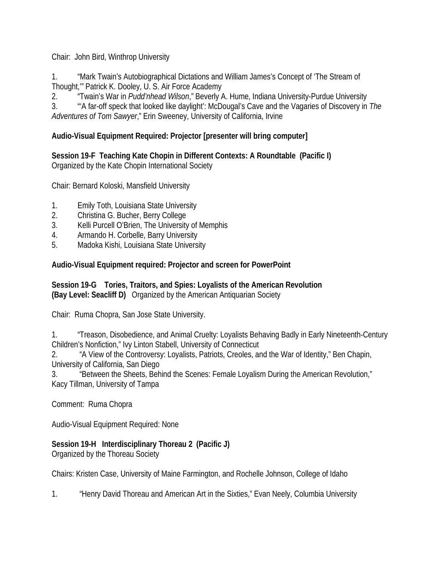Chair: John Bird, Winthrop University

1. "Mark Twain's Autobiographical Dictations and William James's Concept of 'The Stream of Thought,'" Patrick K. Dooley, U. S. Air Force Academy

2. "Twain's War in *Pudd'nhead Wilson*," Beverly A. Hume, Indiana University-Purdue University

3. "'A far-off speck that looked like daylight': McDougal's Cave and the Vagaries of Discovery in *The Adventures of Tom Sawyer*," Erin Sweeney, University of California, Irvine

# **Audio-Visual Equipment Required: Projector [presenter will bring computer]**

**Session 19-F Teaching Kate Chopin in Different Contexts: A Roundtable (Pacific I)** Organized by the Kate Chopin International Society

Chair: Bernard Koloski, Mansfield University

- 1. Emily Toth, Louisiana State University
- 2. Christina G. Bucher, Berry College
- 3. Kelli Purcell O'Brien, The University of Memphis
- 4. Armando H. Corbelle, Barry University
- 5. Madoka Kishi, Louisiana State University

#### **Audio-Visual Equipment required: Projector and screen for PowerPoint**

#### **Session 19-G Tories, Traitors, and Spies: Loyalists of the American Revolution (Bay Level: Seacliff D)** Organized by the American Antiquarian Society

Chair: Ruma Chopra, San Jose State University.

1. "Treason, Disobedience, and Animal Cruelty: Loyalists Behaving Badly in Early Nineteenth-Century Children's Nonfiction," Ivy Linton Stabell, University of Connecticut

2. "A View of the Controversy: Loyalists, Patriots, Creoles, and the War of Identity," Ben Chapin, University of California, San Diego

3. "Between the Sheets, Behind the Scenes: Female Loyalism During the American Revolution," Kacy Tillman, University of Tampa

Comment: Ruma Chopra

Audio-Visual Equipment Required: None

#### **Session 19-H Interdisciplinary Thoreau 2 (Pacific J)**

Organized by the Thoreau Society

Chairs: Kristen Case, University of Maine Farmington, and Rochelle Johnson, College of Idaho

1. "Henry David Thoreau and American Art in the Sixties," Evan Neely, Columbia University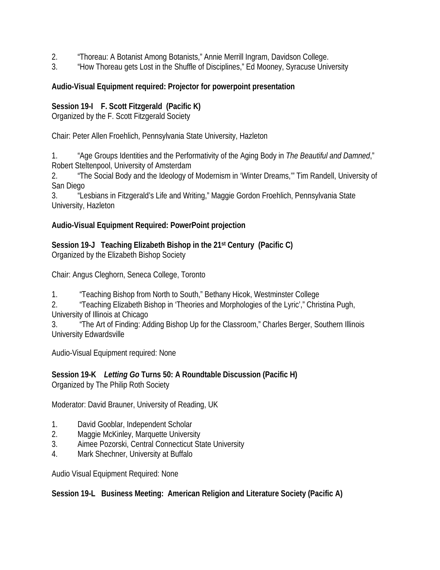- 2. "Thoreau: A Botanist Among Botanists," Annie Merrill Ingram, Davidson College.
- 3. "How Thoreau gets Lost in the Shuffle of Disciplines," Ed Mooney, Syracuse University

#### **Audio-Visual Equipment required: Projector for powerpoint presentation**

#### **Session 19-I F. Scott Fitzgerald (Pacific K)**

Organized by the F. Scott Fitzgerald Society

Chair: Peter Allen Froehlich, Pennsylvania State University, Hazleton

1. "Age Groups Identities and the Performativity of the Aging Body in *The Beautiful and Damned*," Robert Steltenpool, University of Amsterdam

2. "The Social Body and the Ideology of Modernism in 'Winter Dreams,'" Tim Randell, University of San Diego

3. "Lesbians in Fitzgerald's Life and Writing," Maggie Gordon Froehlich, Pennsylvania State University, Hazleton

#### **Audio-Visual Equipment Required: PowerPoint projection**

**Session 19-J Teaching Elizabeth Bishop in the 21st Century (Pacific C)** Organized by the Elizabeth Bishop Society

Chair: Angus Cleghorn, Seneca College, Toronto

1. "Teaching Bishop from North to South," Bethany Hicok, Westminster College

2. "Teaching Elizabeth Bishop in 'Theories and Morphologies of the Lyric'," Christina Pugh, University of Illinois at Chicago

3. "The Art of Finding: Adding Bishop Up for the Classroom," Charles Berger, Southern Illinois University Edwardsville

Audio-Visual Equipment required: None

#### **Session 19-K** *Letting Go* **Turns 50: A Roundtable Discussion (Pacific H)** Organized by The Philip Roth Society

Moderator: David Brauner, University of Reading, UK

- 1. David Gooblar, Independent Scholar
- 2. Maggie McKinley, Marquette University
- 3. Aimee Pozorski, Central Connecticut State University
- 4. Mark Shechner, University at Buffalo

Audio Visual Equipment Required: None

#### **Session 19-L Business Meeting: American Religion and Literature Society (Pacific A)**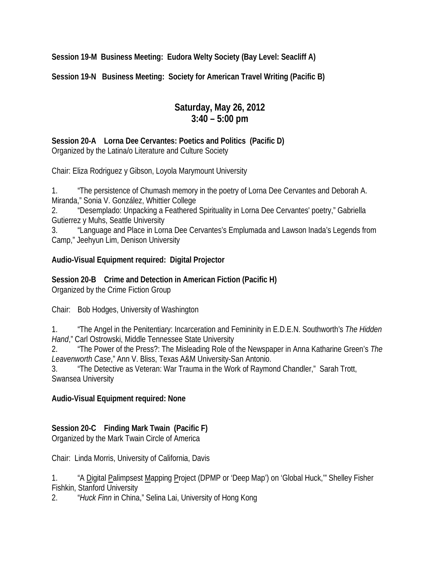**Session 19-M Business Meeting: Eudora Welty Society (Bay Level: Seacliff A)**

**Session 19-N Business Meeting: Society for American Travel Writing (Pacific B)**

# **Saturday, May 26, 2012 3:40 – 5:00 pm**

**Session 20-A Lorna Dee Cervantes: Poetics and Politics (Pacific D)** Organized by the Latina/o Literature and Culture Society

Chair: Eliza Rodriguez y Gibson, Loyola Marymount University

1. "The persistence of Chumash memory in the poetry of Lorna Dee Cervantes and Deborah A. Miranda," Sonia V. González, Whittier College

2. "Desemplado: Unpacking a Feathered Spirituality in Lorna Dee Cervantes' poetry," Gabriella Gutierrez y Muhs, Seattle University

3. "Language and Place in Lorna Dee Cervantes's Emplumada and Lawson Inada's Legends from Camp," Jeehyun Lim, Denison University

#### **Audio-Visual Equipment required: Digital Projector**

**Session 20-B Crime and Detection in American Fiction (Pacific H)** Organized by the Crime Fiction Group

Chair: Bob Hodges, University of Washington

1. "The Angel in the Penitentiary: Incarceration and Femininity in E.D.E.N. Southworth's *The Hidden Hand*," Carl Ostrowski, Middle Tennessee State University

2. "The Power of the Press?: The Misleading Role of the Newspaper in Anna Katharine Green's *The Leavenworth Case*," Ann V. Bliss, Texas A&M University-San Antonio.

3. "The Detective as Veteran: War Trauma in the Work of Raymond Chandler," Sarah Trott, Swansea University

#### **Audio-Visual Equipment required: None**

# **Session 20-C Finding Mark Twain (Pacific F)**

Organized by the Mark Twain Circle of America

Chair: Linda Morris, University of California, Davis

1. "A Digital Palimpsest Mapping Project (DPMP or 'Deep Map') on 'Global Huck," Shelley Fisher Fishkin, Stanford University

2. "*Huck Finn* in China," Selina Lai, University of Hong Kong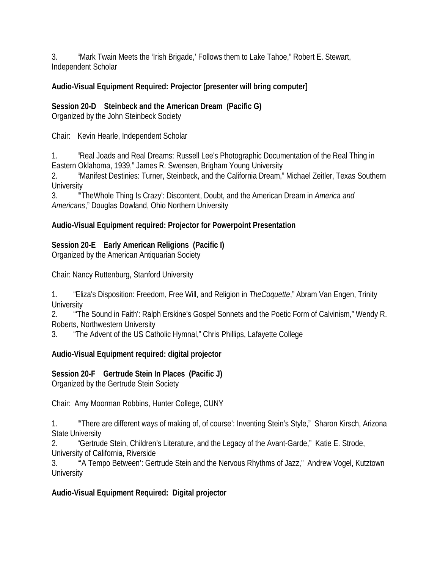3. "Mark Twain Meets the 'Irish Brigade,' Follows them to Lake Tahoe," Robert E. Stewart, Independent Scholar

# **Audio-Visual Equipment Required: Projector [presenter will bring computer]**

**Session 20-D Steinbeck and the American Dream (Pacific G)**

Organized by the John Steinbeck Society

Chair: Kevin Hearle, Independent Scholar

1. "Real Joads and Real Dreams: Russell Lee's Photographic Documentation of the Real Thing in Eastern Oklahoma, 1939," James R. Swensen, Brigham Young University

2. "Manifest Destinies: Turner, Steinbeck, and the California Dream," Michael Zeitler, Texas Southern **University** 

3. "'TheWhole Thing Is Crazy': Discontent, Doubt, and the American Dream in *America and Americans*," Douglas Dowland, Ohio Northern University

# **Audio-Visual Equipment required: Projector for Powerpoint Presentation**

# **Session 20-E Early American Religions (Pacific I)**

Organized by the American Antiquarian Society

Chair: Nancy Ruttenburg, Stanford University

1. "Eliza's Disposition: Freedom, Free Will, and Religion in *TheCoquette*," Abram Van Engen, Trinity **University** 

2. "'The Sound in Faith': Ralph Erskine's Gospel Sonnets and the Poetic Form of Calvinism," Wendy R. Roberts, Northwestern University

3. "The Advent of the US Catholic Hymnal," Chris Phillips, Lafayette College

# **Audio-Visual Equipment required: digital projector**

# **Session 20-F Gertrude Stein In Places (Pacific J)**

Organized by the Gertrude Stein Society

Chair: Amy Moorman Robbins, Hunter College, CUNY

1. "'There are different ways of making of, of course': Inventing Stein's Style," Sharon Kirsch, Arizona State University

2. "Gertrude Stein, Children's Literature, and the Legacy of the Avant-Garde," Katie E. Strode, University of California, Riverside

3. "'A Tempo Between': Gertrude Stein and the Nervous Rhythms of Jazz," Andrew Vogel, Kutztown **University** 

# **Audio-Visual Equipment Required: Digital projector**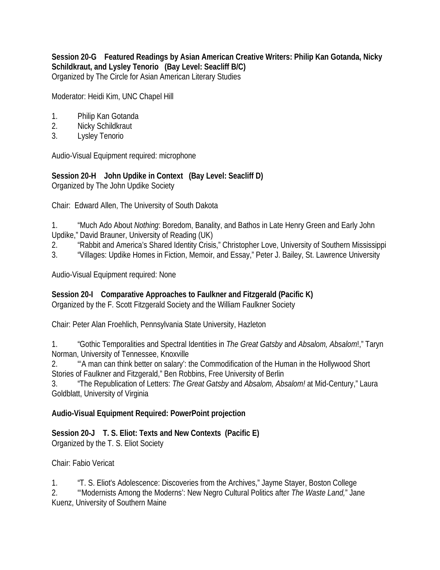**Session 20-G Featured Readings by Asian American Creative Writers: Philip Kan Gotanda, Nicky Schildkraut, and Lysley Tenorio (Bay Level: Seacliff B/C)** Organized by The Circle for Asian American Literary Studies

Moderator: Heidi Kim, UNC Chapel Hill

- 1. Philip Kan Gotanda
- 2. Nicky Schildkraut
- 3. Lysley Tenorio

Audio-Visual Equipment required: microphone

**Session 20-H John Updike in Context (Bay Level: Seacliff D)**  Organized by The John Updike Society

Chair: Edward Allen, The University of South Dakota

1. "Much Ado About *Nothing*: Boredom, Banality, and Bathos in Late Henry Green and Early John Updike," David Brauner, University of Reading (UK)

- 2. "Rabbit and America's Shared Identity Crisis," Christopher Love, University of Southern Mississippi
- 3. "Villages: Updike Homes in Fiction, Memoir, and Essay," Peter J. Bailey, St. Lawrence University

Audio-Visual Equipment required: None

**Session 20-I Comparative Approaches to Faulkner and Fitzgerald (Pacific K)** Organized by the F. Scott Fitzgerald Society and the William Faulkner Society

Chair: Peter Alan Froehlich, Pennsylvania State University, Hazleton

1. "Gothic Temporalities and Spectral Identities in *The Great Gatsby* and *Absalom, Absalom*!," Taryn Norman, University of Tennessee, Knoxville

2. "'A man can think better on salary': the Commodification of the Human in the Hollywood Short Stories of Faulkner and Fitzgerald," Ben Robbins, Free University of Berlin

3. "The Republication of Letters: *The Great Gatsby* and *Absalom, Absalom!* at Mid-Century," Laura Goldblatt, University of Virginia

#### **Audio-Visual Equipment Required: PowerPoint projection**

**Session 20-J T. S. Eliot: Texts and New Contexts (Pacific E)** Organized by the T. S. Eliot Society

Chair: Fabio Vericat

1. "T. S. Eliot's Adolescence: Discoveries from the Archives," Jayme Stayer, Boston College 2. "'Modernists Among the Moderns': New Negro Cultural Politics after *The Waste Land,*" Jane Kuenz, University of Southern Maine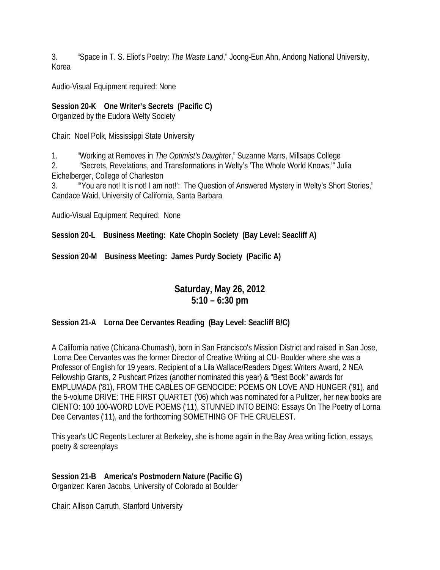3. "Space in T. S. Eliot's Poetry: *The Waste Land*," Joong-Eun Ahn, Andong National University, Korea

Audio-Visual Equipment required: None

# **Session 20-K One Writer's Secrets (Pacific C)**

Organized by the Eudora Welty Society

Chair: Noel Polk, Mississippi State University

1. "Working at Removes in *The Optimist's Daughter*," Suzanne Marrs, Millsaps College

2. "Secrets, Revelations, and Transformations in Welty's 'The Whole World Knows,'" Julia Eichelberger, College of Charleston

3. "'You are not! It is not! I am not!': The Question of Answered Mystery in Welty's Short Stories," Candace Waid, University of California, Santa Barbara

Audio-Visual Equipment Required: None

**Session 20-L Business Meeting: Kate Chopin Society (Bay Level: Seacliff A)**

**Session 20-M Business Meeting: James Purdy Society (Pacific A)**

# **Saturday, May 26, 2012 5:10 – 6:30 pm**

#### **Session 21-A Lorna Dee Cervantes Reading (Bay Level: Seacliff B/C)**

A California native (Chicana-Chumash), born in San Francisco's Mission District and raised in San Jose, Lorna Dee Cervantes was the former Director of Creative Writing at CU- Boulder where she was a Professor of English for 19 years. Recipient of a Lila Wallace/Readers Digest Writers Award, 2 NEA Fellowship Grants, 2 Pushcart Prizes (another nominated this year) & "Best Book" awards for EMPLUMADA ('81), FROM THE CABLES OF GENOCIDE: POEMS ON LOVE AND HUNGER ('91), and the 5-volume DRIVE: THE FIRST QUARTET ('06) which was nominated for a Pulitzer, her new books are CIENTO: 100 100-WORD LOVE POEMS ('11), STUNNED INTO BEING: Essays On The Poetry of Lorna Dee Cervantes ('11), and the forthcoming SOMETHING OF THE CRUELEST.

This year's UC Regents Lecturer at Berkeley, she is home again in the Bay Area writing fiction, essays, poetry & screenplays

**Session 21-B America's Postmodern Nature (Pacific G)** Organizer: Karen Jacobs, University of Colorado at Boulder

Chair: Allison Carruth, Stanford University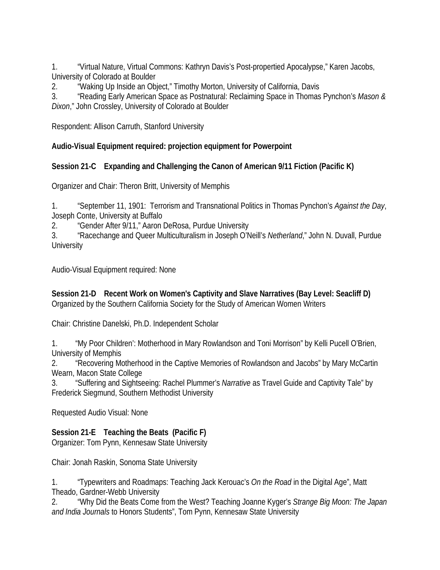1. "Virtual Nature, Virtual Commons: Kathryn Davis's Post-propertied Apocalypse," Karen Jacobs, University of Colorado at Boulder

2. "Waking Up Inside an Object," Timothy Morton, University of California, Davis

3. "Reading Early American Space as Postnatural: Reclaiming Space in Thomas Pynchon's *Mason & Dixon*," John Crossley, University of Colorado at Boulder

Respondent: Allison Carruth, Stanford University

**Audio-Visual Equipment required: projection equipment for Powerpoint**

# **Session 21-C Expanding and Challenging the Canon of American 9/11 Fiction (Pacific K)**

Organizer and Chair: Theron Britt, University of Memphis

1. "September 11, 1901: Terrorism and Transnational Politics in Thomas Pynchon's *Against the Day*, Joseph Conte, University at Buffalo

2. "Gender After 9/11," Aaron DeRosa, Purdue University

3. "Racechange and Queer Multiculturalism in Joseph O'Neill's *Netherland*," John N. Duvall, Purdue **University** 

Audio-Visual Equipment required: None

**Session 21-D Recent Work on Women's Captivity and Slave Narratives (Bay Level: Seacliff D)**  Organized by the Southern California Society for the Study of American Women Writers

Chair: Christine Danelski, Ph.D. Independent Scholar

1. "My Poor Children': Motherhood in Mary Rowlandson and Toni Morrison" by Kelli Pucell O'Brien, University of Memphis

2. "Recovering Motherhood in the Captive Memories of Rowlandson and Jacobs" by Mary McCartin Wearn, Macon State College

3. "Suffering and Sightseeing: Rachel Plummer's *Narrative* as Travel Guide and Captivity Tale" by Frederick Siegmund, Southern Methodist University

Requested Audio Visual: None

# **Session 21-E Teaching the Beats (Pacific F)**

Organizer: Tom Pynn, Kennesaw State University

Chair: Jonah Raskin, Sonoma State University

1. "Typewriters and Roadmaps: Teaching Jack Kerouac's *On the Road* in the Digital Age", Matt Theado, Gardner-Webb University

2. "Why Did the Beats Come from the West? Teaching Joanne Kyger's *Strange Big Moon: The Japan and India Journals* to Honors Students", Tom Pynn, Kennesaw State University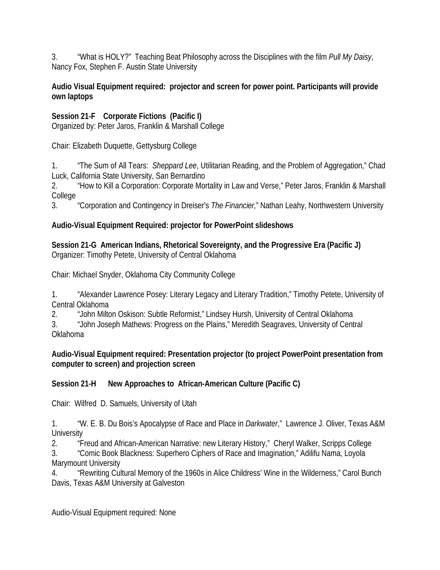3. "What is HOLY?" Teaching Beat Philosophy across the Disciplines with the film *Pull My Daisy*, Nancy Fox, Stephen F. Austin State University

#### **Audio Visual Equipment required: projector and screen for power point. Participants will provide own laptops**

**Session 21-F Corporate Fictions (Pacific I)**

Organized by: Peter Jaros, Franklin & Marshall College

Chair: Elizabeth Duquette, Gettysburg College

1. "The Sum of All Tears: *Sheppard Lee*, Utilitarian Reading, and the Problem of Aggregation," Chad Luck, California State University, San Bernardino

2. "How to Kill a Corporation: Corporate Mortality in Law and Verse," Peter Jaros, Franklin & Marshall College

3. "Corporation and Contingency in Dreiser's *The Financier,*" Nathan Leahy, Northwestern University

# **Audio-Visual Equipment Required: projector for PowerPoint slideshows**

**Session 21-G American Indians, Rhetorical Sovereignty, and the Progressive Era (Pacific J)**  Organizer: Timothy Petete, University of Central Oklahoma

Chair: Michael Snyder, Oklahoma City Community College

1. "Alexander Lawrence Posey: Literary Legacy and Literary Tradition," Timothy Petete, University of Central Oklahoma

2. "John Milton Oskison: Subtle Reformist," Lindsey Hursh, University of Central Oklahoma

3. "John Joseph Mathews: Progress on the Plains," Meredith Seagraves, University of Central Oklahoma

#### **Audio-Visual Equipment required: Presentation projector (to project PowerPoint presentation from computer to screen) and projection screen**

# **Session 21-H New Approaches to African-American Culture (Pacific C)**

Chair: Wilfred D. Samuels, University of Utah

1. "W. E. B. Du Bois's Apocalypse of Race and Place in *Darkwater*," Lawrence J. Oliver, Texas A&M **University** 

2. "Freud and African-American Narrative: new Literary History," Cheryl Walker, Scripps College 3. "Comic Book Blackness: Superhero Ciphers of Race and Imagination," Adilifu Nama, Loyola Marymount University

4. "Rewriting Cultural Memory of the 1960s in Alice Childress' Wine in the Wilderness," Carol Bunch Davis, Texas A&M University at Galveston

Audio-Visual Equipment required: None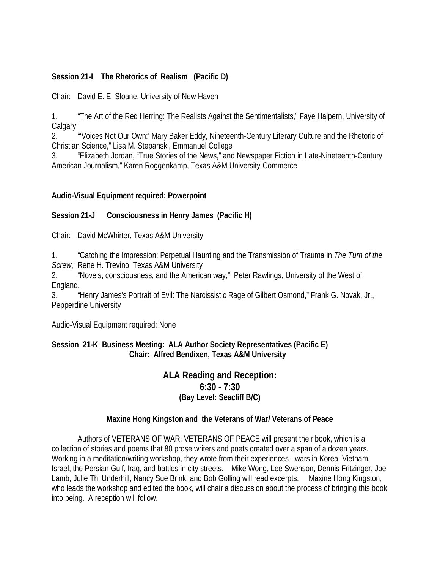#### **Session 21-I The Rhetorics of Realism (Pacific D)**

Chair: David E. E. Sloane, University of New Haven

1. "The Art of the Red Herring: The Realists Against the Sentimentalists," Faye Halpern, University of **Calgary** 

2. "'Voices Not Our Own:' Mary Baker Eddy, Nineteenth-Century Literary Culture and the Rhetoric of Christian Science," Lisa M. Stepanski, Emmanuel College

3. "Elizabeth Jordan, "True Stories of the News," and Newspaper Fiction in Late-Nineteenth-Century American Journalism," Karen Roggenkamp, Texas A&M University-Commerce

#### **Audio-Visual Equipment required: Powerpoint**

#### **Session 21-J Consciousness in Henry James (Pacific H)**

Chair: David McWhirter, Texas A&M University

1. "Catching the Impression: Perpetual Haunting and the Transmission of Trauma in *The Turn of the Screw*," Rene H. Trevino, Texas A&M University

2. "Novels, consciousness, and the American way," Peter Rawlings, University of the West of England,

3. "Henry James's Portrait of Evil: The Narcissistic Rage of Gilbert Osmond," Frank G. Novak, Jr., Pepperdine University

Audio-Visual Equipment required: None

#### **Session 21-K Business Meeting: ALA Author Society Representatives (Pacific E) Chair: Alfred Bendixen, Texas A&M University**

#### **ALA Reading and Reception: 6:30 - 7:30 (Bay Level: Seacliff B/C)**

#### **Maxine Hong Kingston and the Veterans of War/ Veterans of Peace**

Authors of VETERANS OF WAR, VETERANS OF PEACE will present their book, which is a collection of stories and poems that 80 prose writers and poets created over a span of a dozen years. Working in a meditation/writing workshop, they wrote from their experiences - wars in Korea, Vietnam, Israel, the Persian Gulf, Iraq, and battles in city streets. Mike Wong, Lee Swenson, Dennis Fritzinger, Joe Lamb, Julie Thi Underhill, Nancy Sue Brink, and Bob Golling will read excerpts. Maxine Hong Kingston, who leads the workshop and edited the book, will chair a discussion about the process of bringing this book into being. A reception will follow.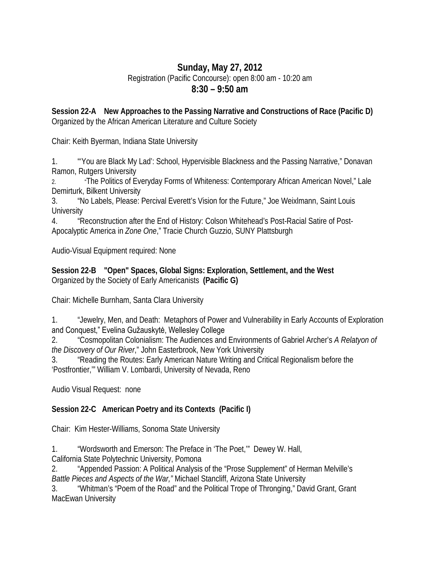# **Sunday, May 27, 2012** Registration (Pacific Concourse): open 8:00 am - 10:20 am

# **8:30 – 9:50 am**

**Session 22-A New Approaches to the Passing Narrative and Constructions of Race (Pacific D)** Organized by the African American Literature and Culture Society

Chair: Keith Byerman, Indiana State University

1. "'You are Black My Lad': School, Hypervisible Blackness and the Passing Narrative," Donavan Ramon, Rutgers University

2. "The Politics of Everyday Forms of Whiteness: Contemporary African American Novel," Lale Demirturk, Bilkent University

3. "No Labels, Please: Percival Everett's Vision for the Future," Joe Weixlmann, Saint Louis **University** 

4. "Reconstruction after the End of History: Colson Whitehead's Post-Racial Satire of Post-Apocalyptic America in *Zone One*," Tracie Church Guzzio, SUNY Plattsburgh

Audio-Visual Equipment required: None

**Session 22-B "Open" Spaces, Global Signs: Exploration, Settlement, and the West** Organized by the Society of Early Americanists **(Pacific G)**

Chair: Michelle Burnham, Santa Clara University

1. "Jewelry, Men, and Death: Metaphors of Power and Vulnerability in Early Accounts of Exploration and Conquest," Evelina Gužauskytė, Wellesley College

2. "Cosmopolitan Colonialism: The Audiences and Environments of Gabriel Archer's *A Relatyon of the Discovery of Our River*," John Easterbrook, New York University

3. "Reading the Routes: Early American Nature Writing and Critical Regionalism before the 'Postfrontier,'" William V. Lombardi, University of Nevada, Reno

Audio Visual Request: none

# **Session 22-C American Poetry and its Contexts (Pacific I)**

Chair: Kim Hester-Williams, Sonoma State University

1. "Wordsworth and Emerson: The Preface in 'The Poet,'" Dewey W. Hall,

California State Polytechnic University, Pomona

2. "Appended Passion: A Political Analysis of the "Prose Supplement" of Herman Melville's *Battle Pieces and Aspects of the War,"* Michael Stancliff, Arizona State University

3. "Whitman's "Poem of the Road" and the Political Trope of Thronging," David Grant, Grant MacEwan University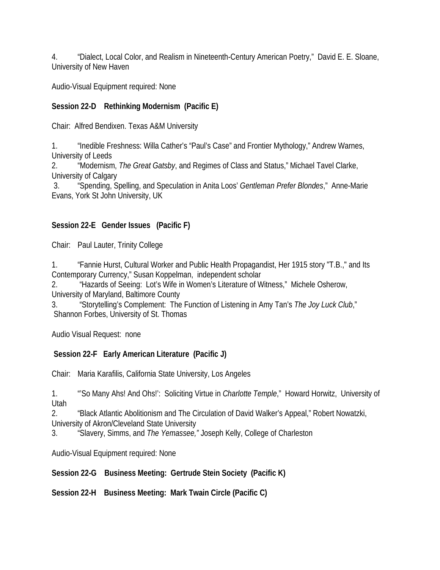4. "Dialect, Local Color, and Realism in Nineteenth-Century American Poetry," David E. E. Sloane, University of New Haven

Audio-Visual Equipment required: None

## **Session 22-D Rethinking Modernism (Pacific E)**

Chair: Alfred Bendixen. Texas A&M University

1. "Inedible Freshness: Willa Cather's "Paul's Case" and Frontier Mythology," Andrew Warnes, University of Leeds

2. "Modernism, *The Great Gatsby*, and Regimes of Class and Status," Michael Tavel Clarke, University of Calgary

3. "Spending, Spelling, and Speculation in Anita Loos' *Gentleman Prefer Blondes*," Anne-Marie Evans, York St John University, UK

### **Session 22-E Gender Issues (Pacific F)**

Chair: Paul Lauter, Trinity College

1. "Fannie Hurst, Cultural Worker and Public Health Propagandist, Her 1915 story "T.B.," and Its Contemporary Currency," Susan Koppelman, independent scholar

2. "Hazards of Seeing: Lot's Wife in Women's Literature of Witness," Michele Osherow, University of Maryland, Baltimore County

3. "Storytelling's Complement: The Function of Listening in Amy Tan's *The Joy Luck Club*," Shannon Forbes, University of St. Thomas

Audio Visual Request: none

### **Session 22-F Early American Literature (Pacific J)**

Chair: Maria Karafilis, California State University, Los Angeles

1. "'So Many Ahs! And Ohs!': Soliciting Virtue in *Charlotte Temple*," Howard Horwitz, University of Utah

2. "Black Atlantic Abolitionism and The Circulation of David Walker's Appeal," Robert Nowatzki, University of Akron/Cleveland State University

3. "Slavery, Simms, and *The Yemassee,"* Joseph Kelly, College of Charleston

Audio-Visual Equipment required: None

**Session 22-G Business Meeting: Gertrude Stein Society (Pacific K)**

**Session 22-H Business Meeting: Mark Twain Circle (Pacific C)**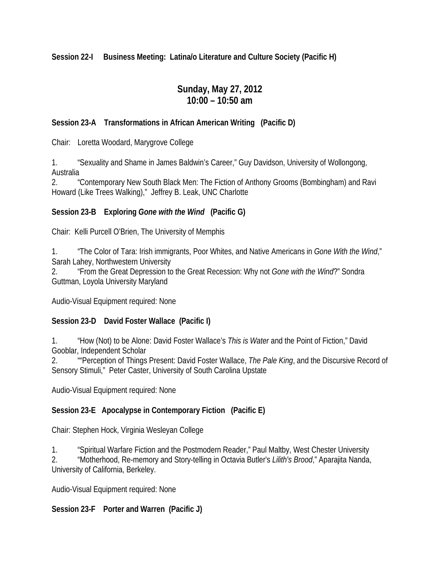**Session 22-I Business Meeting: Latina/o Literature and Culture Society (Pacific H)**

# **Sunday, May 27, 2012 10:00 – 10:50 am**

#### **Session 23-A Transformations in African American Writing (Pacific D)**

Chair: Loretta Woodard, Marygrove College

1. "Sexuality and Shame in James Baldwin's Career," Guy Davidson, University of Wollongong, Australia

2. "Contemporary New South Black Men: The Fiction of Anthony Grooms (Bombingham) and Ravi Howard (Like Trees Walking)," Jeffrey B. Leak, UNC Charlotte

#### **Session 23-B Exploring** *Gone with the Wind* **(Pacific G)**

Chair: Kelli Purcell O'Brien, The University of Memphis

1. "The Color of Tara: Irish immigrants, Poor Whites, and Native Americans in *Gone With the Wind*," Sarah Lahey, Northwestern University

2. "From the Great Depression to the Great Recession: Why not *Gone with the Wind*?" Sondra Guttman, Loyola University Maryland

Audio-Visual Equipment required: None

### **Session 23-D David Foster Wallace (Pacific I)**

1. "How (Not) to be Alone: David Foster Wallace's *This is Water* and the Point of Fiction," David Gooblar, Independent Scholar

2. ""Perception of Things Present: David Foster Wallace, *The Pale King*, and the Discursive Record of Sensory Stimuli," Peter Caster, University of South Carolina Upstate

Audio-Visual Equipment required: None

### **Session 23-E Apocalypse in Contemporary Fiction (Pacific E)**

Chair: Stephen Hock, Virginia Wesleyan College

1. "Spiritual Warfare Fiction and the Postmodern Reader," Paul Maltby, West Chester University

2. "Motherhood, Re-memory and Story-telling in Octavia Butler's *Lilith's Brood*," Aparajita Nanda, University of California, Berkeley.

Audio-Visual Equipment required: None

### **Session 23-F Porter and Warren (Pacific J)**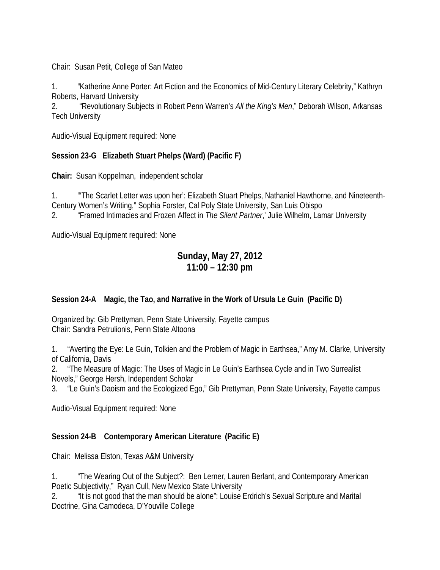Chair: Susan Petit, College of San Mateo

1. "Katherine Anne Porter: Art Fiction and the Economics of Mid-Century Literary Celebrity," Kathryn Roberts, Harvard University

2. "Revolutionary Subjects in Robert Penn Warren's *All the King's Men*," Deborah Wilson, Arkansas Tech University

Audio-Visual Equipment required: None

#### **Session 23-G Elizabeth Stuart Phelps (Ward) (Pacific F)**

**Chair:** Susan Koppelman, independent scholar

1. "'The Scarlet Letter was upon her': Elizabeth Stuart Phelps, Nathaniel Hawthorne, and Nineteenth-Century Women's Writing," Sophia Forster, Cal Poly State University, San Luis Obispo 2. "Framed Intimacies and Frozen Affect in *The Silent Partner*,' Julie Wilhelm, Lamar University

Audio-Visual Equipment required: None

# **Sunday, May 27, 2012 11:00 – 12:30 pm**

#### **Session 24-A Magic, the Tao, and Narrative in the Work of Ursula Le Guin (Pacific D)**

Organized by: Gib Prettyman, Penn State University, Fayette campus Chair: Sandra Petrulionis, Penn State Altoona

1. "Averting the Eye: Le Guin, Tolkien and the Problem of Magic in Earthsea," Amy M. Clarke, University of California, Davis

2. "The Measure of Magic: The Uses of Magic in Le Guin's Earthsea Cycle and in Two Surrealist Novels," George Hersh, Independent Scholar

3. "Le Guin's Daoism and the Ecologized Ego," Gib Prettyman, Penn State University, Fayette campus

Audio-Visual Equipment required: None

### **Session 24-B Contemporary American Literature (Pacific E)**

Chair: Melissa Elston, Texas A&M University

1. "The Wearing Out of the Subject?: Ben Lerner, Lauren Berlant, and Contemporary American Poetic Subjectivity," Ryan Cull, New Mexico State University

2. "It is not good that the man should be alone": Louise Erdrich's Sexual Scripture and Marital Doctrine, Gina Camodeca, D'Youville College